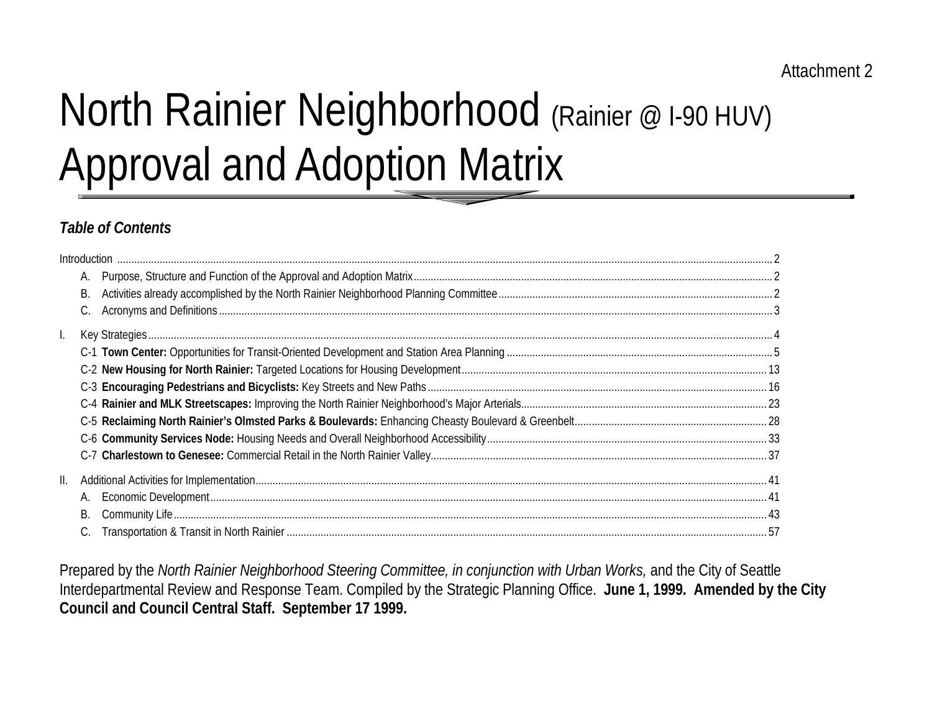# North Rainier Neighborhood (Rainier @ I-90 HUV) Approval and Adoption Matrix

## *Table of Contents*

|    |    | $\blacksquare$ |  |
|----|----|----------------|--|
|    | А. |                |  |
|    | В. |                |  |
|    |    |                |  |
|    |    |                |  |
|    |    |                |  |
|    |    |                |  |
|    |    |                |  |
|    |    |                |  |
|    |    |                |  |
|    |    |                |  |
|    |    |                |  |
| Ш. |    |                |  |
|    | А. |                |  |
|    | В. |                |  |
|    |    |                |  |

Prepared by the *North Rainier Neighborhood Steering Committee, in conjunction with Urban Works,* and the City of Seattle Interdepartmental Review and Response Team. Compiled by the Strategic Planning Office. **June 1, 1999. Amended by the City Council and Council Central Staff. September 17 1999.**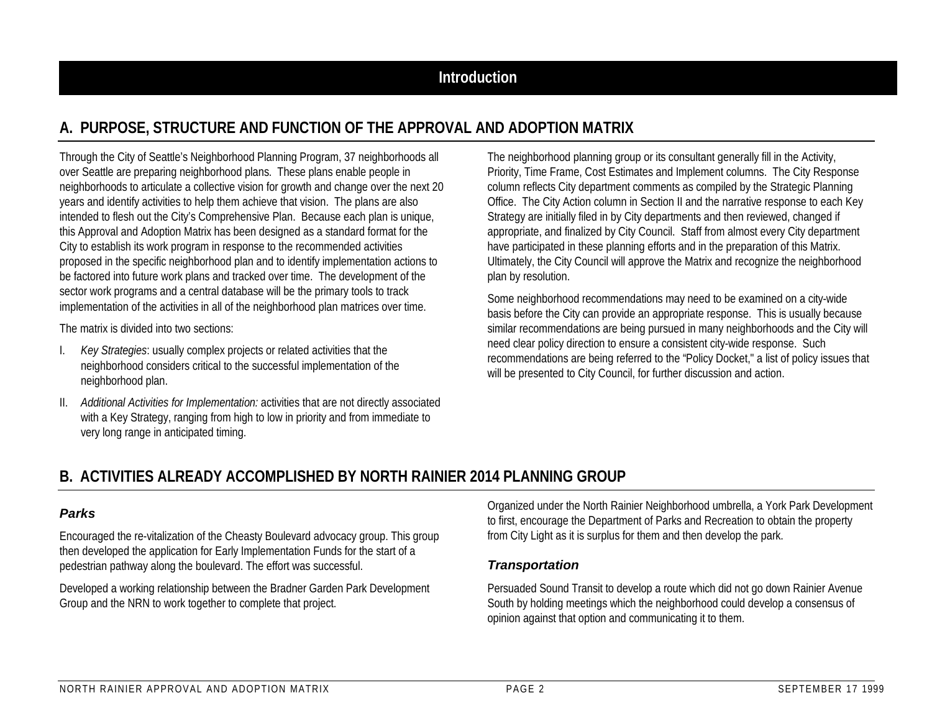## **A. PURPOSE, STRUCTURE AND FUNCTION OF THE APPROVAL AND ADOPTION MATRIX**

Through the City of Seattle's Neighborhood Planning Program, 37 neighborhoods all over Seattle are preparing neighborhood plans. These plans enable people in neighborhoods to articulate a collective vision for growth and change over the next 20 years and identify activities to help them achieve that vision. The plans are also intended to flesh out the City's Comprehensive Plan. Because each plan is unique, this Approval and Adoption Matrix has been designed as a standard format for the City to establish its work program in response to the recommended activities proposed in the specific neighborhood plan and to identify implementation actions to be factored into future work plans and tracked over time. The development of the sector work programs and a central database will be the primary tools to track implementation of the activities in all of the neighborhood plan matrices over time.

The matrix is divided into two sections:

- I. *Key Strategies*: usually complex projects or related activities that the neighborhood considers critical to the successful implementation of the neighborhood plan.
- II. *Additional Activities for Implementation:* activities that are not directly associated with a Key Strategy, ranging from high to low in priority and from immediate to very long range in anticipated timing.

The neighborhood planning group or its consultant generally fill in the Activity, Priority, Time Frame, Cost Estimates and Implement columns. The City Response column reflects City department comments as compiled by the Strategic Planning Office. The City Action column in Section II and the narrative response to each Key Strategy are initially filed in by City departments and then reviewed, changed if appropriate, and finalized by City Council. Staff from almost every City department have participated in these planning efforts and in the preparation of this Matrix. Ultimately, the City Council will approve the Matrix and recognize the neighborhood plan by resolution.

Some neighborhood recommendations may need to be examined on a city-wide basis before the City can provide an appropriate response. This is usually because similar recommendations are being pursued in many neighborhoods and the City will need clear policy direction to ensure a consistent city-wide response. Such recommendations are being referred to the "Policy Docket," a list of policy issues that will be presented to City Council, for further discussion and action.

### **B. ACTIVITIES ALREADY ACCOMPLISHED BY NORTH RAINIER 2014 PLANNING GROUP**

#### *Parks*

Encouraged the re-vitalization of the Cheasty Boulevard advocacy group. This group then developed the application for Early Implementation Funds for the start of a pedestrian pathway along the boulevard. The effort was successful.

Developed a working relationship between the Bradner Garden Park Development Group and the NRN to work together to complete that project.

Organized under the North Rainier Neighborhood umbrella, a York Park Development to first, encourage the Department of Parks and Recreation to obtain the property from City Light as it is surplus for them and then develop the park.

#### *Transportation*

Persuaded Sound Transit to develop a route which did not go down Rainier Avenue South by holding meetings which the neighborhood could develop a consensus of opinion against that option and communicating it to them.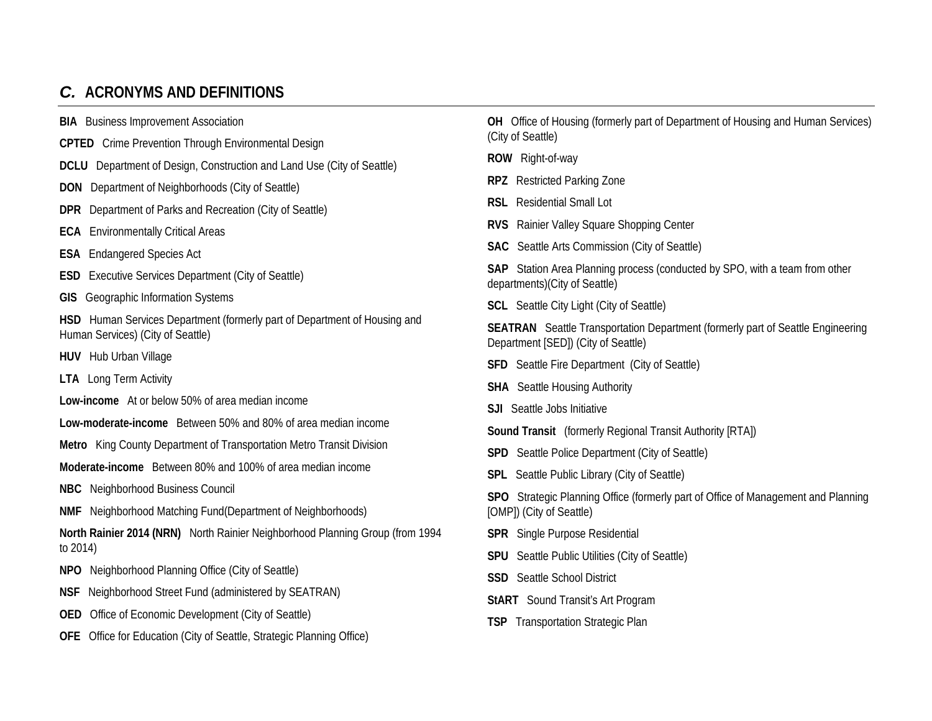## *C.* **ACRONYMS AND DEFINITIONS**

**BIA** Business Improvement Association

- **CPTED** Crime Prevention Through Environmental Design
- **DCLU** Department of Design, Construction and Land Use (City of Seattle)
- **DON** Department of Neighborhoods (City of Seattle)
- **DPR** Department of Parks and Recreation (City of Seattle)
- **ECA** Environmentally Critical Areas
- **ESA** Endangered Species Act
- **ESD** Executive Services Department (City of Seattle)
- **GIS** Geographic Information Systems

**HSD** Human Services Department (formerly part of Department of Housing and Human Services) (City of Seattle)

**HUV** Hub Urban Village

**LTA** Long Term Activity

- **Low-income** At or below 50% of area median income
- **Low-moderate-income** Between 50% and 80% of area median income

**Metro** King County Department of Transportation Metro Transit Division

**Moderate-income** Between 80% and 100% of area median income

**NBC** Neighborhood Business Council

**NMF** Neighborhood Matching Fund(Department of Neighborhoods)

**North Rainier 2014 (NRN)** North Rainier Neighborhood Planning Group (from 1994 to 2014)

- **NPO** Neighborhood Planning Office (City of Seattle)
- **NSF** Neighborhood Street Fund (administered by SEATRAN)
- **OED** Office of Economic Development (City of Seattle)
- **OFE** Office for Education (City of Seattle, Strategic Planning Office)

**OH** Office of Housing (formerly part of Department of Housing and Human Services) (City of Seattle)

- **ROW** Right-of-way
- **RPZ** Restricted Parking Zone
- **RSL** Residential Small Lot
- **RVS** Rainier Valley Square Shopping Center
- **SAC** Seattle Arts Commission (City of Seattle)

**SAP** Station Area Planning process (conducted by SPO, with a team from other departments)(City of Seattle)

**SCL** Seattle City Light (City of Seattle)

**SEATRAN** Seattle Transportation Department (formerly part of Seattle Engineering Department [SED]) (City of Seattle)

- **SFD** Seattle Fire Department (City of Seattle)
- **SHA** Seattle Housing Authority
- **SJI** Seattle Jobs Initiative
- **Sound Transit** (formerly Regional Transit Authority [RTA])
- **SPD** Seattle Police Department (City of Seattle)
- **SPL** Seattle Public Library (City of Seattle)
- **SPO** Strategic Planning Office (formerly part of Office of Management and Planning [OMP]) (City of Seattle)
- **SPR** Single Purpose Residential
- **SPU** Seattle Public Utilities (City of Seattle)
- **SSD** Seattle School District
- **StART** Sound Transit's Art Program
- **TSP** Transportation Strategic Plan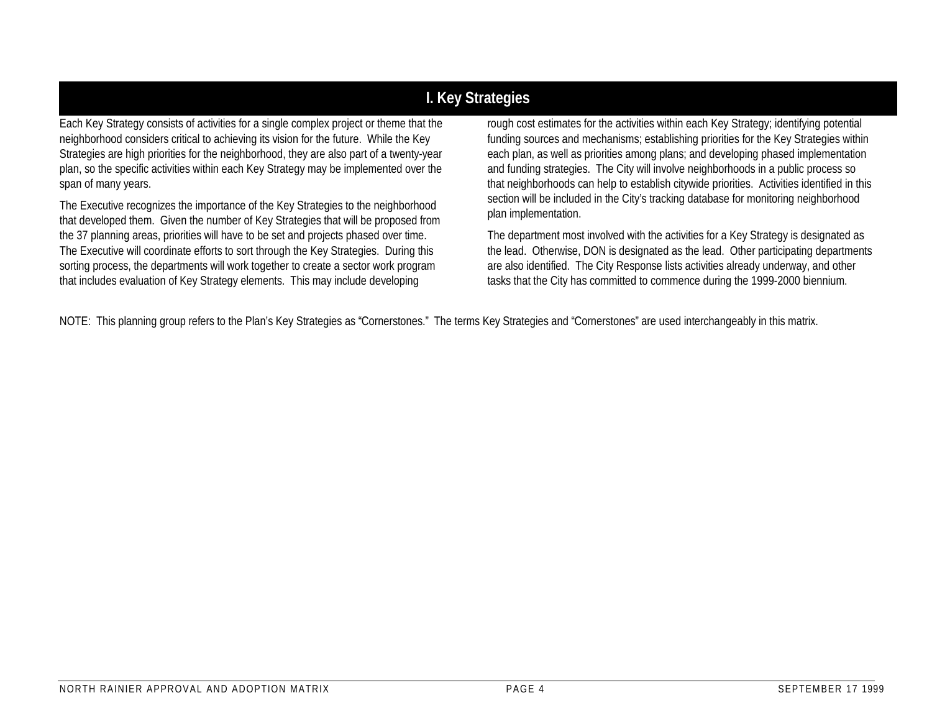## **I. Key Strategies**

Each Key Strategy consists of activities for a single complex project or theme that the neighborhood considers critical to achieving its vision for the future. While the Key Strategies are high priorities for the neighborhood, they are also part of a twenty-year plan, so the specific activities within each Key Strategy may be implemented over the span of many years.

The Executive recognizes the importance of the Key Strategies to the neighborhood that developed them. Given the number of Key Strategies that will be proposed from the 37 planning areas, priorities will have to be set and projects phased over time. The Executive will coordinate efforts to sort through the Key Strategies. During this sorting process, the departments will work together to create a sector work program that includes evaluation of Key Strategy elements. This may include developing

rough cost estimates for the activities within each Key Strategy; identifying potential funding sources and mechanisms; establishing priorities for the Key Strategies within each plan, as well as priorities among plans; and developing phased implementation and funding strategies. The City will involve neighborhoods in a public process so that neighborhoods can help to establish citywide priorities. Activities identified in this section will be included in the City's tracking database for monitoring neighborhood plan implementation.

The department most involved with the activities for a Key Strategy is designated as the lead. Otherwise, DON is designated as the lead. Other participating departments are also identified. The City Response lists activities already underway, and other tasks that the City has committed to commence during the 1999-2000 biennium.

NOTE: This planning group refers to the Plan's Key Strategies as "Cornerstones." The terms Key Strategies and "Cornerstones" are used interchangeably in this matrix.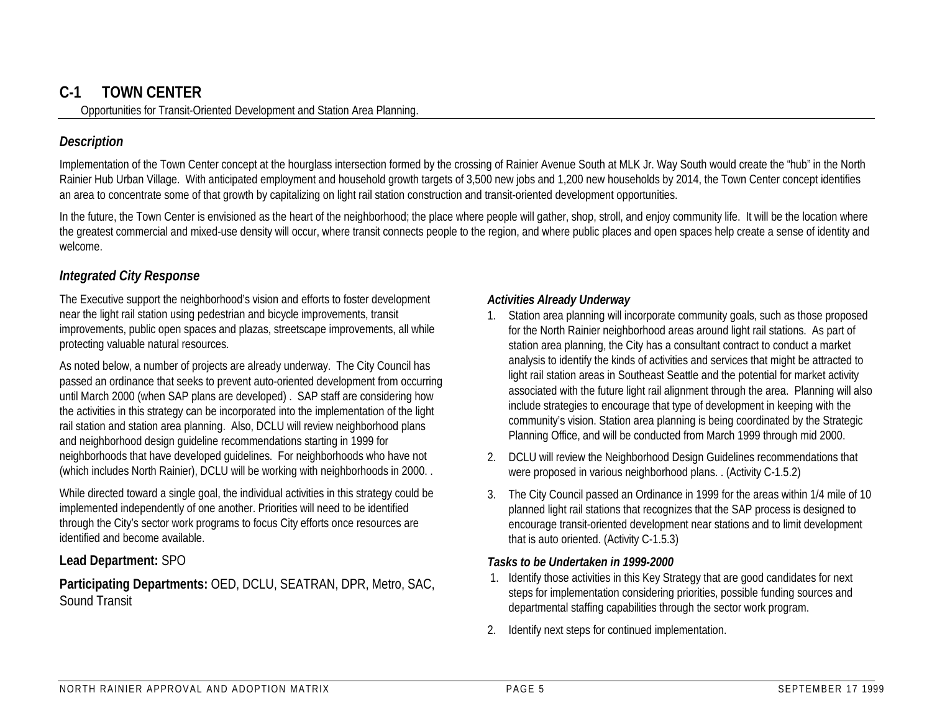## **C-1 TOWN CENTER**

Opportunities for Transit-Oriented Development and Station Area Planning.

#### *Description*

Implementation of the Town Center concept at the hourglass intersection formed by the crossing of Rainier Avenue South at MLK Jr. Way South would create the "hub" in the North Rainier Hub Urban Village. With anticipated employment and household growth targets of 3,500 new jobs and 1,200 new households by 2014, the Town Center concept identifies an area to concentrate some of that growth by capitalizing on light rail station construction and transit-oriented development opportunities.

In the future, the Town Center is envisioned as the heart of the neighborhood; the place where people will gather, shop, stroll, and enjoy community life. It will be the location where the greatest commercial and mixed-use density will occur, where transit connects people to the region, and where public places and open spaces help create a sense of identity and welcome.

#### *Integrated City Response*

The Executive support the neighborhood's vision and efforts to foster development near the light rail station using pedestrian and bicycle improvements, transit improvements, public open spaces and plazas, streetscape improvements, all while protecting valuable natural resources.

As noted below, a number of projects are already underway. The City Council has passed an ordinance that seeks to prevent auto-oriented development from occurring until March 2000 (when SAP plans are developed) . SAP staff are considering how the activities in this strategy can be incorporated into the implementation of the light rail station and station area planning. Also, DCLU will review neighborhood plans and neighborhood design guideline recommendations starting in 1999 for neighborhoods that have developed guidelines. For neighborhoods who have not (which includes North Rainier), DCLU will be working with neighborhoods in 2000. .

While directed toward a single goal, the individual activities in this strategy could be implemented independently of one another. Priorities will need to be identified through the City's sector work programs to focus City efforts once resources are identified and become available.

#### **Lead Department:** SPO

**Participating Departments:** OED, DCLU, SEATRAN, DPR, Metro, SAC, Sound Transit

#### *Activities Already Underway*

- Station area planning will incorporate community goals, such as those proposed for the North Rainier neighborhood areas around light rail stations. As part of station area planning, the City has a consultant contract to conduct a market analysis to identify the kinds of activities and services that might be attracted to light rail station areas in Southeast Seattle and the potential for market activity associated with the future light rail alignment through the area. Planning will also include strategies to encourage that type of development in keeping with the community's vision. Station area planning is being coordinated by the Strategic Planning Office, and will be conducted from March 1999 through mid 2000.
- 2. DCLU will review the Neighborhood Design Guidelines recommendations that were proposed in various neighborhood plans. . (Activity C-1.5.2)
- 3. The City Council passed an Ordinance in 1999 for the areas within 1/4 mile of 10 planned light rail stations that recognizes that the SAP process is designed to encourage transit-oriented development near stations and to limit development that is auto oriented. (Activity C-1.5.3)

#### *Tasks to be Undertaken in 1999-2000*

- 1. Identify those activities in this Key Strategy that are good candidates for next steps for implementation considering priorities, possible funding sources and departmental staffing capabilities through the sector work program.
- 2. Identify next steps for continued implementation.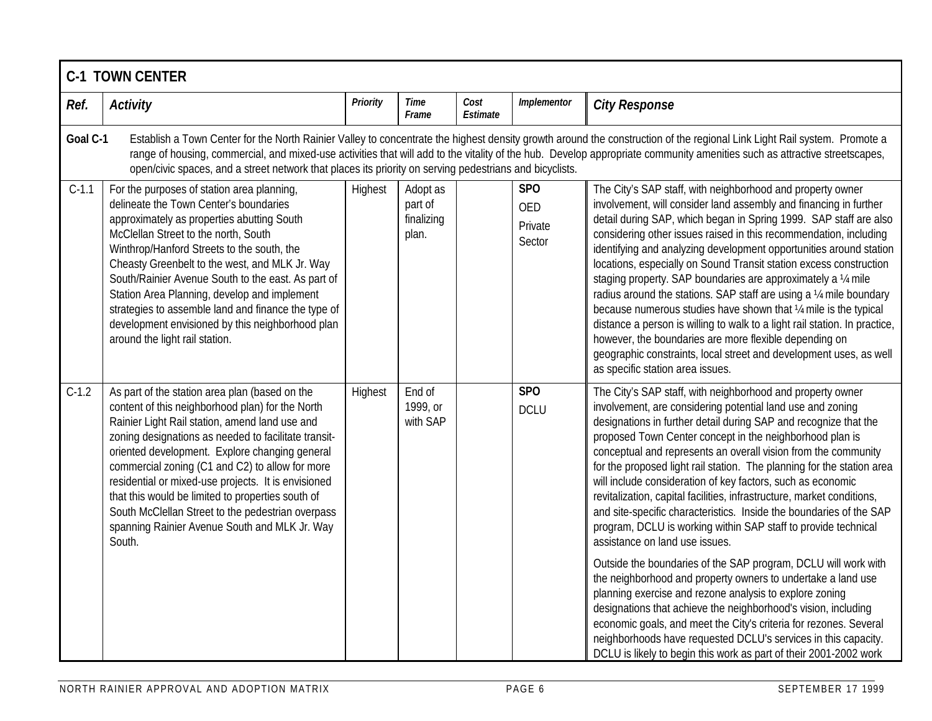|          | <b>C-1 TOWN CENTER</b>                                                                                                                                                                                                                                                                                                                                                                                                                                                                                                                        |                                                                                                                                                                                                                                                                                                                                                       |                                            |                  |                                               |                                                                                                                                                                                                                                                                                                                                                                                                                                                                                                                                                                                                                                                                                                                                                                                                                                                                                                                                                                                                                                                                                                                                                                                                     |  |  |  |  |
|----------|-----------------------------------------------------------------------------------------------------------------------------------------------------------------------------------------------------------------------------------------------------------------------------------------------------------------------------------------------------------------------------------------------------------------------------------------------------------------------------------------------------------------------------------------------|-------------------------------------------------------------------------------------------------------------------------------------------------------------------------------------------------------------------------------------------------------------------------------------------------------------------------------------------------------|--------------------------------------------|------------------|-----------------------------------------------|-----------------------------------------------------------------------------------------------------------------------------------------------------------------------------------------------------------------------------------------------------------------------------------------------------------------------------------------------------------------------------------------------------------------------------------------------------------------------------------------------------------------------------------------------------------------------------------------------------------------------------------------------------------------------------------------------------------------------------------------------------------------------------------------------------------------------------------------------------------------------------------------------------------------------------------------------------------------------------------------------------------------------------------------------------------------------------------------------------------------------------------------------------------------------------------------------------|--|--|--|--|
| Ref.     | <b>Activity</b>                                                                                                                                                                                                                                                                                                                                                                                                                                                                                                                               | <b>Priority</b>                                                                                                                                                                                                                                                                                                                                       | Time<br>Frame                              | Cost<br>Estimate | Implementor                                   | <b>City Response</b>                                                                                                                                                                                                                                                                                                                                                                                                                                                                                                                                                                                                                                                                                                                                                                                                                                                                                                                                                                                                                                                                                                                                                                                |  |  |  |  |
| Goal C-1 | open/civic spaces, and a street network that places its priority on serving pedestrians and bicyclists.                                                                                                                                                                                                                                                                                                                                                                                                                                       | Establish a Town Center for the North Rainier Valley to concentrate the highest density growth around the construction of the regional Link Light Rail system. Promote a<br>range of housing, commercial, and mixed-use activities that will add to the vitality of the hub. Develop appropriate community amenities such as attractive streetscapes, |                                            |                  |                                               |                                                                                                                                                                                                                                                                                                                                                                                                                                                                                                                                                                                                                                                                                                                                                                                                                                                                                                                                                                                                                                                                                                                                                                                                     |  |  |  |  |
| $C-1.1$  | For the purposes of station area planning,<br>delineate the Town Center's boundaries<br>approximately as properties abutting South<br>McClellan Street to the north, South<br>Winthrop/Hanford Streets to the south, the<br>Cheasty Greenbelt to the west, and MLK Jr. Way<br>South/Rainier Avenue South to the east. As part of<br>Station Area Planning, develop and implement<br>strategies to assemble land and finance the type of<br>development envisioned by this neighborhood plan<br>around the light rail station.                 | Highest                                                                                                                                                                                                                                                                                                                                               | Adopt as<br>part of<br>finalizing<br>plan. |                  | <b>SPO</b><br><b>OED</b><br>Private<br>Sector | The City's SAP staff, with neighborhood and property owner<br>involvement, will consider land assembly and financing in further<br>detail during SAP, which began in Spring 1999. SAP staff are also<br>considering other issues raised in this recommendation, including<br>identifying and analyzing development opportunities around station<br>locations, especially on Sound Transit station excess construction<br>staging property. SAP boundaries are approximately a 1/4 mile<br>radius around the stations. SAP staff are using a 1/4 mile boundary<br>because numerous studies have shown that 1/4 mile is the typical<br>distance a person is willing to walk to a light rail station. In practice,<br>however, the boundaries are more flexible depending on<br>geographic constraints, local street and development uses, as well<br>as specific station area issues.                                                                                                                                                                                                                                                                                                                 |  |  |  |  |
| $C-1.2$  | As part of the station area plan (based on the<br>content of this neighborhood plan) for the North<br>Rainier Light Rail station, amend land use and<br>zoning designations as needed to facilitate transit-<br>oriented development. Explore changing general<br>commercial zoning (C1 and C2) to allow for more<br>residential or mixed-use projects. It is envisioned<br>that this would be limited to properties south of<br>South McClellan Street to the pedestrian overpass<br>spanning Rainier Avenue South and MLK Jr. Way<br>South. | Highest                                                                                                                                                                                                                                                                                                                                               | End of<br>1999, or<br>with SAP             |                  | <b>SPO</b><br><b>DCLU</b>                     | The City's SAP staff, with neighborhood and property owner<br>involvement, are considering potential land use and zoning<br>designations in further detail during SAP and recognize that the<br>proposed Town Center concept in the neighborhood plan is<br>conceptual and represents an overall vision from the community<br>for the proposed light rail station. The planning for the station area<br>will include consideration of key factors, such as economic<br>revitalization, capital facilities, infrastructure, market conditions,<br>and site-specific characteristics. Inside the boundaries of the SAP<br>program, DCLU is working within SAP staff to provide technical<br>assistance on land use issues.<br>Outside the boundaries of the SAP program, DCLU will work with<br>the neighborhood and property owners to undertake a land use<br>planning exercise and rezone analysis to explore zoning<br>designations that achieve the neighborhood's vision, including<br>economic goals, and meet the City's criteria for rezones. Several<br>neighborhoods have requested DCLU's services in this capacity.<br>DCLU is likely to begin this work as part of their 2001-2002 work |  |  |  |  |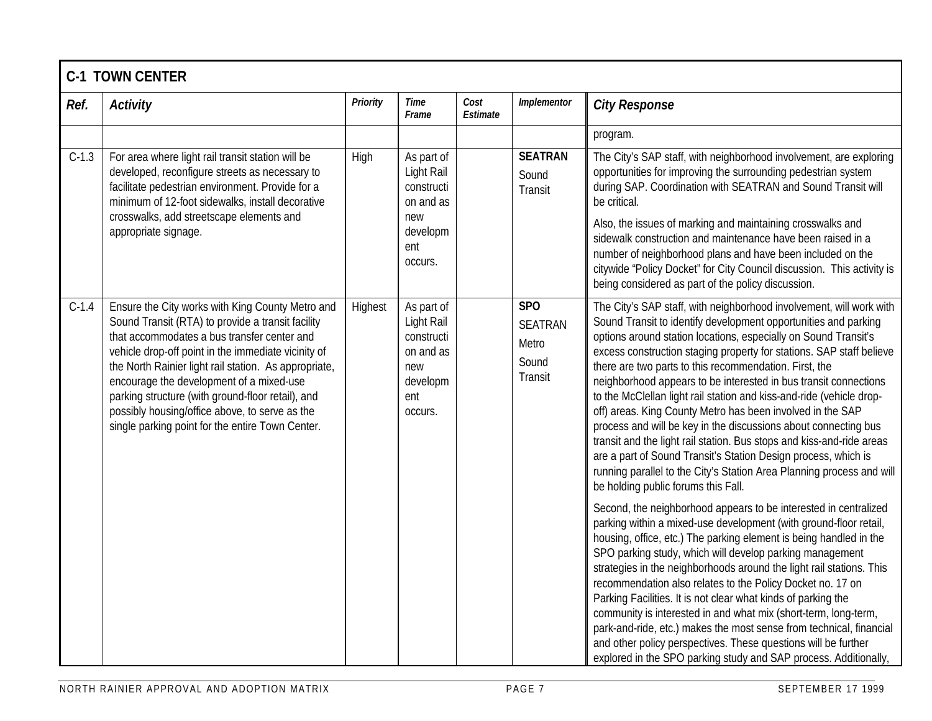|         | <b>C-1 TOWN CENTER</b>                                                                                                                                                                                                                                                                                                                                                                                                                                                      |                 |                                                                                          |                  |                                                                |                                                                                                                                                                                                                                                                                                                                                                                                                                                                                                                                                                                                                                                                                                                                                                                                                                                                                                                                                         |  |  |  |  |
|---------|-----------------------------------------------------------------------------------------------------------------------------------------------------------------------------------------------------------------------------------------------------------------------------------------------------------------------------------------------------------------------------------------------------------------------------------------------------------------------------|-----------------|------------------------------------------------------------------------------------------|------------------|----------------------------------------------------------------|---------------------------------------------------------------------------------------------------------------------------------------------------------------------------------------------------------------------------------------------------------------------------------------------------------------------------------------------------------------------------------------------------------------------------------------------------------------------------------------------------------------------------------------------------------------------------------------------------------------------------------------------------------------------------------------------------------------------------------------------------------------------------------------------------------------------------------------------------------------------------------------------------------------------------------------------------------|--|--|--|--|
| Ref.    | <b>Activity</b>                                                                                                                                                                                                                                                                                                                                                                                                                                                             | <b>Priority</b> | Time<br>Frame                                                                            | Cost<br>Estimate | Implementor                                                    | <b>City Response</b>                                                                                                                                                                                                                                                                                                                                                                                                                                                                                                                                                                                                                                                                                                                                                                                                                                                                                                                                    |  |  |  |  |
|         |                                                                                                                                                                                                                                                                                                                                                                                                                                                                             |                 |                                                                                          |                  |                                                                | program.                                                                                                                                                                                                                                                                                                                                                                                                                                                                                                                                                                                                                                                                                                                                                                                                                                                                                                                                                |  |  |  |  |
| $C-1.3$ | For area where light rail transit station will be<br>developed, reconfigure streets as necessary to<br>facilitate pedestrian environment. Provide for a<br>minimum of 12-foot sidewalks, install decorative<br>crosswalks, add streetscape elements and<br>appropriate signage.                                                                                                                                                                                             | High            | As part of<br>Light Rail<br>constructi<br>on and as<br>new<br>developm<br>ent<br>OCCUIS. |                  | <b>SEATRAN</b><br>Sound<br>Transit                             | The City's SAP staff, with neighborhood involvement, are exploring<br>opportunities for improving the surrounding pedestrian system<br>during SAP. Coordination with SEATRAN and Sound Transit will<br>be critical.<br>Also, the issues of marking and maintaining crosswalks and<br>sidewalk construction and maintenance have been raised in a<br>number of neighborhood plans and have been included on the<br>citywide "Policy Docket" for City Council discussion. This activity is<br>being considered as part of the policy discussion.                                                                                                                                                                                                                                                                                                                                                                                                          |  |  |  |  |
| $C-1.4$ | Ensure the City works with King County Metro and<br>Sound Transit (RTA) to provide a transit facility<br>that accommodates a bus transfer center and<br>vehicle drop-off point in the immediate vicinity of<br>the North Rainier light rail station. As appropriate,<br>encourage the development of a mixed-use<br>parking structure (with ground-floor retail), and<br>possibly housing/office above, to serve as the<br>single parking point for the entire Town Center. | Highest         | As part of<br>Light Rail<br>constructi<br>on and as<br>new<br>developm<br>ent<br>occurs. |                  | SP <sub>O</sub><br><b>SEATRAN</b><br>Metro<br>Sound<br>Transit | The City's SAP staff, with neighborhood involvement, will work with<br>Sound Transit to identify development opportunities and parking<br>options around station locations, especially on Sound Transit's<br>excess construction staging property for stations. SAP staff believe<br>there are two parts to this recommendation. First, the<br>neighborhood appears to be interested in bus transit connections<br>to the McClellan light rail station and kiss-and-ride (vehicle drop-<br>off) areas. King County Metro has been involved in the SAP<br>process and will be key in the discussions about connecting bus<br>transit and the light rail station. Bus stops and kiss-and-ride areas<br>are a part of Sound Transit's Station Design process, which is<br>running parallel to the City's Station Area Planning process and will<br>be holding public forums this Fall.<br>Second, the neighborhood appears to be interested in centralized |  |  |  |  |
|         |                                                                                                                                                                                                                                                                                                                                                                                                                                                                             |                 |                                                                                          |                  |                                                                | parking within a mixed-use development (with ground-floor retail,<br>housing, office, etc.) The parking element is being handled in the<br>SPO parking study, which will develop parking management<br>strategies in the neighborhoods around the light rail stations. This<br>recommendation also relates to the Policy Docket no. 17 on<br>Parking Facilities. It is not clear what kinds of parking the<br>community is interested in and what mix (short-term, long-term,<br>park-and-ride, etc.) makes the most sense from technical, financial<br>and other policy perspectives. These questions will be further<br>explored in the SPO parking study and SAP process. Additionally,                                                                                                                                                                                                                                                              |  |  |  |  |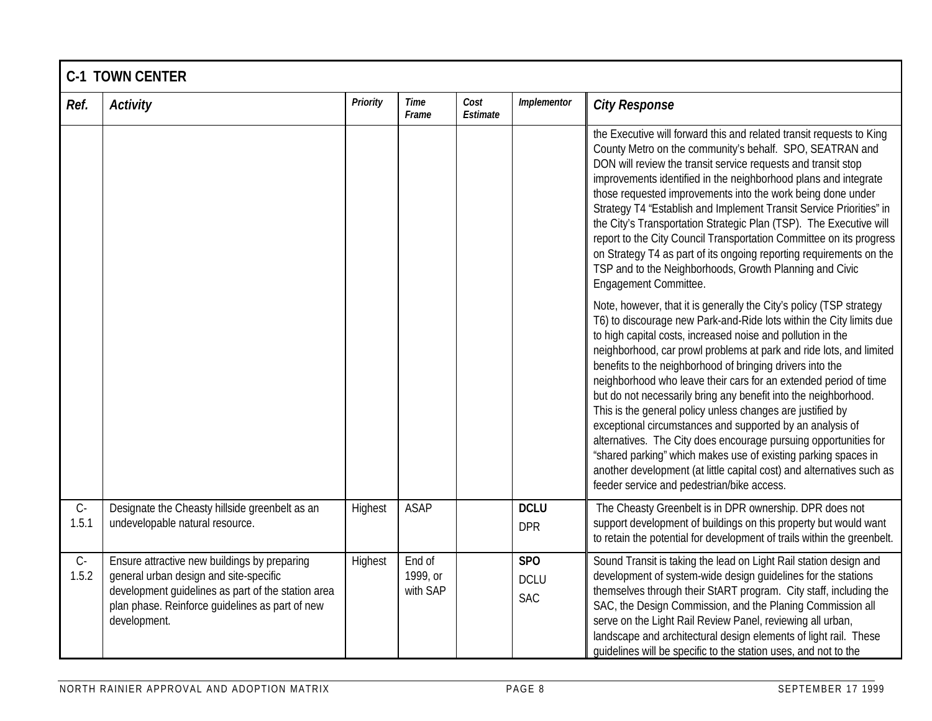|                | <b>C-1 TOWN CENTER</b>                                                                                                                                                                                          |                 |                                |                  |                                              |                                                                                                                                                                                                                                                                                                                                                                                                                                                                                                                                                                                                                                                                                                                                                                                                                                                                              |  |  |  |  |
|----------------|-----------------------------------------------------------------------------------------------------------------------------------------------------------------------------------------------------------------|-----------------|--------------------------------|------------------|----------------------------------------------|------------------------------------------------------------------------------------------------------------------------------------------------------------------------------------------------------------------------------------------------------------------------------------------------------------------------------------------------------------------------------------------------------------------------------------------------------------------------------------------------------------------------------------------------------------------------------------------------------------------------------------------------------------------------------------------------------------------------------------------------------------------------------------------------------------------------------------------------------------------------------|--|--|--|--|
| Ref.           | <b>Activity</b>                                                                                                                                                                                                 | <b>Priority</b> | <b>Time</b><br>Frame           | Cost<br>Estimate | Implementor                                  | <b>City Response</b>                                                                                                                                                                                                                                                                                                                                                                                                                                                                                                                                                                                                                                                                                                                                                                                                                                                         |  |  |  |  |
|                |                                                                                                                                                                                                                 |                 |                                |                  |                                              | the Executive will forward this and related transit requests to King<br>County Metro on the community's behalf. SPO, SEATRAN and<br>DON will review the transit service requests and transit stop<br>improvements identified in the neighborhood plans and integrate<br>those requested improvements into the work being done under<br>Strategy T4 "Establish and Implement Transit Service Priorities" in<br>the City's Transportation Strategic Plan (TSP). The Executive will<br>report to the City Council Transportation Committee on its progress<br>on Strategy T4 as part of its ongoing reporting requirements on the<br>TSP and to the Neighborhoods, Growth Planning and Civic<br>Engagement Committee.                                                                                                                                                           |  |  |  |  |
|                |                                                                                                                                                                                                                 |                 |                                |                  |                                              | Note, however, that it is generally the City's policy (TSP strategy<br>T6) to discourage new Park-and-Ride lots within the City limits due<br>to high capital costs, increased noise and pollution in the<br>neighborhood, car prowl problems at park and ride lots, and limited<br>benefits to the neighborhood of bringing drivers into the<br>neighborhood who leave their cars for an extended period of time<br>but do not necessarily bring any benefit into the neighborhood.<br>This is the general policy unless changes are justified by<br>exceptional circumstances and supported by an analysis of<br>alternatives. The City does encourage pursuing opportunities for<br>"shared parking" which makes use of existing parking spaces in<br>another development (at little capital cost) and alternatives such as<br>feeder service and pedestrian/bike access. |  |  |  |  |
| $C -$<br>1.5.1 | Designate the Cheasty hillside greenbelt as an<br>undevelopable natural resource.                                                                                                                               | Highest         | <b>ASAP</b>                    |                  | <b>DCLU</b><br><b>DPR</b>                    | The Cheasty Greenbelt is in DPR ownership. DPR does not<br>support development of buildings on this property but would want<br>to retain the potential for development of trails within the greenbelt.                                                                                                                                                                                                                                                                                                                                                                                                                                                                                                                                                                                                                                                                       |  |  |  |  |
| $C -$<br>1.5.2 | Ensure attractive new buildings by preparing<br>general urban design and site-specific<br>development guidelines as part of the station area<br>plan phase. Reinforce guidelines as part of new<br>development. | Highest         | End of<br>1999, or<br>with SAP |                  | SP <sub>O</sub><br><b>DCLU</b><br><b>SAC</b> | Sound Transit is taking the lead on Light Rail station design and<br>development of system-wide design guidelines for the stations<br>themselves through their StART program. City staff, including the<br>SAC, the Design Commission, and the Planing Commission all<br>serve on the Light Rail Review Panel, reviewing all urban,<br>landscape and architectural design elements of light rail. These<br>quidelines will be specific to the station uses, and not to the                                                                                                                                                                                                                                                                                                                                                                                                   |  |  |  |  |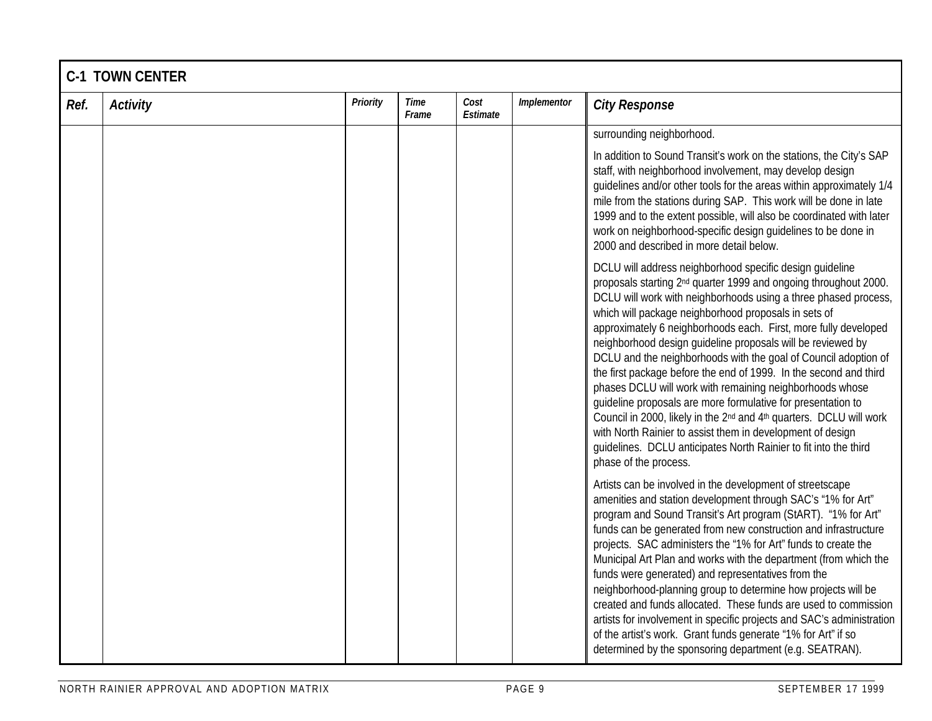|      | <b>C-1 TOWN CENTER</b> |          |                      |                  |             |                                                                                                                                                                                                                                                                                                                                                                                                                                                                                                                                                                                                                                                                                                                                                                                                                                                                                                                                     |  |  |  |  |
|------|------------------------|----------|----------------------|------------------|-------------|-------------------------------------------------------------------------------------------------------------------------------------------------------------------------------------------------------------------------------------------------------------------------------------------------------------------------------------------------------------------------------------------------------------------------------------------------------------------------------------------------------------------------------------------------------------------------------------------------------------------------------------------------------------------------------------------------------------------------------------------------------------------------------------------------------------------------------------------------------------------------------------------------------------------------------------|--|--|--|--|
| Ref. | <b>Activity</b>        | Priority | <b>Time</b><br>Frame | Cost<br>Estimate | Implementor | <b>City Response</b>                                                                                                                                                                                                                                                                                                                                                                                                                                                                                                                                                                                                                                                                                                                                                                                                                                                                                                                |  |  |  |  |
|      |                        |          |                      |                  |             | surrounding neighborhood.                                                                                                                                                                                                                                                                                                                                                                                                                                                                                                                                                                                                                                                                                                                                                                                                                                                                                                           |  |  |  |  |
|      |                        |          |                      |                  |             | In addition to Sound Transit's work on the stations, the City's SAP<br>staff, with neighborhood involvement, may develop design<br>quidelines and/or other tools for the areas within approximately 1/4<br>mile from the stations during SAP. This work will be done in late<br>1999 and to the extent possible, will also be coordinated with later<br>work on neighborhood-specific design guidelines to be done in<br>2000 and described in more detail below.                                                                                                                                                                                                                                                                                                                                                                                                                                                                   |  |  |  |  |
|      |                        |          |                      |                  |             | DCLU will address neighborhood specific design quideline<br>proposals starting 2 <sup>nd</sup> quarter 1999 and ongoing throughout 2000.<br>DCLU will work with neighborhoods using a three phased process,<br>which will package neighborhood proposals in sets of<br>approximately 6 neighborhoods each. First, more fully developed<br>neighborhood design guideline proposals will be reviewed by<br>DCLU and the neighborhoods with the goal of Council adoption of<br>the first package before the end of 1999. In the second and third<br>phases DCLU will work with remaining neighborhoods whose<br>quideline proposals are more formulative for presentation to<br>Council in 2000, likely in the 2 <sup>nd</sup> and 4 <sup>th</sup> quarters. DCLU will work<br>with North Rainier to assist them in development of design<br>guidelines. DCLU anticipates North Rainier to fit into the third<br>phase of the process. |  |  |  |  |
|      |                        |          |                      |                  |             | Artists can be involved in the development of streetscape<br>amenities and station development through SAC's "1% for Art"<br>program and Sound Transit's Art program (StART). "1% for Art"<br>funds can be generated from new construction and infrastructure<br>projects. SAC administers the "1% for Art" funds to create the<br>Municipal Art Plan and works with the department (from which the<br>funds were generated) and representatives from the<br>neighborhood-planning group to determine how projects will be<br>created and funds allocated. These funds are used to commission<br>artists for involvement in specific projects and SAC's administration<br>of the artist's work. Grant funds generate "1% for Art" if so<br>determined by the sponsoring department (e.g. SEATRAN).                                                                                                                                  |  |  |  |  |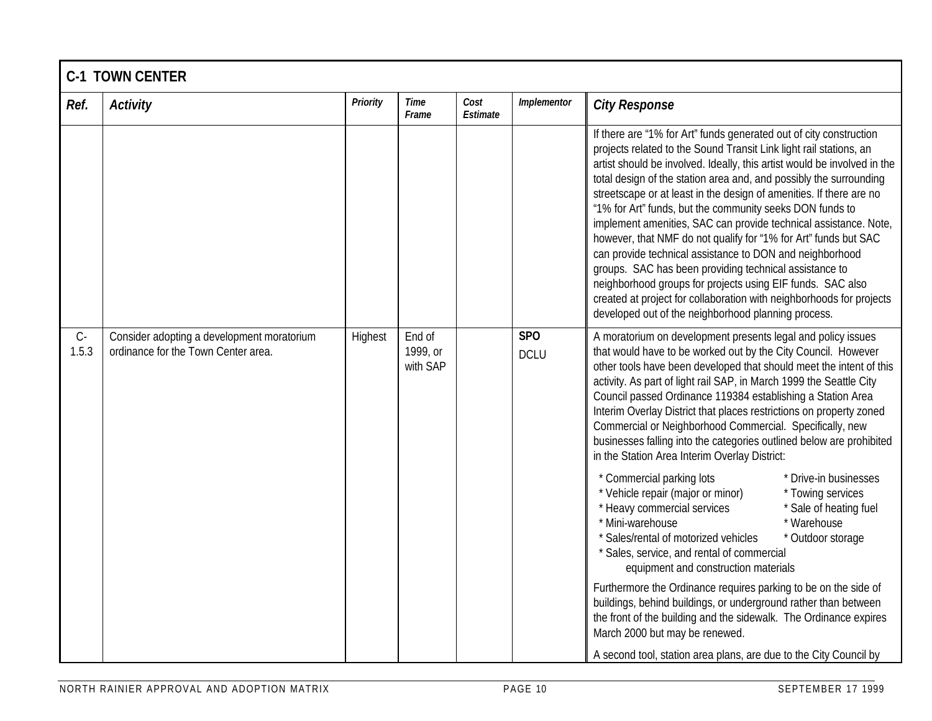|                               | <b>C-1 TOWN CENTER</b>                                                            |                 |                                |                  |                                |                                                                                                                                                                                                                                                                                                                                                                                                                                                                                                                                                                                                                                                                                                                                                                                                                                                                                                                                                                                                                                                                                                                                                                                                                                                                                         |  |  |  |  |
|-------------------------------|-----------------------------------------------------------------------------------|-----------------|--------------------------------|------------------|--------------------------------|-----------------------------------------------------------------------------------------------------------------------------------------------------------------------------------------------------------------------------------------------------------------------------------------------------------------------------------------------------------------------------------------------------------------------------------------------------------------------------------------------------------------------------------------------------------------------------------------------------------------------------------------------------------------------------------------------------------------------------------------------------------------------------------------------------------------------------------------------------------------------------------------------------------------------------------------------------------------------------------------------------------------------------------------------------------------------------------------------------------------------------------------------------------------------------------------------------------------------------------------------------------------------------------------|--|--|--|--|
| Ref.                          | <b>Activity</b>                                                                   | <b>Priority</b> | Time<br>Frame                  | Cost<br>Estimate | Implementor                    | <b>City Response</b>                                                                                                                                                                                                                                                                                                                                                                                                                                                                                                                                                                                                                                                                                                                                                                                                                                                                                                                                                                                                                                                                                                                                                                                                                                                                    |  |  |  |  |
|                               |                                                                                   |                 |                                |                  |                                | If there are "1% for Art" funds generated out of city construction<br>projects related to the Sound Transit Link light rail stations, an<br>artist should be involved. Ideally, this artist would be involved in the<br>total design of the station area and, and possibly the surrounding<br>streetscape or at least in the design of amenities. If there are no<br>"1% for Art" funds, but the community seeks DON funds to<br>implement amenities, SAC can provide technical assistance. Note,<br>however, that NMF do not qualify for "1% for Art" funds but SAC<br>can provide technical assistance to DON and neighborhood<br>groups. SAC has been providing technical assistance to<br>neighborhood groups for projects using EIF funds. SAC also<br>created at project for collaboration with neighborhoods for projects<br>developed out of the neighborhood planning process.                                                                                                                                                                                                                                                                                                                                                                                                 |  |  |  |  |
| $\mathsf{C}\text{-}$<br>1.5.3 | Consider adopting a development moratorium<br>ordinance for the Town Center area. | Highest         | End of<br>1999, or<br>with SAP |                  | SP <sub>O</sub><br><b>DCLU</b> | A moratorium on development presents legal and policy issues<br>that would have to be worked out by the City Council. However<br>other tools have been developed that should meet the intent of this<br>activity. As part of light rail SAP, in March 1999 the Seattle City<br>Council passed Ordinance 119384 establishing a Station Area<br>Interim Overlay District that places restrictions on property zoned<br>Commercial or Neighborhood Commercial. Specifically, new<br>businesses falling into the categories outlined below are prohibited<br>in the Station Area Interim Overlay District:<br>* Commercial parking lots<br>* Drive-in businesses<br>* Vehicle repair (major or minor)<br>* Towing services<br>* Heavy commercial services<br>* Sale of heating fuel<br>* Mini-warehouse<br>* Warehouse<br>* Sales/rental of motorized vehicles<br>* Outdoor storage<br>* Sales, service, and rental of commercial<br>equipment and construction materials<br>Furthermore the Ordinance requires parking to be on the side of<br>buildings, behind buildings, or underground rather than between<br>the front of the building and the sidewalk. The Ordinance expires<br>March 2000 but may be renewed.<br>A second tool, station area plans, are due to the City Council by |  |  |  |  |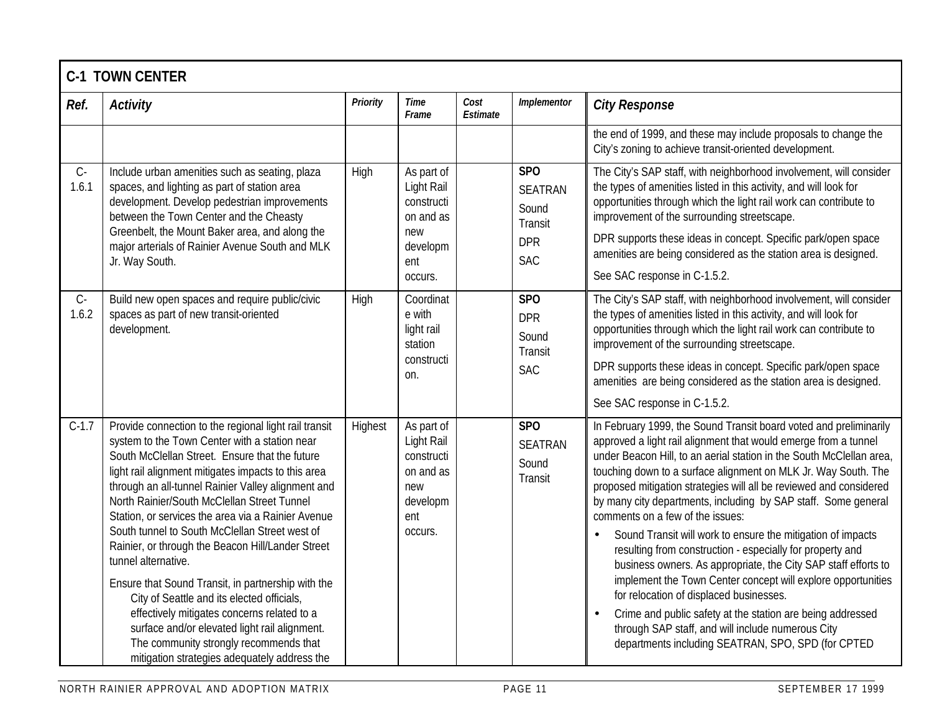|                | <b>C-1 TOWN CENTER</b>                                                                                                                                                                                                                                                                                                                                                                                                                                                                                                                                                                                                                                                                                                                                                                                 |                 |                                                                                          |                  |                                                                       |                                                                                                                                                                                                                                                                                                                                                                                                                                                                                                                                                                                                                                                                                                                                                                                                                                                                                                                                                                        |  |  |  |  |
|----------------|--------------------------------------------------------------------------------------------------------------------------------------------------------------------------------------------------------------------------------------------------------------------------------------------------------------------------------------------------------------------------------------------------------------------------------------------------------------------------------------------------------------------------------------------------------------------------------------------------------------------------------------------------------------------------------------------------------------------------------------------------------------------------------------------------------|-----------------|------------------------------------------------------------------------------------------|------------------|-----------------------------------------------------------------------|------------------------------------------------------------------------------------------------------------------------------------------------------------------------------------------------------------------------------------------------------------------------------------------------------------------------------------------------------------------------------------------------------------------------------------------------------------------------------------------------------------------------------------------------------------------------------------------------------------------------------------------------------------------------------------------------------------------------------------------------------------------------------------------------------------------------------------------------------------------------------------------------------------------------------------------------------------------------|--|--|--|--|
| Ref.           | <b>Activity</b>                                                                                                                                                                                                                                                                                                                                                                                                                                                                                                                                                                                                                                                                                                                                                                                        | <b>Priority</b> | <b>Time</b><br>Frame                                                                     | Cost<br>Estimate | Implementor                                                           | <b>City Response</b>                                                                                                                                                                                                                                                                                                                                                                                                                                                                                                                                                                                                                                                                                                                                                                                                                                                                                                                                                   |  |  |  |  |
|                |                                                                                                                                                                                                                                                                                                                                                                                                                                                                                                                                                                                                                                                                                                                                                                                                        |                 |                                                                                          |                  |                                                                       | the end of 1999, and these may include proposals to change the<br>City's zoning to achieve transit-oriented development.                                                                                                                                                                                                                                                                                                                                                                                                                                                                                                                                                                                                                                                                                                                                                                                                                                               |  |  |  |  |
| $C-$<br>1.6.1  | Include urban amenities such as seating, plaza<br>spaces, and lighting as part of station area<br>development. Develop pedestrian improvements<br>between the Town Center and the Cheasty<br>Greenbelt, the Mount Baker area, and along the<br>major arterials of Rainier Avenue South and MLK<br>Jr. Way South.                                                                                                                                                                                                                                                                                                                                                                                                                                                                                       | High            | As part of<br>Light Rail<br>constructi<br>on and as<br>new<br>developm<br>ent<br>occurs. |                  | SPO<br><b>SEATRAN</b><br>Sound<br>Transit<br><b>DPR</b><br><b>SAC</b> | The City's SAP staff, with neighborhood involvement, will consider<br>the types of amenities listed in this activity, and will look for<br>opportunities through which the light rail work can contribute to<br>improvement of the surrounding streetscape.<br>DPR supports these ideas in concept. Specific park/open space<br>amenities are being considered as the station area is designed.<br>See SAC response in C-1.5.2.                                                                                                                                                                                                                                                                                                                                                                                                                                                                                                                                        |  |  |  |  |
| $C -$<br>1.6.2 | Build new open spaces and require public/civic<br>spaces as part of new transit-oriented<br>development.                                                                                                                                                                                                                                                                                                                                                                                                                                                                                                                                                                                                                                                                                               | High            | Coordinat<br>e with<br>light rail<br>station<br>constructi<br>on.                        |                  | SP <sub>O</sub><br><b>DPR</b><br>Sound<br>Transit<br><b>SAC</b>       | The City's SAP staff, with neighborhood involvement, will consider<br>the types of amenities listed in this activity, and will look for<br>opportunities through which the light rail work can contribute to<br>improvement of the surrounding streetscape.<br>DPR supports these ideas in concept. Specific park/open space<br>amenities are being considered as the station area is designed.<br>See SAC response in C-1.5.2.                                                                                                                                                                                                                                                                                                                                                                                                                                                                                                                                        |  |  |  |  |
| $C-1.7$        | Provide connection to the regional light rail transit<br>system to the Town Center with a station near<br>South McClellan Street. Ensure that the future<br>light rail alignment mitigates impacts to this area<br>through an all-tunnel Rainier Valley alignment and<br>North Rainier/South McClellan Street Tunnel<br>Station, or services the area via a Rainier Avenue<br>South tunnel to South McClellan Street west of<br>Rainier, or through the Beacon Hill/Lander Street<br>tunnel alternative.<br>Ensure that Sound Transit, in partnership with the<br>City of Seattle and its elected officials,<br>effectively mitigates concerns related to a<br>surface and/or elevated light rail alignment.<br>The community strongly recommends that<br>mitigation strategies adequately address the | Highest         | As part of<br>Light Rail<br>constructi<br>on and as<br>new<br>developm<br>ent<br>occurs. |                  | <b>SPO</b><br><b>SEATRAN</b><br>Sound<br>Transit                      | In February 1999, the Sound Transit board voted and preliminarily<br>approved a light rail alignment that would emerge from a tunnel<br>under Beacon Hill, to an aerial station in the South McClellan area,<br>touching down to a surface alignment on MLK Jr. Way South. The<br>proposed mitigation strategies will all be reviewed and considered<br>by many city departments, including by SAP staff. Some general<br>comments on a few of the issues:<br>Sound Transit will work to ensure the mitigation of impacts<br>$\bullet$<br>resulting from construction - especially for property and<br>business owners. As appropriate, the City SAP staff efforts to<br>implement the Town Center concept will explore opportunities<br>for relocation of displaced businesses.<br>Crime and public safety at the station are being addressed<br>$\bullet$<br>through SAP staff, and will include numerous City<br>departments including SEATRAN, SPO, SPD (for CPTED |  |  |  |  |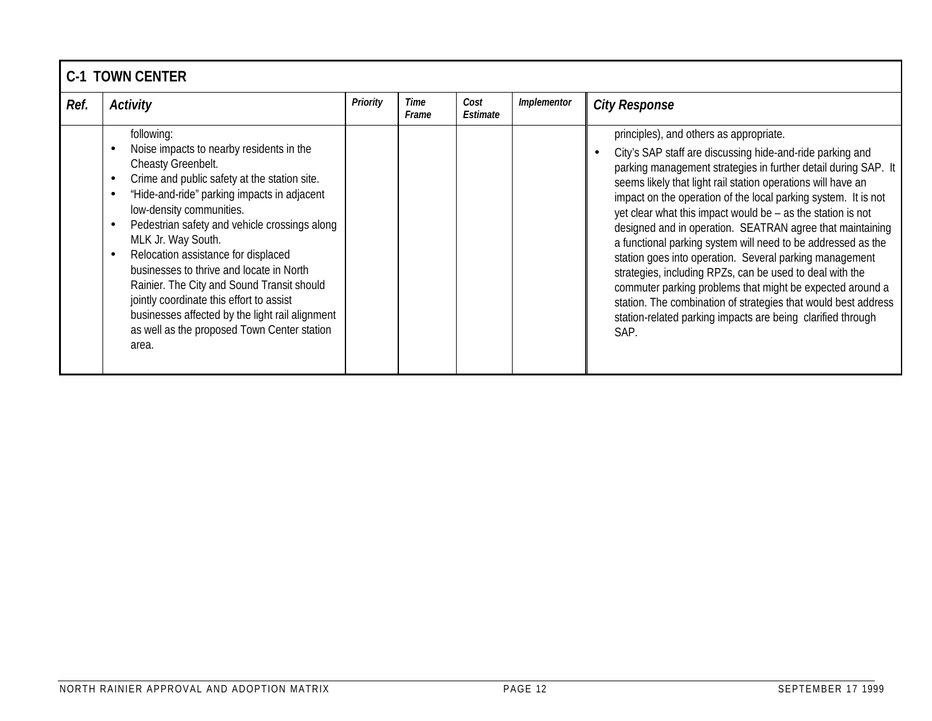|      | <b>C-1 TOWN CENTER</b>                                                                                                                                                                                                                                                                                                                                                                                                                                                                                                                                                 |                 |               |                  |             |                                                                                                                                                                                                                                                                                                                                                                                                                                                                                                                                                                                                                                                                                                                                                                                                                                   |  |  |  |  |
|------|------------------------------------------------------------------------------------------------------------------------------------------------------------------------------------------------------------------------------------------------------------------------------------------------------------------------------------------------------------------------------------------------------------------------------------------------------------------------------------------------------------------------------------------------------------------------|-----------------|---------------|------------------|-------------|-----------------------------------------------------------------------------------------------------------------------------------------------------------------------------------------------------------------------------------------------------------------------------------------------------------------------------------------------------------------------------------------------------------------------------------------------------------------------------------------------------------------------------------------------------------------------------------------------------------------------------------------------------------------------------------------------------------------------------------------------------------------------------------------------------------------------------------|--|--|--|--|
| Ref. | <b>Activity</b>                                                                                                                                                                                                                                                                                                                                                                                                                                                                                                                                                        | <b>Priority</b> | Time<br>Frame | Cost<br>Estimate | Implementor | <b>City Response</b>                                                                                                                                                                                                                                                                                                                                                                                                                                                                                                                                                                                                                                                                                                                                                                                                              |  |  |  |  |
|      | following:<br>Noise impacts to nearby residents in the<br>Cheasty Greenbelt.<br>Crime and public safety at the station site.<br>"Hide-and-ride" parking impacts in adjacent<br>low-density communities.<br>Pedestrian safety and vehicle crossings along<br>MLK Jr. Way South.<br>Relocation assistance for displaced<br>businesses to thrive and locate in North<br>Rainier. The City and Sound Transit should<br>jointly coordinate this effort to assist<br>businesses affected by the light rail alignment<br>as well as the proposed Town Center station<br>area. |                 |               |                  |             | principles), and others as appropriate.<br>City's SAP staff are discussing hide-and-ride parking and<br>parking management strategies in further detail during SAP. It<br>seems likely that light rail station operations will have an<br>impact on the operation of the local parking system. It is not<br>yet clear what this impact would be - as the station is not<br>designed and in operation. SEATRAN agree that maintaining<br>a functional parking system will need to be addressed as the<br>station goes into operation. Several parking management<br>strategies, including RPZs, can be used to deal with the<br>commuter parking problems that might be expected around a<br>station. The combination of strategies that would best address<br>station-related parking impacts are being clarified through<br>SAP. |  |  |  |  |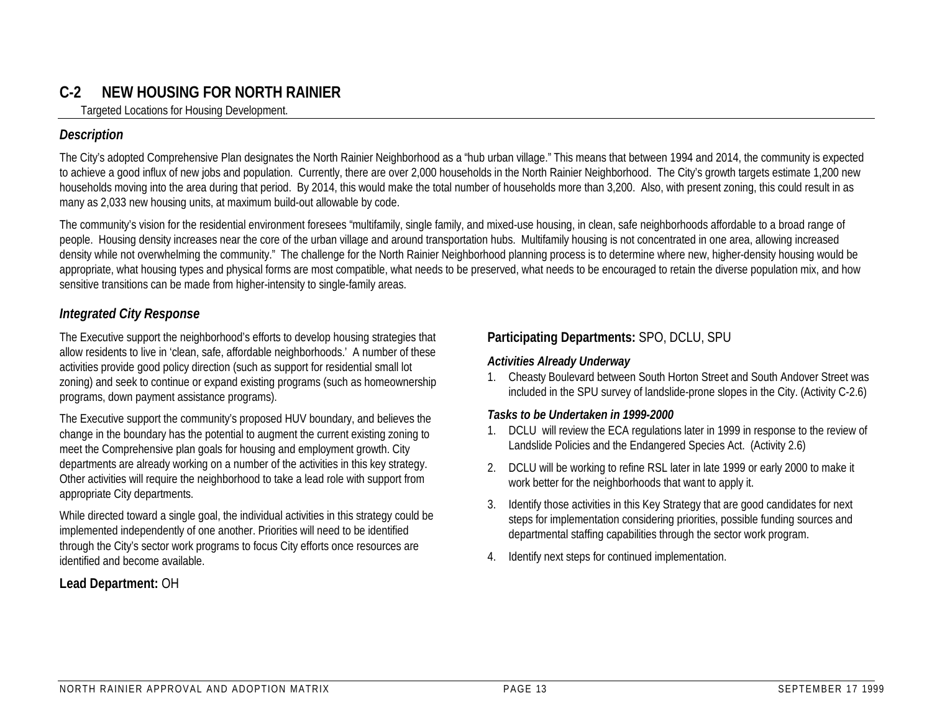## **C-2 NEW HOUSING FOR NORTH RAINIER**

Targeted Locations for Housing Development.

#### *Description*

The City's adopted Comprehensive Plan designates the North Rainier Neighborhood as a "hub urban village." This means that between 1994 and 2014, the community is expected to achieve a good influx of new jobs and population. Currently, there are over 2,000 households in the North Rainier Neighborhood. The City's growth targets estimate 1,200 new households moving into the area during that period. By 2014, this would make the total number of households more than 3,200. Also, with present zoning, this could result in as many as 2,033 new housing units, at maximum build-out allowable by code.

The community's vision for the residential environment foresees "multifamily, single family, and mixed-use housing, in clean, safe neighborhoods affordable to a broad range of people. Housing density increases near the core of the urban village and around transportation hubs. Multifamily housing is not concentrated in one area, allowing increased density while not overwhelming the community." The challenge for the North Rainier Neighborhood planning process is to determine where new, higher-density housing would be appropriate, what housing types and physical forms are most compatible, what needs to be preserved, what needs to be encouraged to retain the diverse population mix, and how sensitive transitions can be made from higher-intensity to single-family areas.

#### *Integrated City Response*

The Executive support the neighborhood's efforts to develop housing strategies that allow residents to live in 'clean, safe, affordable neighborhoods.' A number of these activities provide good policy direction (such as support for residential small lot zoning) and seek to continue or expand existing programs (such as homeownership programs, down payment assistance programs).

The Executive support the community's proposed HUV boundary, and believes the change in the boundary has the potential to augment the current existing zoning to meet the Comprehensive plan goals for housing and employment growth. City departments are already working on a number of the activities in this key strategy. Other activities will require the neighborhood to take a lead role with support from appropriate City departments.

While directed toward a single goal, the individual activities in this strategy could be implemented independently of one another. Priorities will need to be identified through the City's sector work programs to focus City efforts once resources are identified and become available.

#### **Lead Department:** OH

#### **Participating Departments:** SPO, DCLU, SPU

#### *Activities Already Underway*

1. Cheasty Boulevard between South Horton Street and South Andover Street was included in the SPU survey of landslide-prone slopes in the City. (Activity C-2.6)

#### *Tasks to be Undertaken in 1999-2000*

- 1. DCLU will review the ECA regulations later in 1999 in response to the review of Landslide Policies and the Endangered Species Act. (Activity 2.6)
- 2. DCLU will be working to refine RSL later in late 1999 or early 2000 to make it work better for the neighborhoods that want to apply it.
- 3. Identify those activities in this Key Strategy that are good candidates for next steps for implementation considering priorities, possible funding sources and departmental staffing capabilities through the sector work program.
- 4. Identify next steps for continued implementation.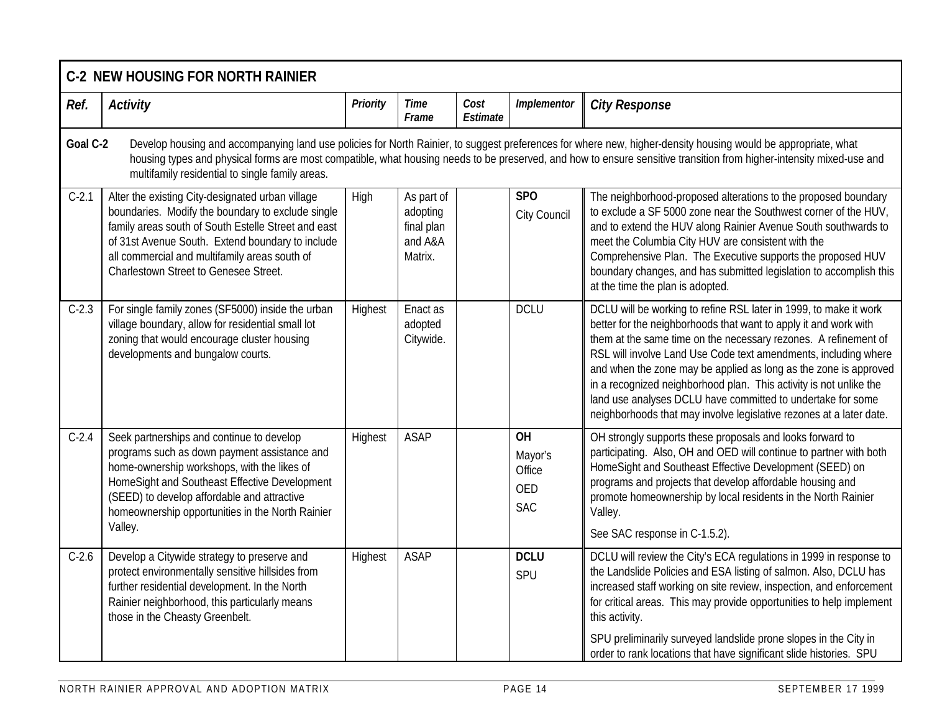|          | <b>C-2 NEW HOUSING FOR NORTH RAINIER</b>                                                                                                                                                                                                                                                                   |                 |                                                            |                  |                                                            |                                                                                                                                                                                                                                                                                                                                                                                                                                                                                                                                                             |  |  |  |  |
|----------|------------------------------------------------------------------------------------------------------------------------------------------------------------------------------------------------------------------------------------------------------------------------------------------------------------|-----------------|------------------------------------------------------------|------------------|------------------------------------------------------------|-------------------------------------------------------------------------------------------------------------------------------------------------------------------------------------------------------------------------------------------------------------------------------------------------------------------------------------------------------------------------------------------------------------------------------------------------------------------------------------------------------------------------------------------------------------|--|--|--|--|
| Ref.     | <b>Activity</b>                                                                                                                                                                                                                                                                                            | <b>Priority</b> | <b>Time</b><br>Frame                                       | Cost<br>Estimate | Implementor                                                | <b>City Response</b>                                                                                                                                                                                                                                                                                                                                                                                                                                                                                                                                        |  |  |  |  |
| Goal C-2 | multifamily residential to single family areas.                                                                                                                                                                                                                                                            |                 |                                                            |                  |                                                            | Develop housing and accompanying land use policies for North Rainier, to suggest preferences for where new, higher-density housing would be appropriate, what<br>housing types and physical forms are most compatible, what housing needs to be preserved, and how to ensure sensitive transition from higher-intensity mixed-use and                                                                                                                                                                                                                       |  |  |  |  |
| $C-2.1$  | Alter the existing City-designated urban village<br>boundaries. Modify the boundary to exclude single<br>family areas south of South Estelle Street and east<br>of 31st Avenue South. Extend boundary to include<br>all commercial and multifamily areas south of<br>Charlestown Street to Genesee Street. | High            | As part of<br>adopting<br>final plan<br>and A&A<br>Matrix. |                  | <b>SPO</b><br>City Council                                 | The neighborhood-proposed alterations to the proposed boundary<br>to exclude a SF 5000 zone near the Southwest corner of the HUV,<br>and to extend the HUV along Rainier Avenue South southwards to<br>meet the Columbia City HUV are consistent with the<br>Comprehensive Plan. The Executive supports the proposed HUV<br>boundary changes, and has submitted legislation to accomplish this<br>at the time the plan is adopted.                                                                                                                          |  |  |  |  |
| $C-2.3$  | For single family zones (SF5000) inside the urban<br>village boundary, allow for residential small lot<br>zoning that would encourage cluster housing<br>developments and bungalow courts.                                                                                                                 | Highest         | Enact as<br>adopted<br>Citywide.                           |                  | <b>DCLU</b>                                                | DCLU will be working to refine RSL later in 1999, to make it work<br>better for the neighborhoods that want to apply it and work with<br>them at the same time on the necessary rezones. A refinement of<br>RSL will involve Land Use Code text amendments, including where<br>and when the zone may be applied as long as the zone is approved<br>in a recognized neighborhood plan. This activity is not unlike the<br>land use analyses DCLU have committed to undertake for some<br>neighborhoods that may involve legislative rezones at a later date. |  |  |  |  |
| $C-2.4$  | Seek partnerships and continue to develop<br>programs such as down payment assistance and<br>home-ownership workshops, with the likes of<br>HomeSight and Southeast Effective Development<br>(SEED) to develop affordable and attractive<br>homeownership opportunities in the North Rainier<br>Valley.    | Highest         | <b>ASAP</b>                                                |                  | <b>OH</b><br>Mayor's<br>Office<br><b>OED</b><br><b>SAC</b> | OH strongly supports these proposals and looks forward to<br>participating. Also, OH and OED will continue to partner with both<br>HomeSight and Southeast Effective Development (SEED) on<br>programs and projects that develop affordable housing and<br>promote homeownership by local residents in the North Rainier<br>Valley.<br>See SAC response in C-1.5.2).                                                                                                                                                                                        |  |  |  |  |
| $C-2.6$  | Develop a Citywide strategy to preserve and<br>protect environmentally sensitive hillsides from<br>further residential development. In the North<br>Rainier neighborhood, this particularly means<br>those in the Cheasty Greenbelt.                                                                       | Highest         | <b>ASAP</b>                                                |                  | <b>DCLU</b><br>SPU                                         | DCLU will review the City's ECA regulations in 1999 in response to<br>the Landslide Policies and ESA listing of salmon. Also, DCLU has<br>increased staff working on site review, inspection, and enforcement<br>for critical areas. This may provide opportunities to help implement<br>this activity.<br>SPU preliminarily surveyed landslide prone slopes in the City in<br>order to rank locations that have significant slide histories. SPU                                                                                                           |  |  |  |  |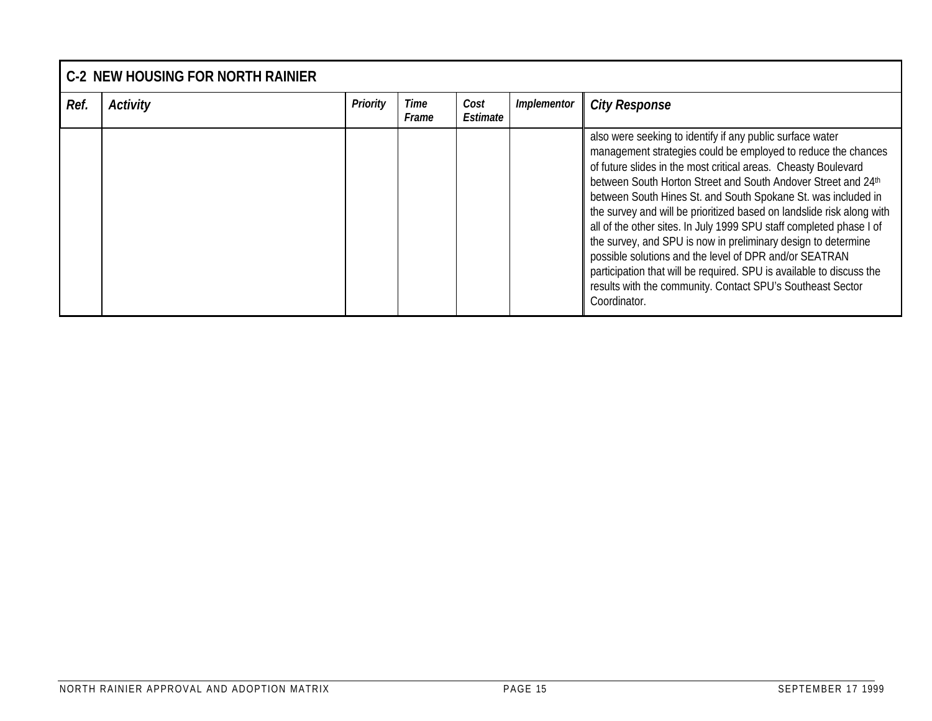|      | <b>C-2 NEW HOUSING FOR NORTH RAINIER</b> |          |               |                  |             |                                                                                                                                                                                                                                                                                                                                                                                                                                                                                                                                                                                                                                                                                                                                                                 |  |  |  |
|------|------------------------------------------|----------|---------------|------------------|-------------|-----------------------------------------------------------------------------------------------------------------------------------------------------------------------------------------------------------------------------------------------------------------------------------------------------------------------------------------------------------------------------------------------------------------------------------------------------------------------------------------------------------------------------------------------------------------------------------------------------------------------------------------------------------------------------------------------------------------------------------------------------------------|--|--|--|
| Ref. | <b>Activity</b>                          | Priority | Time<br>Frame | Cost<br>Estimate | Implementor | <b>City Response</b>                                                                                                                                                                                                                                                                                                                                                                                                                                                                                                                                                                                                                                                                                                                                            |  |  |  |
|      |                                          |          |               |                  |             | also were seeking to identify if any public surface water<br>management strategies could be employed to reduce the chances<br>of future slides in the most critical areas. Cheasty Boulevard<br>between South Horton Street and South Andover Street and 24th<br>between South Hines St. and South Spokane St. was included in<br>the survey and will be prioritized based on landslide risk along with<br>all of the other sites. In July 1999 SPU staff completed phase I of<br>the survey, and SPU is now in preliminary design to determine<br>possible solutions and the level of DPR and/or SEATRAN<br>participation that will be required. SPU is available to discuss the<br>results with the community. Contact SPU's Southeast Sector<br>Coordinator. |  |  |  |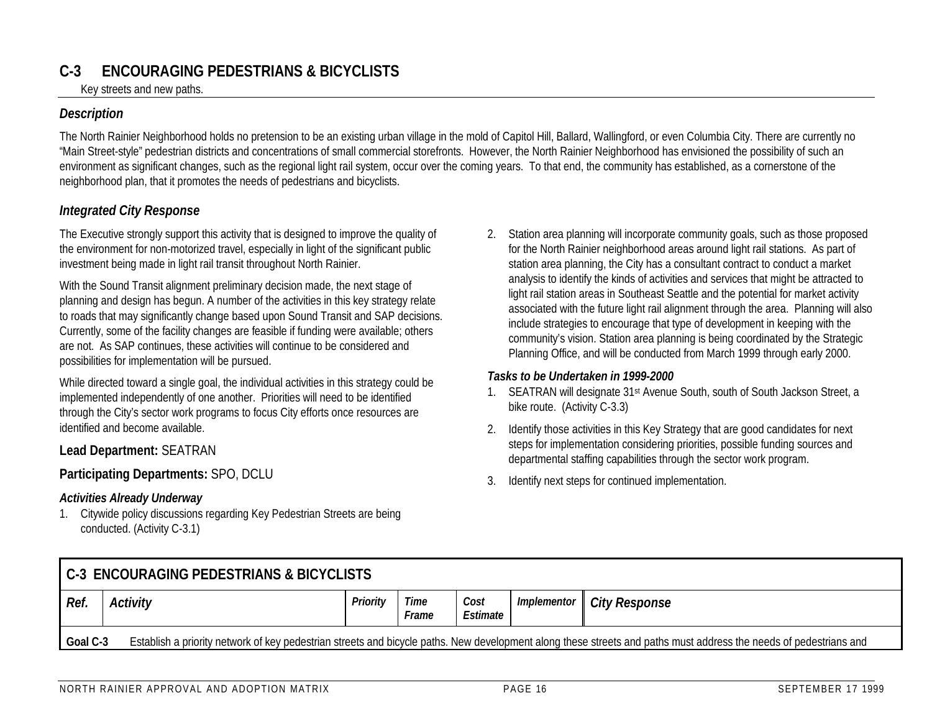## **C-3 ENCOURAGING PEDESTRIANS & BICYCLISTS**

Key streets and new paths.

#### *Description*

The North Rainier Neighborhood holds no pretension to be an existing urban village in the mold of Capitol Hill, Ballard, Wallingford, or even Columbia City. There are currently no "Main Street-style" pedestrian districts and concentrations of small commercial storefronts. However, the North Rainier Neighborhood has envisioned the possibility of such an environment as significant changes, such as the regional light rail system, occur over the coming years. To that end, the community has established, as a cornerstone of the neighborhood plan, that it promotes the needs of pedestrians and bicyclists.

#### *Integrated City Response*

The Executive strongly support this activity that is designed to improve the quality of the environment for non-motorized travel, especially in light of the significant public investment being made in light rail transit throughout North Rainier.

With the Sound Transit alignment preliminary decision made, the next stage of planning and design has begun. A number of the activities in this key strategy relate to roads that may significantly change based upon Sound Transit and SAP decisions. Currently, some of the facility changes are feasible if funding were available; others are not. As SAP continues, these activities will continue to be considered and possibilities for implementation will be pursued.

While directed toward a single goal, the individual activities in this strategy could be implemented independently of one another. Priorities will need to be identified through the City's sector work programs to focus City efforts once resources are identified and become available.

#### **Lead Department:** SEATRAN

#### **Participating Departments:** SPO, DCLU

#### *Activities Already Underway*

1. Citywide policy discussions regarding Key Pedestrian Streets are being conducted. (Activity C-3.1)

2. Station area planning will incorporate community goals, such as those proposed for the North Rainier neighborhood areas around light rail stations. As part of station area planning, the City has a consultant contract to conduct a market analysis to identify the kinds of activities and services that might be attracted to light rail station areas in Southeast Seattle and the potential for market activity associated with the future light rail alignment through the area. Planning will also include strategies to encourage that type of development in keeping with the community's vision. Station area planning is being coordinated by the Strategic Planning Office, and will be conducted from March 1999 through early 2000.

#### *Tasks to be Undertaken in 1999-2000*

- 1. SEATRAN will designate 31st Avenue South, south of South Jackson Street, a bike route. (Activity C-3.3)
- 2. Identify those activities in this Key Strategy that are good candidates for next steps for implementation considering priorities, possible funding sources and departmental staffing capabilities through the sector work program.
- 3. Identify next steps for continued implementation.

| <b>C-3 ENCOURAGING PEDESTRIANS &amp; BICYCLISTS</b> |                                                                                                                                                                               |          |               |                  |             |                      |  |  |  |
|-----------------------------------------------------|-------------------------------------------------------------------------------------------------------------------------------------------------------------------------------|----------|---------------|------------------|-------------|----------------------|--|--|--|
| Ref.                                                | Activity                                                                                                                                                                      | Priority | Time<br>Frame | Cost<br>Estimate | Implementor | <b>City Response</b> |  |  |  |
|                                                     | Goal C-3<br>Establish a priority network of key pedestrian streets and bicycle paths. New development along these streets and paths must address the needs of pedestrians and |          |               |                  |             |                      |  |  |  |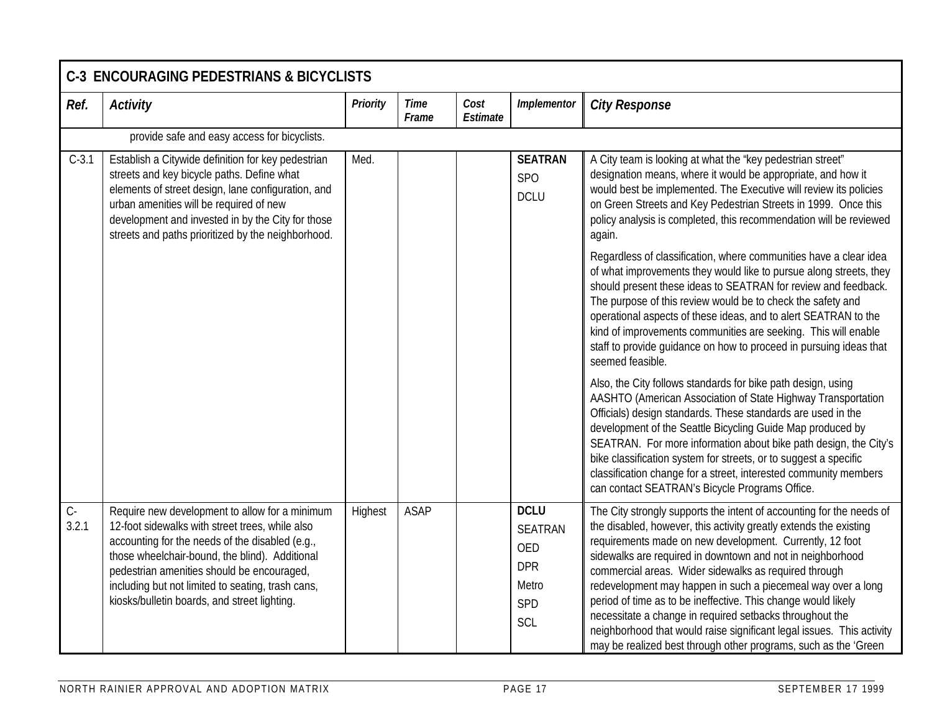|                | <b>C-3 ENCOURAGING PEDESTRIANS &amp; BICYCLISTS</b>                                                                                                                                                                                                                                                                                                       |          |                      |                  |                                                                                  |                                                                                                                                                                                                                                                                                                                                                                                                                                                                                                                                                                                                                                                                        |  |  |  |  |  |
|----------------|-----------------------------------------------------------------------------------------------------------------------------------------------------------------------------------------------------------------------------------------------------------------------------------------------------------------------------------------------------------|----------|----------------------|------------------|----------------------------------------------------------------------------------|------------------------------------------------------------------------------------------------------------------------------------------------------------------------------------------------------------------------------------------------------------------------------------------------------------------------------------------------------------------------------------------------------------------------------------------------------------------------------------------------------------------------------------------------------------------------------------------------------------------------------------------------------------------------|--|--|--|--|--|
| Ref.           | <b>Activity</b>                                                                                                                                                                                                                                                                                                                                           | Priority | <b>Time</b><br>Frame | Cost<br>Estimate | Implementor                                                                      | <b>City Response</b>                                                                                                                                                                                                                                                                                                                                                                                                                                                                                                                                                                                                                                                   |  |  |  |  |  |
|                | provide safe and easy access for bicyclists.                                                                                                                                                                                                                                                                                                              |          |                      |                  |                                                                                  |                                                                                                                                                                                                                                                                                                                                                                                                                                                                                                                                                                                                                                                                        |  |  |  |  |  |
| $C-3.1$        | Establish a Citywide definition for key pedestrian<br>streets and key bicycle paths. Define what<br>elements of street design, lane configuration, and<br>urban amenities will be required of new<br>development and invested in by the City for those<br>streets and paths prioritized by the neighborhood.                                              | Med.     |                      |                  | <b>SEATRAN</b><br><b>SPO</b><br><b>DCLU</b>                                      | A City team is looking at what the 'key pedestrian street"<br>designation means, where it would be appropriate, and how it<br>would best be implemented. The Executive will review its policies<br>on Green Streets and Key Pedestrian Streets in 1999. Once this<br>policy analysis is completed, this recommendation will be reviewed<br>again.                                                                                                                                                                                                                                                                                                                      |  |  |  |  |  |
|                |                                                                                                                                                                                                                                                                                                                                                           |          |                      |                  |                                                                                  | Regardless of classification, where communities have a clear idea<br>of what improvements they would like to pursue along streets, they<br>should present these ideas to SEATRAN for review and feedback.<br>The purpose of this review would be to check the safety and<br>operational aspects of these ideas, and to alert SEATRAN to the<br>kind of improvements communities are seeking. This will enable<br>staff to provide guidance on how to proceed in pursuing ideas that<br>seemed feasible.                                                                                                                                                                |  |  |  |  |  |
|                |                                                                                                                                                                                                                                                                                                                                                           |          |                      |                  |                                                                                  | Also, the City follows standards for bike path design, using<br>AASHTO (American Association of State Highway Transportation<br>Officials) design standards. These standards are used in the<br>development of the Seattle Bicycling Guide Map produced by<br>SEATRAN. For more information about bike path design, the City's<br>bike classification system for streets, or to suggest a specific<br>classification change for a street, interested community members<br>can contact SEATRAN's Bicycle Programs Office.                                                                                                                                               |  |  |  |  |  |
| $C -$<br>3.2.1 | Require new development to allow for a minimum<br>12-foot sidewalks with street trees, while also<br>accounting for the needs of the disabled (e.g.,<br>those wheelchair-bound, the blind). Additional<br>pedestrian amenities should be encouraged,<br>including but not limited to seating, trash cans,<br>kiosks/bulletin boards, and street lighting. | Highest  | <b>ASAP</b>          |                  | <b>DCLU</b><br><b>SEATRAN</b><br><b>OED</b><br><b>DPR</b><br>Metro<br>SPD<br>SCL | The City strongly supports the intent of accounting for the needs of<br>the disabled, however, this activity greatly extends the existing<br>requirements made on new development. Currently, 12 foot<br>sidewalks are required in downtown and not in neighborhood<br>commercial areas. Wider sidewalks as required through<br>redevelopment may happen in such a piecemeal way over a long<br>period of time as to be ineffective. This change would likely<br>necessitate a change in required setbacks throughout the<br>neighborhood that would raise significant legal issues. This activity<br>may be realized best through other programs, such as the 'Green' |  |  |  |  |  |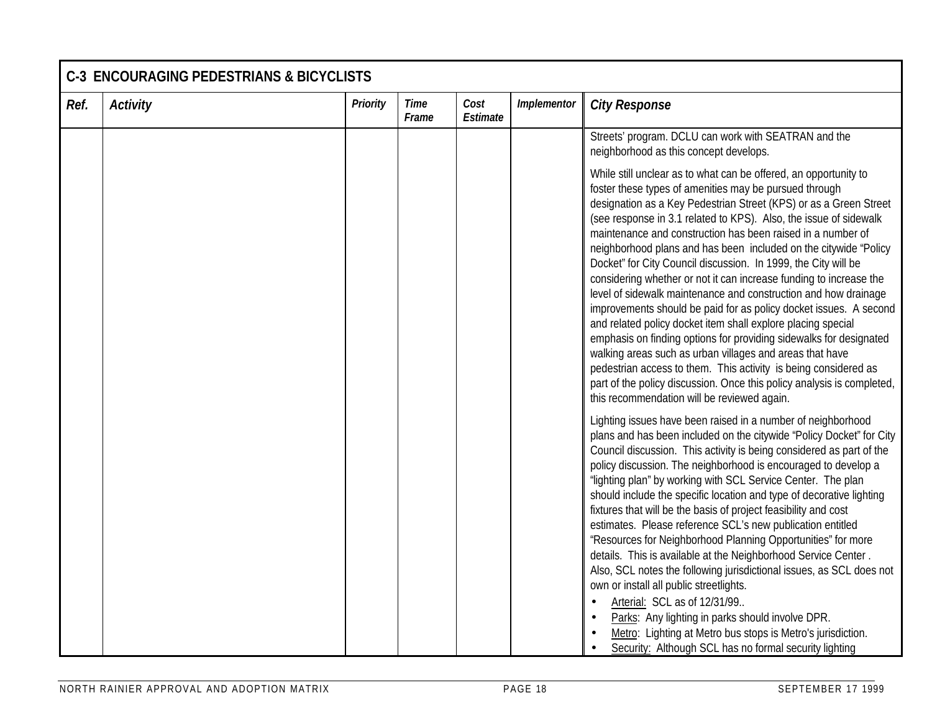| Ref. | <b>Activity</b> | <b>Priority</b> | Time<br>Frame | Cost<br>Estimate | Implementor | <b>City Response</b>                                                                                                                                                                                                                                                                                                                                                                                                                                                                                                                                                                                                                                                                                                                                                                                                                                                                                                                                                                                                                                                                  |
|------|-----------------|-----------------|---------------|------------------|-------------|---------------------------------------------------------------------------------------------------------------------------------------------------------------------------------------------------------------------------------------------------------------------------------------------------------------------------------------------------------------------------------------------------------------------------------------------------------------------------------------------------------------------------------------------------------------------------------------------------------------------------------------------------------------------------------------------------------------------------------------------------------------------------------------------------------------------------------------------------------------------------------------------------------------------------------------------------------------------------------------------------------------------------------------------------------------------------------------|
|      |                 |                 |               |                  |             | Streets' program. DCLU can work with SEATRAN and the<br>neighborhood as this concept develops.                                                                                                                                                                                                                                                                                                                                                                                                                                                                                                                                                                                                                                                                                                                                                                                                                                                                                                                                                                                        |
|      |                 |                 |               |                  |             | While still unclear as to what can be offered, an opportunity to<br>foster these types of amenities may be pursued through<br>designation as a Key Pedestrian Street (KPS) or as a Green Street<br>(see response in 3.1 related to KPS). Also, the issue of sidewalk<br>maintenance and construction has been raised in a number of<br>neighborhood plans and has been included on the citywide "Policy<br>Docket" for City Council discussion. In 1999, the City will be<br>considering whether or not it can increase funding to increase the<br>level of sidewalk maintenance and construction and how drainage<br>improvements should be paid for as policy docket issues. A second<br>and related policy docket item shall explore placing special<br>emphasis on finding options for providing sidewalks for designated<br>walking areas such as urban villages and areas that have<br>pedestrian access to them. This activity is being considered as<br>part of the policy discussion. Once this policy analysis is completed,<br>this recommendation will be reviewed again. |
|      |                 |                 |               |                  |             | Lighting issues have been raised in a number of neighborhood<br>plans and has been included on the citywide "Policy Docket" for City<br>Council discussion. This activity is being considered as part of the<br>policy discussion. The neighborhood is encouraged to develop a<br>'lighting plan" by working with SCL Service Center. The plan<br>should include the specific location and type of decorative lighting<br>fixtures that will be the basis of project feasibility and cost<br>estimates. Please reference SCL's new publication entitled<br>"Resources for Neighborhood Planning Opportunities" for more<br>details. This is available at the Neighborhood Service Center.<br>Also, SCL notes the following jurisdictional issues, as SCL does not<br>own or install all public streetlights.<br>Arterial: SCL as of 12/31/99<br>Parks: Any lighting in parks should involve DPR.<br>Metro: Lighting at Metro bus stops is Metro's jurisdiction.<br>Security: Although SCL has no formal security lighting                                                             |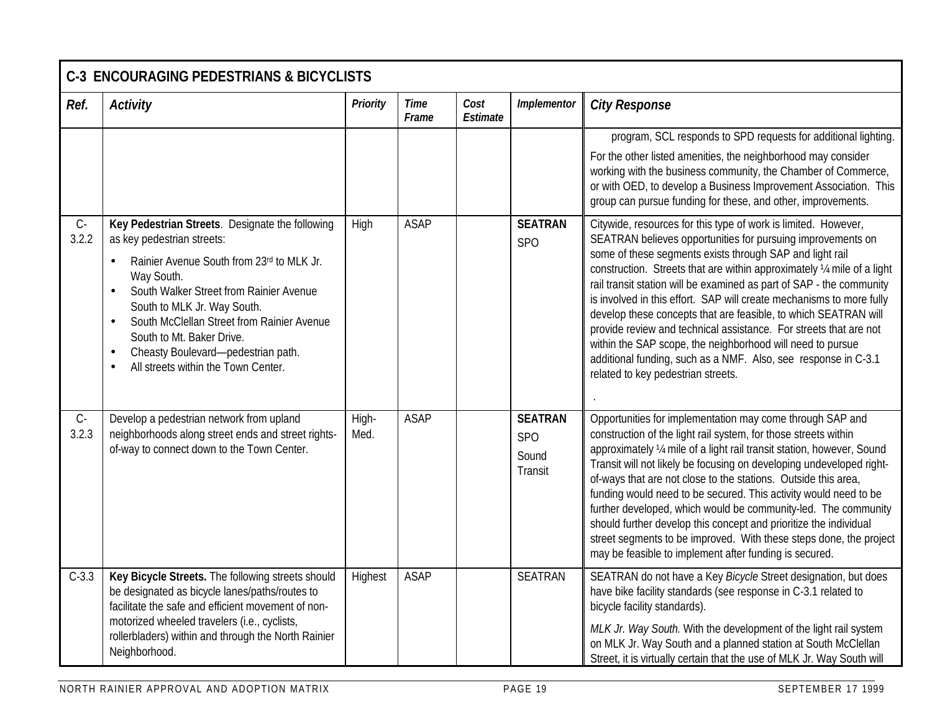|                | <b>C-3 ENCOURAGING PEDESTRIANS &amp; BICYCLISTS</b>                                                                                                                                                                                                                                                                                                                                                                                          |                 |                      |                  |                                                  |                                                                                                                                                                                                                                                                                                                                                                                                                                                                                                                                                                                                                                                                                                                                    |  |  |  |  |
|----------------|----------------------------------------------------------------------------------------------------------------------------------------------------------------------------------------------------------------------------------------------------------------------------------------------------------------------------------------------------------------------------------------------------------------------------------------------|-----------------|----------------------|------------------|--------------------------------------------------|------------------------------------------------------------------------------------------------------------------------------------------------------------------------------------------------------------------------------------------------------------------------------------------------------------------------------------------------------------------------------------------------------------------------------------------------------------------------------------------------------------------------------------------------------------------------------------------------------------------------------------------------------------------------------------------------------------------------------------|--|--|--|--|
| Ref.           | Activity                                                                                                                                                                                                                                                                                                                                                                                                                                     | <b>Priority</b> | <b>Time</b><br>Frame | Cost<br>Estimate | Implementor                                      | <b>City Response</b>                                                                                                                                                                                                                                                                                                                                                                                                                                                                                                                                                                                                                                                                                                               |  |  |  |  |
|                |                                                                                                                                                                                                                                                                                                                                                                                                                                              |                 |                      |                  |                                                  | program, SCL responds to SPD requests for additional lighting.<br>For the other listed amenities, the neighborhood may consider<br>working with the business community, the Chamber of Commerce,<br>or with OED, to develop a Business Improvement Association. This<br>group can pursue funding for these, and other, improvements.                                                                                                                                                                                                                                                                                                                                                                                               |  |  |  |  |
| $C -$<br>3.2.2 | Key Pedestrian Streets. Designate the following<br>as key pedestrian streets:<br>Rainier Avenue South from 23rd to MLK Jr.<br>$\bullet$<br>Way South.<br>South Walker Street from Rainier Avenue<br>$\bullet$<br>South to MLK Jr. Way South.<br>South McClellan Street from Rainier Avenue<br>$\bullet$<br>South to Mt. Baker Drive.<br>Cheasty Boulevard- pedestrian path.<br>$\bullet$<br>All streets within the Town Center.<br>$\bullet$ | High            | <b>ASAP</b>          |                  | <b>SEATRAN</b><br><b>SPO</b>                     | Citywide, resources for this type of work is limited. However,<br>SEATRAN believes opportunities for pursuing improvements on<br>some of these segments exists through SAP and light rail<br>construction. Streets that are within approximately 1/4 mile of a light<br>rail transit station will be examined as part of SAP - the community<br>is involved in this effort. SAP will create mechanisms to more fully<br>develop these concepts that are feasible, to which SEATRAN will<br>provide review and technical assistance. For streets that are not<br>within the SAP scope, the neighborhood will need to pursue<br>additional funding, such as a NMF. Also, see response in C-3.1<br>related to key pedestrian streets. |  |  |  |  |
| $C -$<br>3.2.3 | Develop a pedestrian network from upland<br>neighborhoods along street ends and street rights-<br>of-way to connect down to the Town Center.                                                                                                                                                                                                                                                                                                 | High-<br>Med.   | <b>ASAP</b>          |                  | <b>SEATRAN</b><br><b>SPO</b><br>Sound<br>Transit | Opportunities for implementation may come through SAP and<br>construction of the light rail system, for those streets within<br>approximately 1/4 mile of a light rail transit station, however, Sound<br>Transit will not likely be focusing on developing undeveloped right-<br>of-ways that are not close to the stations. Outside this area,<br>funding would need to be secured. This activity would need to be<br>further developed, which would be community-led. The community<br>should further develop this concept and prioritize the individual<br>street segments to be improved. With these steps done, the project<br>may be feasible to implement after funding is secured.                                        |  |  |  |  |
| $C-3.3$        | Key Bicycle Streets. The following streets should<br>be designated as bicycle lanes/paths/routes to<br>facilitate the safe and efficient movement of non-<br>motorized wheeled travelers (i.e., cyclists,<br>rollerbladers) within and through the North Rainier<br>Neighborhood.                                                                                                                                                            | Highest         | <b>ASAP</b>          |                  | <b>SEATRAN</b>                                   | SEATRAN do not have a Key Bicycle Street designation, but does<br>have bike facility standards (see response in C-3.1 related to<br>bicycle facility standards).<br>MLK Jr. Way South. With the development of the light rail system<br>on MLK Jr. Way South and a planned station at South McClellan<br>Street, it is virtually certain that the use of MLK Jr. Way South will                                                                                                                                                                                                                                                                                                                                                    |  |  |  |  |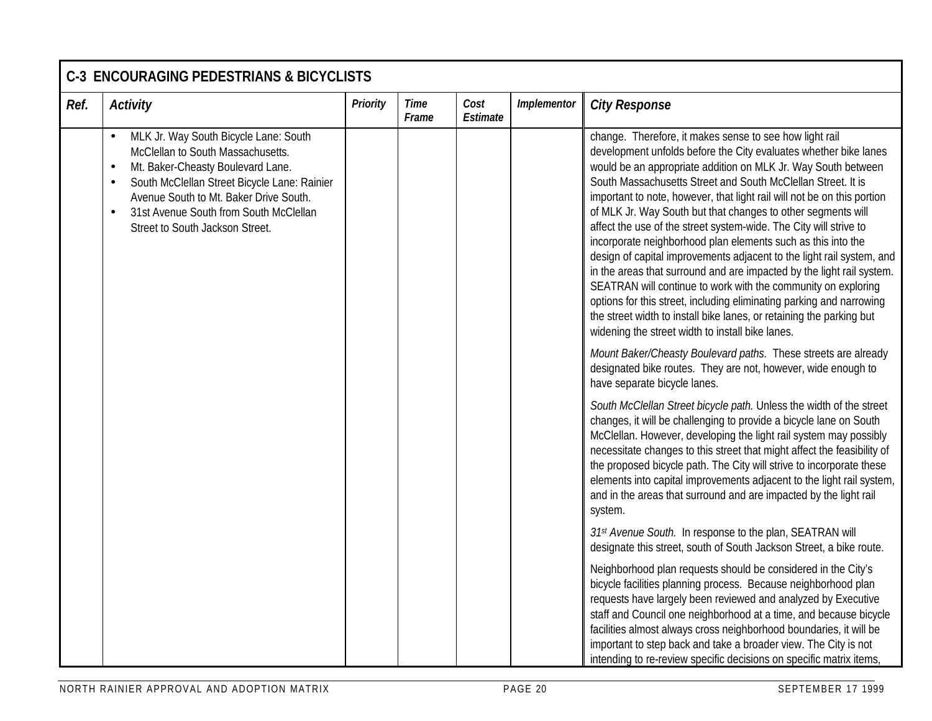| Ref. | <b>Activity</b>                                                                                                                                                                                                                                                                                                  | Priority | <b>Time</b><br>Frame | Cost<br><b>Estimate</b> | Implementor | <b>City Response</b>                                                                                                                                                                                                                                                                                                                                                                                                                                                                                                                                                                                                                                                                                                                                                                                                                                                                                                                                                |
|------|------------------------------------------------------------------------------------------------------------------------------------------------------------------------------------------------------------------------------------------------------------------------------------------------------------------|----------|----------------------|-------------------------|-------------|---------------------------------------------------------------------------------------------------------------------------------------------------------------------------------------------------------------------------------------------------------------------------------------------------------------------------------------------------------------------------------------------------------------------------------------------------------------------------------------------------------------------------------------------------------------------------------------------------------------------------------------------------------------------------------------------------------------------------------------------------------------------------------------------------------------------------------------------------------------------------------------------------------------------------------------------------------------------|
|      | MLK Jr. Way South Bicycle Lane: South<br>McClellan to South Massachusetts.<br>Mt. Baker-Cheasty Boulevard Lane.<br>$\bullet$<br>South McClellan Street Bicycle Lane: Rainier<br>Avenue South to Mt. Baker Drive South.<br>31st Avenue South from South McClellan<br>$\bullet$<br>Street to South Jackson Street. |          |                      |                         |             | change. Therefore, it makes sense to see how light rail<br>development unfolds before the City evaluates whether bike lanes<br>would be an appropriate addition on MLK Jr. Way South between<br>South Massachusetts Street and South McClellan Street. It is<br>important to note, however, that light rail will not be on this portion<br>of MLK Jr. Way South but that changes to other segments will<br>affect the use of the street system-wide. The City will strive to<br>incorporate neighborhood plan elements such as this into the<br>design of capital improvements adjacent to the light rail system, and<br>in the areas that surround and are impacted by the light rail system.<br>SEATRAN will continue to work with the community on exploring<br>options for this street, including eliminating parking and narrowing<br>the street width to install bike lanes, or retaining the parking but<br>widening the street width to install bike lanes. |
|      |                                                                                                                                                                                                                                                                                                                  |          |                      |                         |             | Mount Baker/Cheasty Boulevard paths. These streets are already<br>designated bike routes. They are not, however, wide enough to<br>have separate bicycle lanes.                                                                                                                                                                                                                                                                                                                                                                                                                                                                                                                                                                                                                                                                                                                                                                                                     |
|      |                                                                                                                                                                                                                                                                                                                  |          |                      |                         |             | South McClellan Street bicycle path. Unless the width of the street<br>changes, it will be challenging to provide a bicycle lane on South<br>McClellan. However, developing the light rail system may possibly<br>necessitate changes to this street that might affect the feasibility of<br>the proposed bicycle path. The City will strive to incorporate these<br>elements into capital improvements adjacent to the light rail system,<br>and in the areas that surround and are impacted by the light rail<br>system.                                                                                                                                                                                                                                                                                                                                                                                                                                          |
|      |                                                                                                                                                                                                                                                                                                                  |          |                      |                         |             | 31st Avenue South. In response to the plan, SEATRAN will<br>designate this street, south of South Jackson Street, a bike route.                                                                                                                                                                                                                                                                                                                                                                                                                                                                                                                                                                                                                                                                                                                                                                                                                                     |
|      |                                                                                                                                                                                                                                                                                                                  |          |                      |                         |             | Neighborhood plan requests should be considered in the City's<br>bicycle facilities planning process. Because neighborhood plan<br>requests have largely been reviewed and analyzed by Executive<br>staff and Council one neighborhood at a time, and because bicycle<br>facilities almost always cross neighborhood boundaries, it will be<br>important to step back and take a broader view. The City is not<br>intending to re-review specific decisions on specific matrix items.                                                                                                                                                                                                                                                                                                                                                                                                                                                                               |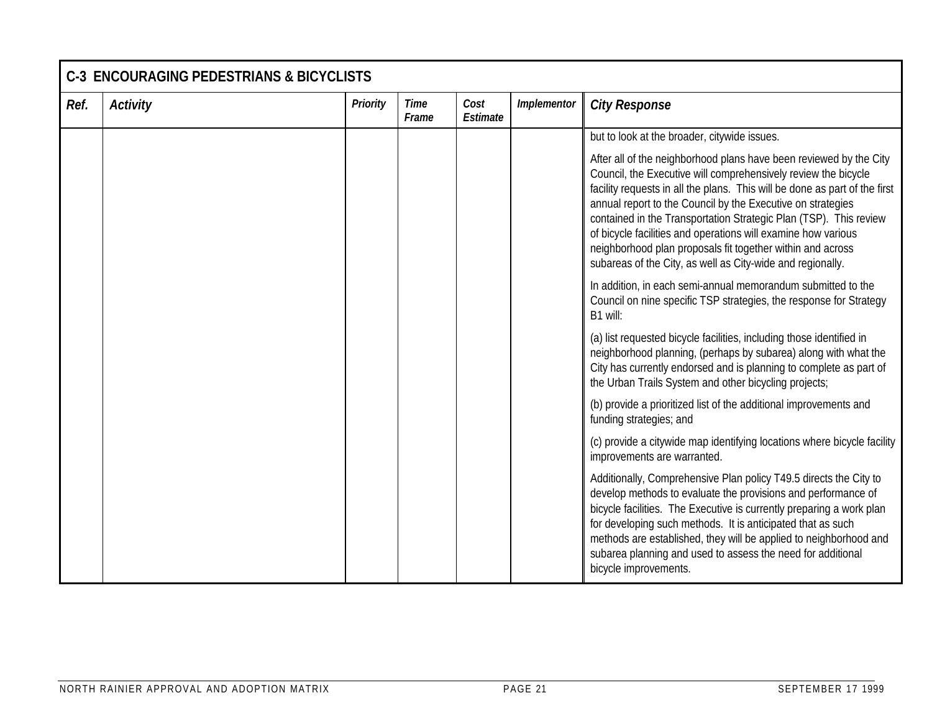|      | <b>C-3 ENCOURAGING PEDESTRIANS &amp; BICYCLISTS</b> |                 |                      |                  |             |                                                                                                                                                                                                                                                                                                                                                                                                                                                                                                                                                     |  |  |  |  |
|------|-----------------------------------------------------|-----------------|----------------------|------------------|-------------|-----------------------------------------------------------------------------------------------------------------------------------------------------------------------------------------------------------------------------------------------------------------------------------------------------------------------------------------------------------------------------------------------------------------------------------------------------------------------------------------------------------------------------------------------------|--|--|--|--|
| Ref. | <b>Activity</b>                                     | <b>Priority</b> | <b>Time</b><br>Frame | Cost<br>Estimate | Implementor | <b>City Response</b>                                                                                                                                                                                                                                                                                                                                                                                                                                                                                                                                |  |  |  |  |
|      |                                                     |                 |                      |                  |             | but to look at the broader, citywide issues.                                                                                                                                                                                                                                                                                                                                                                                                                                                                                                        |  |  |  |  |
|      |                                                     |                 |                      |                  |             | After all of the neighborhood plans have been reviewed by the City<br>Council, the Executive will comprehensively review the bicycle<br>facility requests in all the plans. This will be done as part of the first<br>annual report to the Council by the Executive on strategies<br>contained in the Transportation Strategic Plan (TSP). This review<br>of bicycle facilities and operations will examine how various<br>neighborhood plan proposals fit together within and across<br>subareas of the City, as well as City-wide and regionally. |  |  |  |  |
|      |                                                     |                 |                      |                  |             | In addition, in each semi-annual memorandum submitted to the<br>Council on nine specific TSP strategies, the response for Strategy<br>B1 will:                                                                                                                                                                                                                                                                                                                                                                                                      |  |  |  |  |
|      |                                                     |                 |                      |                  |             | (a) list requested bicycle facilities, including those identified in<br>neighborhood planning, (perhaps by subarea) along with what the<br>City has currently endorsed and is planning to complete as part of<br>the Urban Trails System and other bicycling projects;                                                                                                                                                                                                                                                                              |  |  |  |  |
|      |                                                     |                 |                      |                  |             | (b) provide a prioritized list of the additional improvements and<br>funding strategies; and                                                                                                                                                                                                                                                                                                                                                                                                                                                        |  |  |  |  |
|      |                                                     |                 |                      |                  |             | (c) provide a citywide map identifying locations where bicycle facility<br>improvements are warranted.                                                                                                                                                                                                                                                                                                                                                                                                                                              |  |  |  |  |
|      |                                                     |                 |                      |                  |             | Additionally, Comprehensive Plan policy T49.5 directs the City to<br>develop methods to evaluate the provisions and performance of<br>bicycle facilities. The Executive is currently preparing a work plan<br>for developing such methods. It is anticipated that as such<br>methods are established, they will be applied to neighborhood and<br>subarea planning and used to assess the need for additional<br>bicycle improvements.                                                                                                              |  |  |  |  |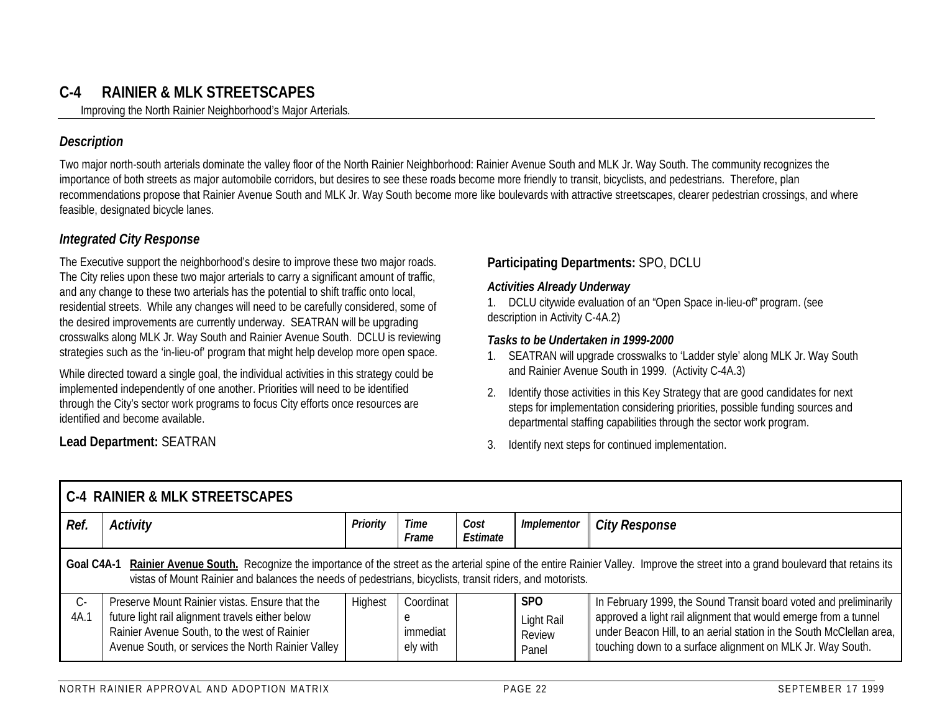## **C-4 RAINIER & MLK STREETSCAPES**

Improving the North Rainier Neighborhood's Major Arterials.

#### *Description*

Two major north-south arterials dominate the valley floor of the North Rainier Neighborhood: Rainier Avenue South and MLK Jr. Way South. The community recognizes the importance of both streets as major automobile corridors, but desires to see these roads become more friendly to transit, bicyclists, and pedestrians. Therefore, plan recommendations propose that Rainier Avenue South and MLK Jr. Way South become more like boulevards with attractive streetscapes, clearer pedestrian crossings, and where feasible, designated bicycle lanes.

#### *Integrated City Response*

The Executive support the neighborhood's desire to improve these two major roads. The City relies upon these two major arterials to carry a significant amount of traffic, and any change to these two arterials has the potential to shift traffic onto local, residential streets. While any changes will need to be carefully considered, some of the desired improvements are currently underway. SEATRAN will be upgrading crosswalks along MLK Jr. Way South and Rainier Avenue South. DCLU is reviewing strategies such as the 'in-lieu-of' program that might help develop more open space.

While directed toward a single goal, the individual activities in this strategy could be implemented independently of one another. Priorities will need to be identified through the City's sector work programs to focus City efforts once resources are identified and become available.

#### **Participating Departments:** SPO, DCLU

#### *Activities Already Underway*

1. DCLU citywide evaluation of an "Open Space in-lieu-of" program. (see description in Activity C-4A.2)

#### *Tasks to be Undertaken in 1999-2000*

- 1. SEATRAN will upgrade crosswalks to 'Ladder style' along MLK Jr. Way South and Rainier Avenue South in 1999. (Activity C-4A.3)
- 2. Identify those activities in this Key Strategy that are good candidates for next steps for implementation considering priorities, possible funding sources and departmental staffing capabilities through the sector work program.
- 3. Identify next steps for continued implementation.

|                                                                                                                                                                                                                                                                                                        | <b>C-4 RAINIER &amp; MLK STREETSCAPES</b>                                                                                                                                                                |          |                                        |                  |                                             |                                                                                                                                                                                                                                                                            |  |  |  |  |
|--------------------------------------------------------------------------------------------------------------------------------------------------------------------------------------------------------------------------------------------------------------------------------------------------------|----------------------------------------------------------------------------------------------------------------------------------------------------------------------------------------------------------|----------|----------------------------------------|------------------|---------------------------------------------|----------------------------------------------------------------------------------------------------------------------------------------------------------------------------------------------------------------------------------------------------------------------------|--|--|--|--|
| Ref.                                                                                                                                                                                                                                                                                                   | Activity                                                                                                                                                                                                 | Priority | <b>Time</b><br>Frame                   | Cost<br>Estimate | Implementor                                 | <b>City Response</b>                                                                                                                                                                                                                                                       |  |  |  |  |
| Rainier Avenue South. Recognize the importance of the street as the arterial spine of the entire Rainier Valley. Improve the street into a grand boulevard that retains its<br>Goal C4A-1<br>vistas of Mount Rainier and balances the needs of pedestrians, bicyclists, transit riders, and motorists. |                                                                                                                                                                                                          |          |                                        |                  |                                             |                                                                                                                                                                                                                                                                            |  |  |  |  |
| $C -$<br>4A.1                                                                                                                                                                                                                                                                                          | Preserve Mount Rainier vistas. Ensure that the<br>future light rail alignment travels either below<br>Rainier Avenue South, to the west of Rainier<br>Avenue South, or services the North Rainier Valley | Highest  | Coordinat<br>e<br>immediat<br>ely with |                  | <b>SPO</b><br>Light Rail<br>Review<br>Panel | In February 1999, the Sound Transit board voted and preliminarily<br>approved a light rail alignment that would emerge from a tunnel<br>under Beacon Hill, to an aerial station in the South McClellan area,<br>touching down to a surface alignment on MLK Jr. Way South. |  |  |  |  |

**Lead Department:** SEATRAN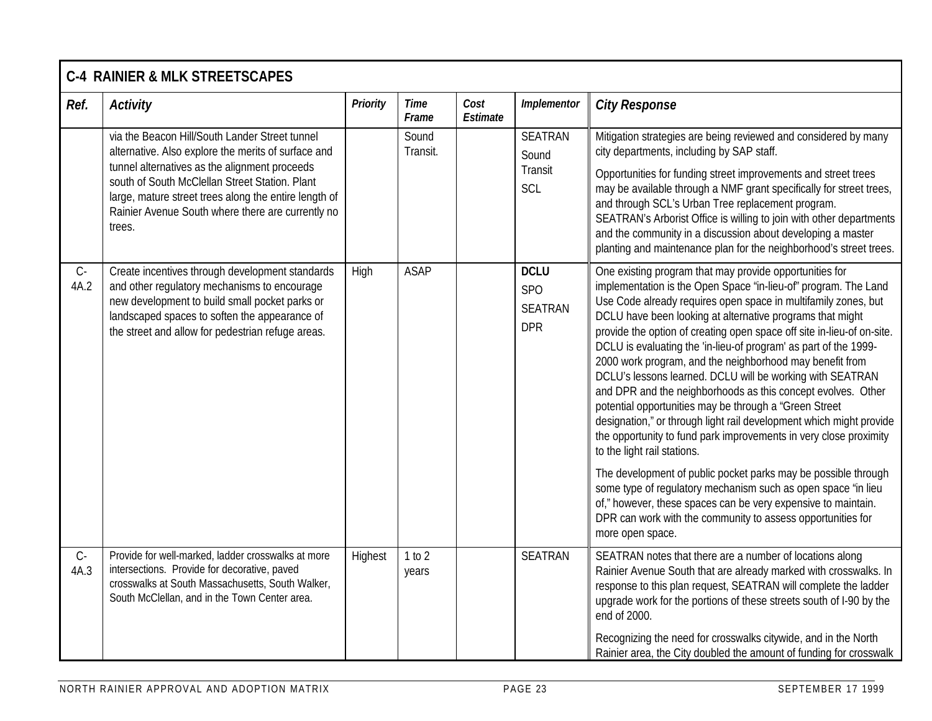|               | <b>C-4 RAINIER &amp; MLK STREETSCAPES</b>                                                                                                                                                                                                                                                                                        |          |                      |                  |                                                           |                                                                                                                                                                                                                                                                                                                                                                                                                                                                                                                                                                                                                                                                                                                                                                                                                                                                                                                                                                                                                                                                                                                              |  |  |  |
|---------------|----------------------------------------------------------------------------------------------------------------------------------------------------------------------------------------------------------------------------------------------------------------------------------------------------------------------------------|----------|----------------------|------------------|-----------------------------------------------------------|------------------------------------------------------------------------------------------------------------------------------------------------------------------------------------------------------------------------------------------------------------------------------------------------------------------------------------------------------------------------------------------------------------------------------------------------------------------------------------------------------------------------------------------------------------------------------------------------------------------------------------------------------------------------------------------------------------------------------------------------------------------------------------------------------------------------------------------------------------------------------------------------------------------------------------------------------------------------------------------------------------------------------------------------------------------------------------------------------------------------------|--|--|--|
| Ref.          | <b>Activity</b>                                                                                                                                                                                                                                                                                                                  | Priority | <b>Time</b><br>Frame | Cost<br>Estimate | Implementor                                               | <b>City Response</b>                                                                                                                                                                                                                                                                                                                                                                                                                                                                                                                                                                                                                                                                                                                                                                                                                                                                                                                                                                                                                                                                                                         |  |  |  |
|               | via the Beacon Hill/South Lander Street tunnel<br>alternative. Also explore the merits of surface and<br>tunnel alternatives as the alignment proceeds<br>south of South McClellan Street Station. Plant<br>large, mature street trees along the entire length of<br>Rainier Avenue South where there are currently no<br>trees. |          | Sound<br>Transit.    |                  | <b>SEATRAN</b><br>Sound<br>Transit<br>SCL                 | Mitigation strategies are being reviewed and considered by many<br>city departments, including by SAP staff.<br>Opportunities for funding street improvements and street trees<br>may be available through a NMF grant specifically for street trees,<br>and through SCL's Urban Tree replacement program.<br>SEATRAN's Arborist Office is willing to join with other departments<br>and the community in a discussion about developing a master<br>planting and maintenance plan for the neighborhood's street trees.                                                                                                                                                                                                                                                                                                                                                                                                                                                                                                                                                                                                       |  |  |  |
| $C -$<br>4A.2 | Create incentives through development standards<br>and other regulatory mechanisms to encourage<br>new development to build small pocket parks or<br>landscaped spaces to soften the appearance of<br>the street and allow for pedestrian refuge areas.                                                                          | High     | <b>ASAP</b>          |                  | <b>DCLU</b><br><b>SPO</b><br><b>SEATRAN</b><br><b>DPR</b> | One existing program that may provide opportunities for<br>implementation is the Open Space 'in-lieu-of" program. The Land<br>Use Code already requires open space in multifamily zones, but<br>DCLU have been looking at alternative programs that might<br>provide the option of creating open space off site in-lieu-of on-site.<br>DCLU is evaluating the 'in-lieu-of program' as part of the 1999-<br>2000 work program, and the neighborhood may benefit from<br>DCLU's lessons learned. DCLU will be working with SEATRAN<br>and DPR and the neighborhoods as this concept evolves. Other<br>potential opportunities may be through a "Green Street<br>designation," or through light rail development which might provide<br>the opportunity to fund park improvements in very close proximity<br>to the light rail stations.<br>The development of public pocket parks may be possible through<br>some type of regulatory mechanism such as open space 'in lieu<br>of," however, these spaces can be very expensive to maintain.<br>DPR can work with the community to assess opportunities for<br>more open space. |  |  |  |
| $C -$<br>4A.3 | Provide for well-marked, ladder crosswalks at more<br>intersections. Provide for decorative, paved<br>crosswalks at South Massachusetts, South Walker,<br>South McClellan, and in the Town Center area.                                                                                                                          | Highest  | 1 to 2<br>years      |                  | <b>SEATRAN</b>                                            | SEATRAN notes that there are a number of locations along<br>Rainier Avenue South that are already marked with crosswalks. In<br>response to this plan request, SEATRAN will complete the ladder<br>upgrade work for the portions of these streets south of I-90 by the<br>end of 2000.<br>Recognizing the need for crosswalks citywide, and in the North<br>Rainier area, the City doubled the amount of funding for crosswalk                                                                                                                                                                                                                                                                                                                                                                                                                                                                                                                                                                                                                                                                                               |  |  |  |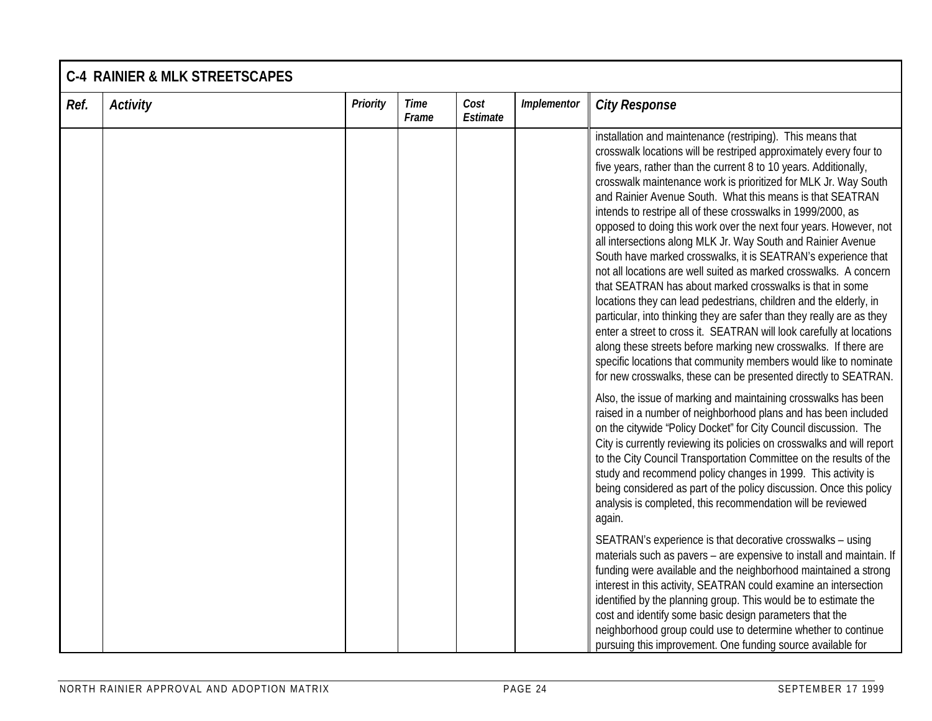|      | <b>C-4 RAINIER &amp; MLK STREETSCAPES</b> |                 |                      |                  |             |                                                                                                                                                                                                                                                                                                                                                                                                                                                                                                                                                                                                                                                                                                                                                                                                                                                                                                                                                                                                                                                                                                                                                                                                                                                                                                                                                                                                                                                                                                                                                                                                                                                                                                                                                                                                                                                                                                                                                                                                                                                                                                    |  |  |  |  |
|------|-------------------------------------------|-----------------|----------------------|------------------|-------------|----------------------------------------------------------------------------------------------------------------------------------------------------------------------------------------------------------------------------------------------------------------------------------------------------------------------------------------------------------------------------------------------------------------------------------------------------------------------------------------------------------------------------------------------------------------------------------------------------------------------------------------------------------------------------------------------------------------------------------------------------------------------------------------------------------------------------------------------------------------------------------------------------------------------------------------------------------------------------------------------------------------------------------------------------------------------------------------------------------------------------------------------------------------------------------------------------------------------------------------------------------------------------------------------------------------------------------------------------------------------------------------------------------------------------------------------------------------------------------------------------------------------------------------------------------------------------------------------------------------------------------------------------------------------------------------------------------------------------------------------------------------------------------------------------------------------------------------------------------------------------------------------------------------------------------------------------------------------------------------------------------------------------------------------------------------------------------------------------|--|--|--|--|
| Ref. | <b>Activity</b>                           | <b>Priority</b> | <b>Time</b><br>Frame | Cost<br>Estimate | Implementor | <b>City Response</b>                                                                                                                                                                                                                                                                                                                                                                                                                                                                                                                                                                                                                                                                                                                                                                                                                                                                                                                                                                                                                                                                                                                                                                                                                                                                                                                                                                                                                                                                                                                                                                                                                                                                                                                                                                                                                                                                                                                                                                                                                                                                               |  |  |  |  |
|      |                                           |                 |                      |                  |             | installation and maintenance (restriping). This means that<br>crosswalk locations will be restriped approximately every four to<br>five years, rather than the current 8 to 10 years. Additionally,<br>crosswalk maintenance work is prioritized for MLK Jr. Way South<br>and Rainier Avenue South. What this means is that SEATRAN<br>intends to restripe all of these crosswalks in 1999/2000, as<br>opposed to doing this work over the next four years. However, not<br>all intersections along MLK Jr. Way South and Rainier Avenue<br>South have marked crosswalks, it is SEATRAN's experience that<br>not all locations are well suited as marked crosswalks. A concern<br>that SEATRAN has about marked crosswalks is that in some<br>locations they can lead pedestrians, children and the elderly, in<br>particular, into thinking they are safer than they really are as they<br>enter a street to cross it. SEATRAN will look carefully at locations<br>along these streets before marking new crosswalks. If there are<br>specific locations that community members would like to nominate<br>for new crosswalks, these can be presented directly to SEATRAN.<br>Also, the issue of marking and maintaining crosswalks has been<br>raised in a number of neighborhood plans and has been included<br>on the citywide "Policy Docket" for City Council discussion. The<br>City is currently reviewing its policies on crosswalks and will report<br>to the City Council Transportation Committee on the results of the<br>study and recommend policy changes in 1999. This activity is<br>being considered as part of the policy discussion. Once this policy<br>analysis is completed, this recommendation will be reviewed<br>again.<br>SEATRAN's experience is that decorative crosswalks - using<br>materials such as pavers - are expensive to install and maintain. If<br>funding were available and the neighborhood maintained a strong<br>interest in this activity, SEATRAN could examine an intersection<br>identified by the planning group. This would be to estimate the |  |  |  |  |
|      |                                           |                 |                      |                  |             | cost and identify some basic design parameters that the<br>neighborhood group could use to determine whether to continue<br>pursuing this improvement. One funding source available for                                                                                                                                                                                                                                                                                                                                                                                                                                                                                                                                                                                                                                                                                                                                                                                                                                                                                                                                                                                                                                                                                                                                                                                                                                                                                                                                                                                                                                                                                                                                                                                                                                                                                                                                                                                                                                                                                                            |  |  |  |  |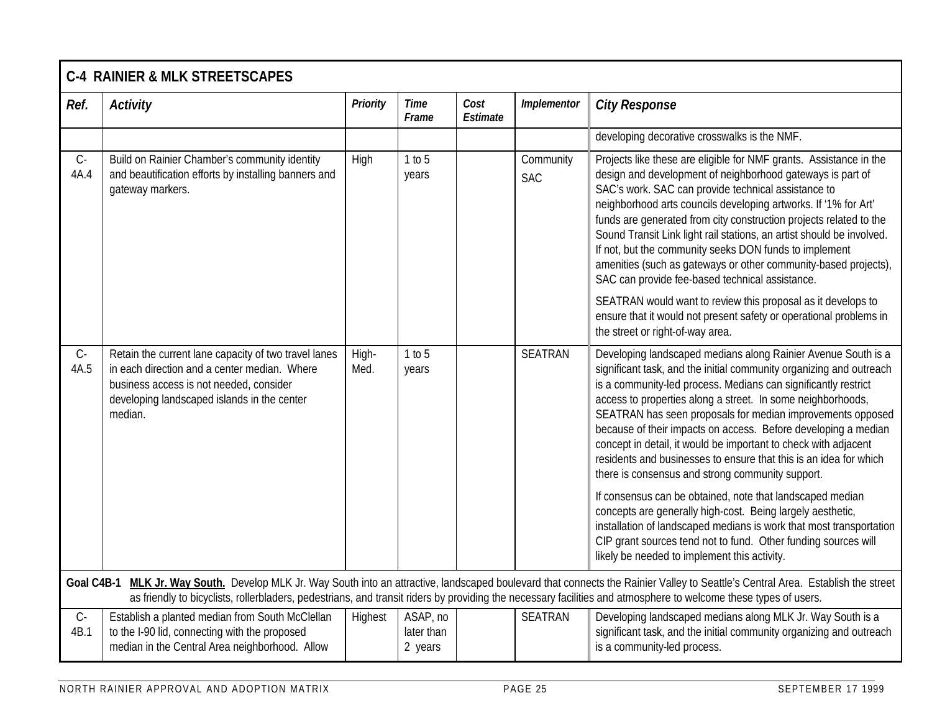|               | <b>C-4 RAINIER &amp; MLK STREETSCAPES</b>                                                                                                                                                                 |                 |                                   |                  |                         |                                                                                                                                                                                                                                                                                                                                                                                                                                                                                                                                                                                                   |  |  |  |  |
|---------------|-----------------------------------------------------------------------------------------------------------------------------------------------------------------------------------------------------------|-----------------|-----------------------------------|------------------|-------------------------|---------------------------------------------------------------------------------------------------------------------------------------------------------------------------------------------------------------------------------------------------------------------------------------------------------------------------------------------------------------------------------------------------------------------------------------------------------------------------------------------------------------------------------------------------------------------------------------------------|--|--|--|--|
| Ref.          | <b>Activity</b>                                                                                                                                                                                           | <b>Priority</b> | Time<br>Frame                     | Cost<br>Estimate | Implementor             | <b>City Response</b>                                                                                                                                                                                                                                                                                                                                                                                                                                                                                                                                                                              |  |  |  |  |
|               |                                                                                                                                                                                                           |                 |                                   |                  |                         | developing decorative crosswalks is the NMF.                                                                                                                                                                                                                                                                                                                                                                                                                                                                                                                                                      |  |  |  |  |
| $C -$<br>4A.4 | Build on Rainier Chamber's community identity<br>and beautification efforts by installing banners and<br>gateway markers.                                                                                 | High            | 1 to 5<br>years                   |                  | Community<br><b>SAC</b> | Projects like these are eligible for NMF grants. Assistance in the<br>design and development of neighborhood gateways is part of<br>SAC's work. SAC can provide technical assistance to<br>neighborhood arts councils developing artworks. If '1% for Art'<br>funds are generated from city construction projects related to the<br>Sound Transit Link light rail stations, an artist should be involved.<br>If not, but the community seeks DON funds to implement<br>amenities (such as gateways or other community-based projects),<br>SAC can provide fee-based technical assistance.         |  |  |  |  |
|               |                                                                                                                                                                                                           |                 |                                   |                  |                         | SEATRAN would want to review this proposal as it develops to<br>ensure that it would not present safety or operational problems in<br>the street or right-of-way area.                                                                                                                                                                                                                                                                                                                                                                                                                            |  |  |  |  |
| $C -$<br>4A.5 | Retain the current lane capacity of two travel lanes<br>in each direction and a center median. Where<br>business access is not needed, consider<br>developing landscaped islands in the center<br>median. | High-<br>Med.   | 1 to 5<br>years                   |                  | <b>SEATRAN</b>          | Developing landscaped medians along Rainier Avenue South is a<br>significant task, and the initial community organizing and outreach<br>is a community-led process. Medians can significantly restrict<br>access to properties along a street. In some neighborhoods,<br>SEATRAN has seen proposals for median improvements opposed<br>because of their impacts on access. Before developing a median<br>concept in detail, it would be important to check with adjacent<br>residents and businesses to ensure that this is an idea for which<br>there is consensus and strong community support. |  |  |  |  |
|               |                                                                                                                                                                                                           |                 |                                   |                  |                         | If consensus can be obtained, note that landscaped median<br>concepts are generally high-cost. Being largely aesthetic,<br>installation of landscaped medians is work that most transportation<br>CIP grant sources tend not to fund. Other funding sources will<br>likely be needed to implement this activity.                                                                                                                                                                                                                                                                                  |  |  |  |  |
|               |                                                                                                                                                                                                           |                 |                                   |                  |                         | Goal C4B-1 MLK Jr. Way South. Develop MLK Jr. Way South into an attractive, landscaped boulevard that connects the Rainier Valley to Seattle's Central Area. Establish the street<br>as friendly to bicyclists, rollerbladers, pedestrians, and transit riders by providing the necessary facilities and atmosphere to welcome these types of users.                                                                                                                                                                                                                                              |  |  |  |  |
| $C -$<br>4B.1 | Establish a planted median from South McClellan<br>to the I-90 lid, connecting with the proposed<br>median in the Central Area neighborhood. Allow                                                        | Highest         | ASAP, no<br>later than<br>2 years |                  | <b>SEATRAN</b>          | Developing landscaped medians along MLK Jr. Way South is a<br>significant task, and the initial community organizing and outreach<br>is a community-led process.                                                                                                                                                                                                                                                                                                                                                                                                                                  |  |  |  |  |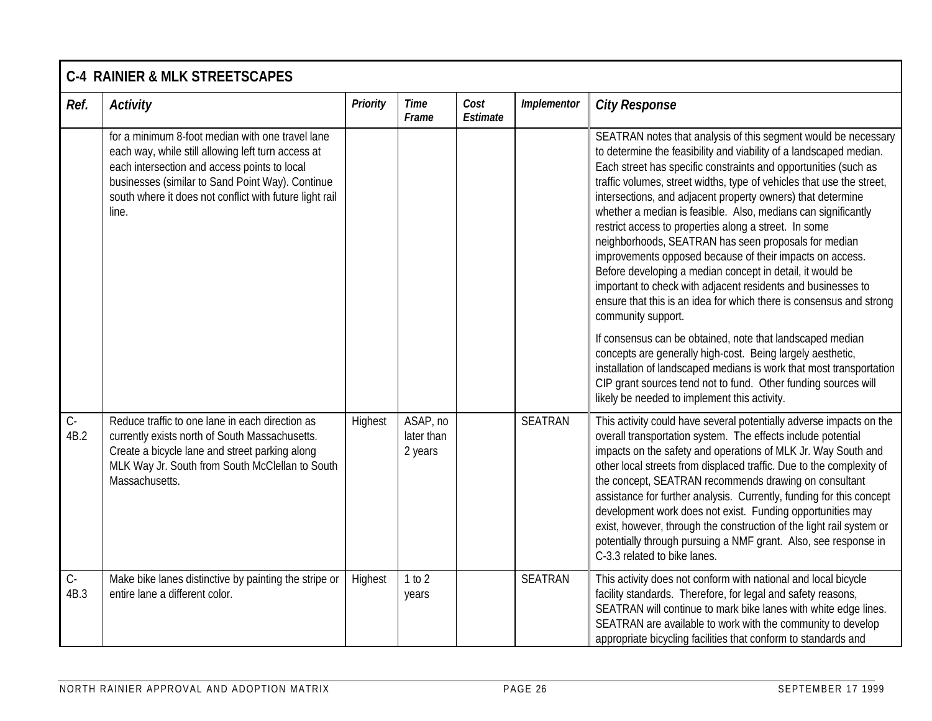|               | <b>C-4 RAINIER &amp; MLK STREETSCAPES</b>                                                                                                                                                                                                                                      |                 |                                   |                  |                |                                                                                                                                                                                                                                                                                                                                                                                                                                                                                                                                                                                                                                                                                                                                                                                                                                                                                                                                                                                                                                                                                                                                             |  |  |  |  |
|---------------|--------------------------------------------------------------------------------------------------------------------------------------------------------------------------------------------------------------------------------------------------------------------------------|-----------------|-----------------------------------|------------------|----------------|---------------------------------------------------------------------------------------------------------------------------------------------------------------------------------------------------------------------------------------------------------------------------------------------------------------------------------------------------------------------------------------------------------------------------------------------------------------------------------------------------------------------------------------------------------------------------------------------------------------------------------------------------------------------------------------------------------------------------------------------------------------------------------------------------------------------------------------------------------------------------------------------------------------------------------------------------------------------------------------------------------------------------------------------------------------------------------------------------------------------------------------------|--|--|--|--|
| Ref.          | <b>Activity</b>                                                                                                                                                                                                                                                                | <b>Priority</b> | Time<br>Frame                     | Cost<br>Estimate | Implementor    | <b>City Response</b>                                                                                                                                                                                                                                                                                                                                                                                                                                                                                                                                                                                                                                                                                                                                                                                                                                                                                                                                                                                                                                                                                                                        |  |  |  |  |
|               | for a minimum 8-foot median with one travel lane<br>each way, while still allowing left turn access at<br>each intersection and access points to local<br>businesses (similar to Sand Point Way). Continue<br>south where it does not conflict with future light rail<br>line. |                 |                                   |                  |                | SEATRAN notes that analysis of this segment would be necessary<br>to determine the feasibility and viability of a landscaped median.<br>Each street has specific constraints and opportunities (such as<br>traffic volumes, street widths, type of vehicles that use the street,<br>intersections, and adjacent property owners) that determine<br>whether a median is feasible. Also, medians can significantly<br>restrict access to properties along a street. In some<br>neighborhoods, SEATRAN has seen proposals for median<br>improvements opposed because of their impacts on access.<br>Before developing a median concept in detail, it would be<br>important to check with adjacent residents and businesses to<br>ensure that this is an idea for which there is consensus and strong<br>community support.<br>If consensus can be obtained, note that landscaped median<br>concepts are generally high-cost. Being largely aesthetic,<br>installation of landscaped medians is work that most transportation<br>CIP grant sources tend not to fund. Other funding sources will<br>likely be needed to implement this activity. |  |  |  |  |
| $C -$<br>4B.2 | Reduce traffic to one lane in each direction as<br>currently exists north of South Massachusetts.<br>Create a bicycle lane and street parking along<br>MLK Way Jr. South from South McClellan to South<br>Massachusetts.                                                       | Highest         | ASAP, no<br>later than<br>2 years |                  | <b>SEATRAN</b> | This activity could have several potentially adverse impacts on the<br>overall transportation system. The effects include potential<br>impacts on the safety and operations of MLK Jr. Way South and<br>other local streets from displaced traffic. Due to the complexity of<br>the concept, SEATRAN recommends drawing on consultant<br>assistance for further analysis. Currently, funding for this concept<br>development work does not exist. Funding opportunities may<br>exist, however, through the construction of the light rail system or<br>potentially through pursuing a NMF grant. Also, see response in<br>C-3.3 related to bike lanes.                                                                                                                                                                                                                                                                                                                                                                                                                                                                                      |  |  |  |  |
| $C-$<br>4B.3  | Make bike lanes distinctive by painting the stripe or<br>entire lane a different color.                                                                                                                                                                                        | Highest         | 1 to 2<br>years                   |                  | <b>SEATRAN</b> | This activity does not conform with national and local bicycle<br>facility standards. Therefore, for legal and safety reasons,<br>SEATRAN will continue to mark bike lanes with white edge lines.<br>SEATRAN are available to work with the community to develop<br>appropriate bicycling facilities that conform to standards and                                                                                                                                                                                                                                                                                                                                                                                                                                                                                                                                                                                                                                                                                                                                                                                                          |  |  |  |  |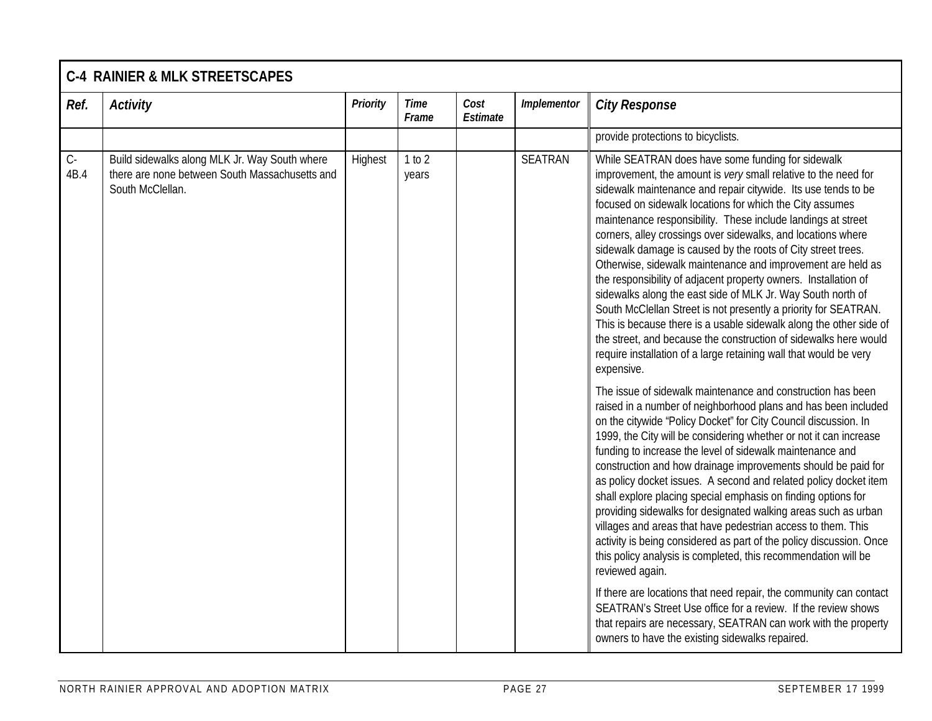|                              | <b>C-4 RAINIER &amp; MLK STREETSCAPES</b>                                                                           |                 |                      |                  |                |                                                                                                                                                                                                                                                                                                                                                                                                                                                                                                                                                                                                                                                                                                                                                                                                                                                                                                                                                                                                                                                                                                                                                                                                                                                                                                                                                                                                                                                                                                                                                                                                                                                                                                                                                                                             |  |  |  |
|------------------------------|---------------------------------------------------------------------------------------------------------------------|-----------------|----------------------|------------------|----------------|---------------------------------------------------------------------------------------------------------------------------------------------------------------------------------------------------------------------------------------------------------------------------------------------------------------------------------------------------------------------------------------------------------------------------------------------------------------------------------------------------------------------------------------------------------------------------------------------------------------------------------------------------------------------------------------------------------------------------------------------------------------------------------------------------------------------------------------------------------------------------------------------------------------------------------------------------------------------------------------------------------------------------------------------------------------------------------------------------------------------------------------------------------------------------------------------------------------------------------------------------------------------------------------------------------------------------------------------------------------------------------------------------------------------------------------------------------------------------------------------------------------------------------------------------------------------------------------------------------------------------------------------------------------------------------------------------------------------------------------------------------------------------------------------|--|--|--|
| Ref.                         | <b>Activity</b>                                                                                                     | <b>Priority</b> | <b>Time</b><br>Frame | Cost<br>Estimate | Implementor    | <b>City Response</b>                                                                                                                                                                                                                                                                                                                                                                                                                                                                                                                                                                                                                                                                                                                                                                                                                                                                                                                                                                                                                                                                                                                                                                                                                                                                                                                                                                                                                                                                                                                                                                                                                                                                                                                                                                        |  |  |  |
|                              |                                                                                                                     |                 |                      |                  |                | provide protections to bicyclists.                                                                                                                                                                                                                                                                                                                                                                                                                                                                                                                                                                                                                                                                                                                                                                                                                                                                                                                                                                                                                                                                                                                                                                                                                                                                                                                                                                                                                                                                                                                                                                                                                                                                                                                                                          |  |  |  |
| $\mathsf{C}\text{-}$<br>4B.4 | Build sidewalks along MLK Jr. Way South where<br>there are none between South Massachusetts and<br>South McClellan. | Highest         | 1 to 2<br>years      |                  | <b>SEATRAN</b> | While SEATRAN does have some funding for sidewalk<br>improvement, the amount is very small relative to the need for<br>sidewalk maintenance and repair citywide. Its use tends to be<br>focused on sidewalk locations for which the City assumes<br>maintenance responsibility. These include landings at street<br>corners, alley crossings over sidewalks, and locations where<br>sidewalk damage is caused by the roots of City street trees.<br>Otherwise, sidewalk maintenance and improvement are held as<br>the responsibility of adjacent property owners. Installation of<br>sidewalks along the east side of MLK Jr. Way South north of<br>South McClellan Street is not presently a priority for SEATRAN.<br>This is because there is a usable sidewalk along the other side of<br>the street, and because the construction of sidewalks here would<br>require installation of a large retaining wall that would be very<br>expensive.<br>The issue of sidewalk maintenance and construction has been<br>raised in a number of neighborhood plans and has been included<br>on the citywide "Policy Docket" for City Council discussion. In<br>1999, the City will be considering whether or not it can increase<br>funding to increase the level of sidewalk maintenance and<br>construction and how drainage improvements should be paid for<br>as policy docket issues. A second and related policy docket item<br>shall explore placing special emphasis on finding options for<br>providing sidewalks for designated walking areas such as urban<br>villages and areas that have pedestrian access to them. This<br>activity is being considered as part of the policy discussion. Once<br>this policy analysis is completed, this recommendation will be<br>reviewed again. |  |  |  |
|                              |                                                                                                                     |                 |                      |                  |                | If there are locations that need repair, the community can contact<br>SEATRAN's Street Use office for a review. If the review shows<br>that repairs are necessary, SEATRAN can work with the property<br>owners to have the existing sidewalks repaired.                                                                                                                                                                                                                                                                                                                                                                                                                                                                                                                                                                                                                                                                                                                                                                                                                                                                                                                                                                                                                                                                                                                                                                                                                                                                                                                                                                                                                                                                                                                                    |  |  |  |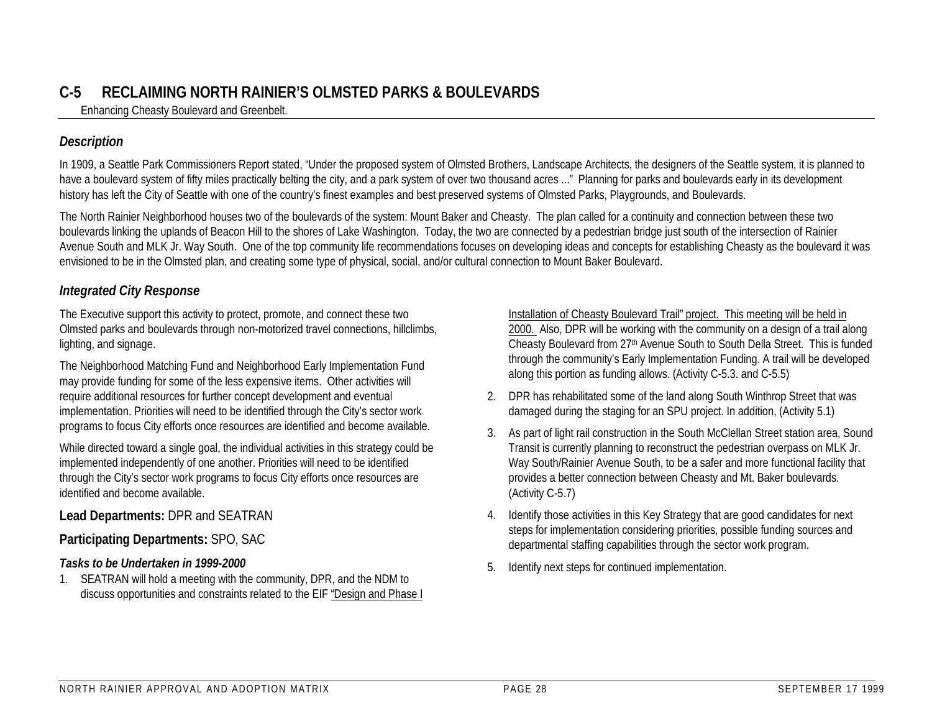## **C-5 RECLAIMING NORTH RAINIER'S OLMSTED PARKS & BOULEVARDS**

Enhancing Cheasty Boulevard and Greenbelt.

#### *Description*

In 1909, a Seattle Park Commissioners Report stated, "Under the proposed system of Olmsted Brothers, Landscape Architects, the designers of the Seattle system, it is planned to have a boulevard system of fifty miles practically belting the city, and a park system of over two thousand acres ..." Planning for parks and boulevards early in its development history has left the City of Seattle with one of the country's finest examples and best preserved systems of Olmsted Parks, Playgrounds, and Boulevards.

The North Rainier Neighborhood houses two of the boulevards of the system: Mount Baker and Cheasty. The plan called for a continuity and connection between these two boulevards linking the uplands of Beacon Hill to the shores of Lake Washington. Today, the two are connected by a pedestrian bridge just south of the intersection of Rainier Avenue South and MLK Jr. Way South. One of the top community life recommendations focuses on developing ideas and concepts for establishing Cheasty as the boulevard it was envisioned to be in the Olmsted plan, and creating some type of physical, social, and/or cultural connection to Mount Baker Boulevard.

#### *Integrated City Response*

The Executive support this activity to protect, promote, and connect these two Olmsted parks and boulevards through non-motorized travel connections, hillclimbs, lighting, and signage.

The Neighborhood Matching Fund and Neighborhood Early Implementation Fund may provide funding for some of the less expensive items. Other activities will require additional resources for further concept development and eventual implementation. Priorities will need to be identified through the City's sector work programs to focus City efforts once resources are identified and become available.

While directed toward a single goal, the individual activities in this strategy could be implemented independently of one another. Priorities will need to be identified through the City's sector work programs to focus City efforts once resources are identified and become available.

**Lead Departments:** DPR and SEATRAN

#### **Participating Departments:** SPO, SAC

#### *Tasks to be Undertaken in 1999-2000*

1. SEATRAN will hold a meeting with the community, DPR, and the NDM to discuss opportunities and constraints related to the EIF "Design and Phase I

Installation of Cheasty Boulevard Trail" project. This meeting will be held in 2000. Also, DPR will be working with the community on a design of a trail along Cheasty Boulevard from 27th Avenue South to South Della Street. This is funded through the community's Early Implementation Funding. A trail will be developed along this portion as funding allows. (Activity C-5.3. and C-5.5)

- 2. DPR has rehabilitated some of the land along South Winthrop Street that was damaged during the staging for an SPU project. In addition, (Activity 5.1)
- 3. As part of light rail construction in the South McClellan Street station area, Sound Transit is currently planning to reconstruct the pedestrian overpass on MLK Jr. Way South/Rainier Avenue South, to be a safer and more functional facility that provides a better connection between Cheasty and Mt. Baker boulevards. (Activity C-5.7)
- 4. Identify those activities in this Key Strategy that are good candidates for next steps for implementation considering priorities, possible funding sources and departmental staffing capabilities through the sector work program.
- 5. Identify next steps for continued implementation.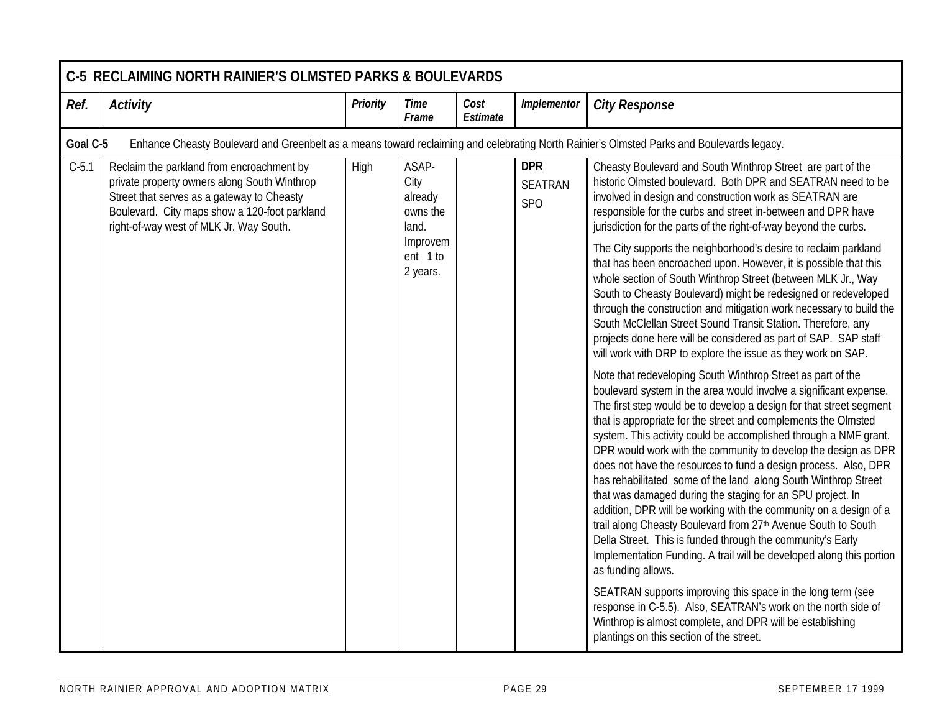|         | <b>C-5 RECLAIMING NORTH RAINIER'S OLMSTED PARKS &amp; BOULEVARDS</b>                                                                                                                                                                |                 |                                                                                   |                  |                                                 |                                                                                                                                                                                                                                                                                                                                                                                                                                                                                                                                                                                                                                                                                                                                                                                                                                                                                                                                                                                                                                                                                                                                                                                                                                                                                                                                                                                                                                                                                                                                                                                                                                                                                                                                                                                                                                                                     |  |  |  |  |  |
|---------|-------------------------------------------------------------------------------------------------------------------------------------------------------------------------------------------------------------------------------------|-----------------|-----------------------------------------------------------------------------------|------------------|-------------------------------------------------|---------------------------------------------------------------------------------------------------------------------------------------------------------------------------------------------------------------------------------------------------------------------------------------------------------------------------------------------------------------------------------------------------------------------------------------------------------------------------------------------------------------------------------------------------------------------------------------------------------------------------------------------------------------------------------------------------------------------------------------------------------------------------------------------------------------------------------------------------------------------------------------------------------------------------------------------------------------------------------------------------------------------------------------------------------------------------------------------------------------------------------------------------------------------------------------------------------------------------------------------------------------------------------------------------------------------------------------------------------------------------------------------------------------------------------------------------------------------------------------------------------------------------------------------------------------------------------------------------------------------------------------------------------------------------------------------------------------------------------------------------------------------------------------------------------------------------------------------------------------------|--|--|--|--|--|
| Ref.    | <b>Activity</b>                                                                                                                                                                                                                     | <b>Priority</b> | <b>Time</b><br>Frame                                                              | Cost<br>Estimate | <b>Implementor</b>                              | <b>City Response</b>                                                                                                                                                                                                                                                                                                                                                                                                                                                                                                                                                                                                                                                                                                                                                                                                                                                                                                                                                                                                                                                                                                                                                                                                                                                                                                                                                                                                                                                                                                                                                                                                                                                                                                                                                                                                                                                |  |  |  |  |  |
|         | Goal C-5<br>Enhance Cheasty Boulevard and Greenbelt as a means toward reclaiming and celebrating North Rainier's Olmsted Parks and Boulevards legacy.                                                                               |                 |                                                                                   |                  |                                                 |                                                                                                                                                                                                                                                                                                                                                                                                                                                                                                                                                                                                                                                                                                                                                                                                                                                                                                                                                                                                                                                                                                                                                                                                                                                                                                                                                                                                                                                                                                                                                                                                                                                                                                                                                                                                                                                                     |  |  |  |  |  |
| $C-5.1$ | Reclaim the parkland from encroachment by<br>private property owners along South Winthrop<br>Street that serves as a gateway to Cheasty<br>Boulevard. City maps show a 120-foot parkland<br>right-of-way west of MLK Jr. Way South. | High            | ASAP-<br>City<br>already<br>owns the<br>land.<br>Improvem<br>ent 1 to<br>2 years. |                  | <b>DPR</b><br><b>SEATRAN</b><br>SP <sub>O</sub> | Cheasty Boulevard and South Winthrop Street are part of the<br>historic Olmsted boulevard. Both DPR and SEATRAN need to be<br>involved in design and construction work as SEATRAN are<br>responsible for the curbs and street in-between and DPR have<br>jurisdiction for the parts of the right-of-way beyond the curbs.<br>The City supports the neighborhood's desire to reclaim parkland<br>that has been encroached upon. However, it is possible that this<br>whole section of South Winthrop Street (between MLK Jr., Way<br>South to Cheasty Boulevard) might be redesigned or redeveloped<br>through the construction and mitigation work necessary to build the<br>South McClellan Street Sound Transit Station. Therefore, any<br>projects done here will be considered as part of SAP. SAP staff<br>will work with DRP to explore the issue as they work on SAP.<br>Note that redeveloping South Winthrop Street as part of the<br>boulevard system in the area would involve a significant expense.<br>The first step would be to develop a design for that street segment<br>that is appropriate for the street and complements the Olmsted<br>system. This activity could be accomplished through a NMF grant.<br>DPR would work with the community to develop the design as DPR<br>does not have the resources to fund a design process. Also, DPR<br>has rehabilitated some of the land along South Winthrop Street<br>that was damaged during the staging for an SPU project. In<br>addition, DPR will be working with the community on a design of a<br>trail along Cheasty Boulevard from 27th Avenue South to South<br>Della Street. This is funded through the community's Early<br>Implementation Funding. A trail will be developed along this portion<br>as funding allows.<br>SEATRAN supports improving this space in the long term (see |  |  |  |  |  |
|         |                                                                                                                                                                                                                                     |                 |                                                                                   |                  |                                                 | response in C-5.5). Also, SEATRAN's work on the north side of<br>Winthrop is almost complete, and DPR will be establishing<br>plantings on this section of the street.                                                                                                                                                                                                                                                                                                                                                                                                                                                                                                                                                                                                                                                                                                                                                                                                                                                                                                                                                                                                                                                                                                                                                                                                                                                                                                                                                                                                                                                                                                                                                                                                                                                                                              |  |  |  |  |  |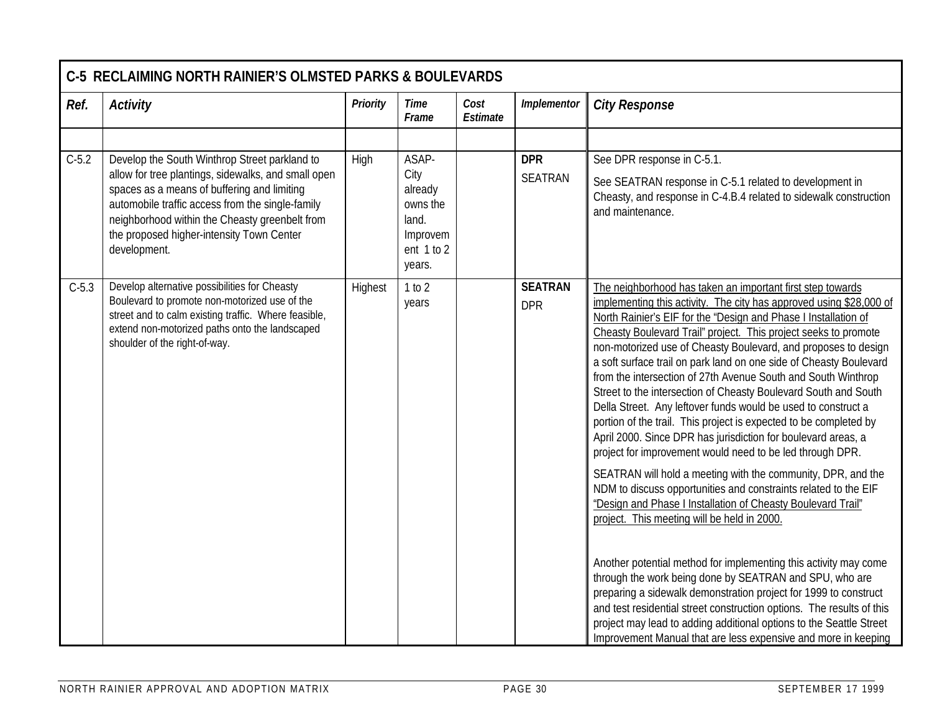|         | <b>C-5 RECLAIMING NORTH RAINIER'S OLMSTED PARKS &amp; BOULEVARDS</b>                                                                                                                                                                                                                                                   |                 |                                                                                       |                  |                              |                                                                                                                                                                                                                                                                                                                                                                                                                                                                                                                                                                                                                                                                                                                                                                                                                                                                                                                                                                                                                                                                                                                                                                                                                                                                                                                                                                                                                              |  |  |  |  |
|---------|------------------------------------------------------------------------------------------------------------------------------------------------------------------------------------------------------------------------------------------------------------------------------------------------------------------------|-----------------|---------------------------------------------------------------------------------------|------------------|------------------------------|------------------------------------------------------------------------------------------------------------------------------------------------------------------------------------------------------------------------------------------------------------------------------------------------------------------------------------------------------------------------------------------------------------------------------------------------------------------------------------------------------------------------------------------------------------------------------------------------------------------------------------------------------------------------------------------------------------------------------------------------------------------------------------------------------------------------------------------------------------------------------------------------------------------------------------------------------------------------------------------------------------------------------------------------------------------------------------------------------------------------------------------------------------------------------------------------------------------------------------------------------------------------------------------------------------------------------------------------------------------------------------------------------------------------------|--|--|--|--|
| Ref.    | <b>Activity</b>                                                                                                                                                                                                                                                                                                        | <b>Priority</b> | <b>Time</b><br>Frame                                                                  | Cost<br>Estimate | Implementor                  | <b>City Response</b>                                                                                                                                                                                                                                                                                                                                                                                                                                                                                                                                                                                                                                                                                                                                                                                                                                                                                                                                                                                                                                                                                                                                                                                                                                                                                                                                                                                                         |  |  |  |  |
|         |                                                                                                                                                                                                                                                                                                                        |                 |                                                                                       |                  |                              |                                                                                                                                                                                                                                                                                                                                                                                                                                                                                                                                                                                                                                                                                                                                                                                                                                                                                                                                                                                                                                                                                                                                                                                                                                                                                                                                                                                                                              |  |  |  |  |
| $C-5.2$ | Develop the South Winthrop Street parkland to<br>allow for tree plantings, sidewalks, and small open<br>spaces as a means of buffering and limiting<br>automobile traffic access from the single-family<br>neighborhood within the Cheasty greenbelt from<br>the proposed higher-intensity Town Center<br>development. | High            | ASAP-<br>City<br>already<br>owns the<br>land.<br>Improvem<br>ent $1$ to $2$<br>years. |                  | <b>DPR</b><br><b>SEATRAN</b> | See DPR response in C-5.1.<br>See SEATRAN response in C-5.1 related to development in<br>Cheasty, and response in C-4.B.4 related to sidewalk construction<br>and maintenance.                                                                                                                                                                                                                                                                                                                                                                                                                                                                                                                                                                                                                                                                                                                                                                                                                                                                                                                                                                                                                                                                                                                                                                                                                                               |  |  |  |  |
| $C-5.3$ | Develop alternative possibilities for Cheasty<br>Boulevard to promote non-motorized use of the<br>street and to calm existing traffic. Where feasible,<br>extend non-motorized paths onto the landscaped<br>shoulder of the right-of-way.                                                                              | Highest         | 1 to 2<br>years                                                                       |                  | <b>SEATRAN</b><br><b>DPR</b> | The neighborhood has taken an important first step towards<br>implementing this activity. The city has approved using \$28,000 of<br>North Rainier's EIF for the "Design and Phase I Installation of<br>Cheasty Boulevard Trail" project. This project seeks to promote<br>non-motorized use of Cheasty Boulevard, and proposes to design<br>a soft surface trail on park land on one side of Cheasty Boulevard<br>from the intersection of 27th Avenue South and South Winthrop<br>Street to the intersection of Cheasty Boulevard South and South<br>Della Street. Any leftover funds would be used to construct a<br>portion of the trail. This project is expected to be completed by<br>April 2000. Since DPR has jurisdiction for boulevard areas, a<br>project for improvement would need to be led through DPR.<br>SEATRAN will hold a meeting with the community, DPR, and the<br>NDM to discuss opportunities and constraints related to the EIF<br>"Design and Phase I Installation of Cheasty Boulevard Trail"<br>project. This meeting will be held in 2000.<br>Another potential method for implementing this activity may come<br>through the work being done by SEATRAN and SPU, who are<br>preparing a sidewalk demonstration project for 1999 to construct<br>and test residential street construction options. The results of this<br>project may lead to adding additional options to the Seattle Street |  |  |  |  |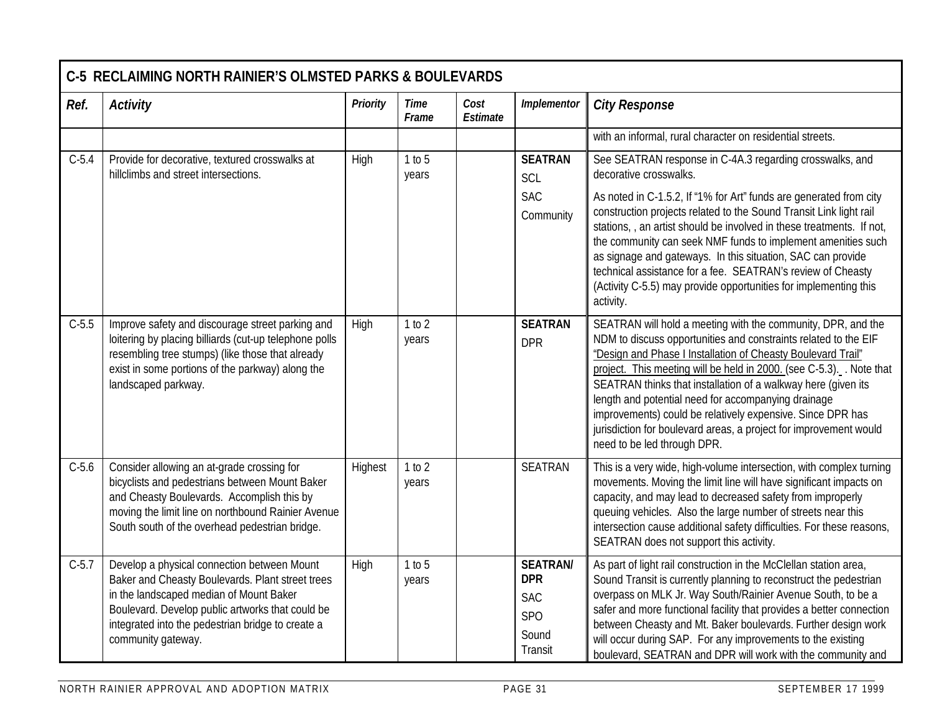|         | <b>C-5 RECLAIMING NORTH RAINIER'S OLMSTED PARKS &amp; BOULEVARDS</b>                                                                                                                                                                                                      |          |                      |                  |                                                                                    |                                                                                                                                                                                                                                                                                                                                                                                                                                                                                                                                                                                        |
|---------|---------------------------------------------------------------------------------------------------------------------------------------------------------------------------------------------------------------------------------------------------------------------------|----------|----------------------|------------------|------------------------------------------------------------------------------------|----------------------------------------------------------------------------------------------------------------------------------------------------------------------------------------------------------------------------------------------------------------------------------------------------------------------------------------------------------------------------------------------------------------------------------------------------------------------------------------------------------------------------------------------------------------------------------------|
| Ref.    | <b>Activity</b>                                                                                                                                                                                                                                                           | Priority | <b>Time</b><br>Frame | Cost<br>Estimate | Implementor                                                                        | <b>City Response</b>                                                                                                                                                                                                                                                                                                                                                                                                                                                                                                                                                                   |
|         |                                                                                                                                                                                                                                                                           |          |                      |                  |                                                                                    | with an informal, rural character on residential streets.                                                                                                                                                                                                                                                                                                                                                                                                                                                                                                                              |
| $C-5.4$ | Provide for decorative, textured crosswalks at<br>hillclimbs and street intersections.                                                                                                                                                                                    | High     | 1 to 5<br>years      |                  | <b>SEATRAN</b><br>SCL<br><b>SAC</b><br>Community                                   | See SEATRAN response in C-4A.3 regarding crosswalks, and<br>decorative crosswalks.<br>As noted in C-1.5.2, If "1% for Art" funds are generated from city<br>construction projects related to the Sound Transit Link light rail<br>stations, , an artist should be involved in these treatments. If not,<br>the community can seek NMF funds to implement amenities such<br>as signage and gateways. In this situation, SAC can provide<br>technical assistance for a fee. SEATRAN's review of Cheasty<br>(Activity C-5.5) may provide opportunities for implementing this<br>activity. |
| $C-5.5$ | Improve safety and discourage street parking and<br>loitering by placing billiards (cut-up telephone polls<br>resembling tree stumps) (like those that already<br>exist in some portions of the parkway) along the<br>landscaped parkway.                                 | High     | 1 to 2<br>years      |                  | <b>SEATRAN</b><br><b>DPR</b>                                                       | SEATRAN will hold a meeting with the community, DPR, and the<br>NDM to discuss opportunities and constraints related to the EIF<br>"Design and Phase I Installation of Cheasty Boulevard Trail"<br>project. This meeting will be held in 2000. (see C-5.3). Note that<br>SEATRAN thinks that installation of a walkway here (given its<br>length and potential need for accompanying drainage<br>improvements) could be relatively expensive. Since DPR has<br>jurisdiction for boulevard areas, a project for improvement would<br>need to be led through DPR.                        |
| $C-5.6$ | Consider allowing an at-grade crossing for<br>bicyclists and pedestrians between Mount Baker<br>and Cheasty Boulevards. Accomplish this by<br>moving the limit line on northbound Rainier Avenue<br>South south of the overhead pedestrian bridge.                        | Highest  | 1 to 2<br>years      |                  | <b>SEATRAN</b>                                                                     | This is a very wide, high-volume intersection, with complex turning<br>movements. Moving the limit line will have significant impacts on<br>capacity, and may lead to decreased safety from improperly<br>queuing vehicles. Also the large number of streets near this<br>intersection cause additional safety difficulties. For these reasons,<br>SEATRAN does not support this activity.                                                                                                                                                                                             |
| $C-5.7$ | Develop a physical connection between Mount<br>Baker and Cheasty Boulevards. Plant street trees<br>in the landscaped median of Mount Baker<br>Boulevard. Develop public artworks that could be<br>integrated into the pedestrian bridge to create a<br>community gateway. | High     | 1 to 5<br>years      |                  | <b>SEATRAN/</b><br><b>DPR</b><br><b>SAC</b><br>SP <sub>O</sub><br>Sound<br>Transit | As part of light rail construction in the McClellan station area,<br>Sound Transit is currently planning to reconstruct the pedestrian<br>overpass on MLK Jr. Way South/Rainier Avenue South, to be a<br>safer and more functional facility that provides a better connection<br>between Cheasty and Mt. Baker boulevards. Further design work<br>will occur during SAP. For any improvements to the existing<br>boulevard, SEATRAN and DPR will work with the community and                                                                                                           |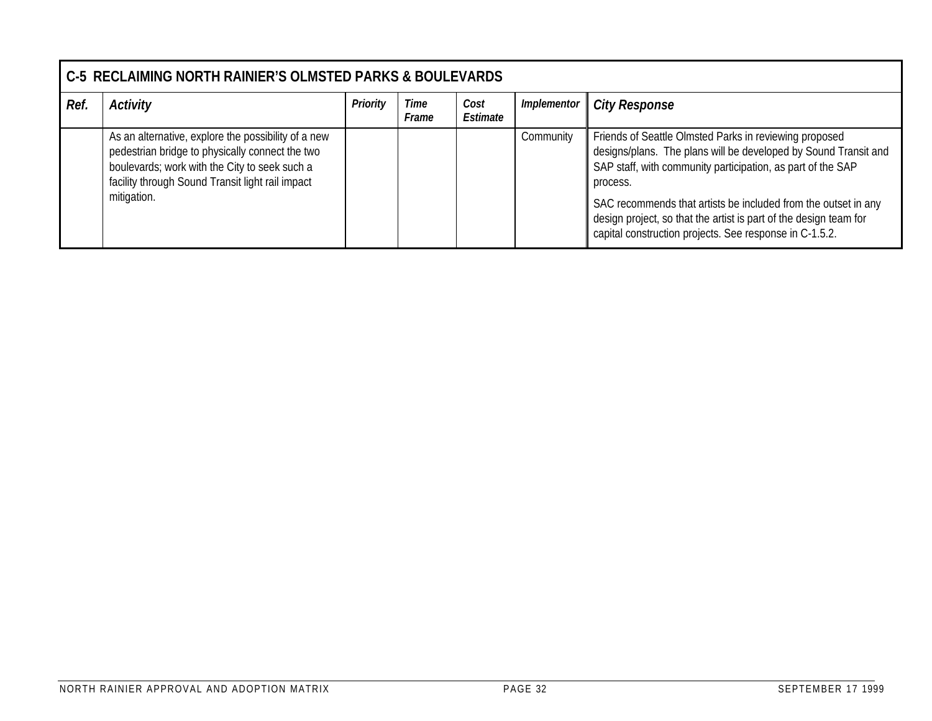|      | <b>C-5 RECLAIMING NORTH RAINIER'S OLMSTED PARKS &amp; BOULEVARDS</b>                                                                                                                                                       |          |               |                  |             |                                                                                                                                                                                                                                                                                                                                                                                                        |  |  |  |  |
|------|----------------------------------------------------------------------------------------------------------------------------------------------------------------------------------------------------------------------------|----------|---------------|------------------|-------------|--------------------------------------------------------------------------------------------------------------------------------------------------------------------------------------------------------------------------------------------------------------------------------------------------------------------------------------------------------------------------------------------------------|--|--|--|--|
| Ref. | <b>Activity</b>                                                                                                                                                                                                            | Priority | Time<br>Frame | Cost<br>Estimate | Implementor | <b>City Response</b>                                                                                                                                                                                                                                                                                                                                                                                   |  |  |  |  |
|      | As an alternative, explore the possibility of a new<br>pedestrian bridge to physically connect the two<br>boulevards; work with the City to seek such a<br>facility through Sound Transit light rail impact<br>mitigation. |          |               |                  | Community   | Friends of Seattle Olmsted Parks in reviewing proposed<br>designs/plans. The plans will be developed by Sound Transit and<br>SAP staff, with community participation, as part of the SAP<br>process.<br>SAC recommends that artists be included from the outset in any<br>design project, so that the artist is part of the design team for<br>capital construction projects. See response in C-1.5.2. |  |  |  |  |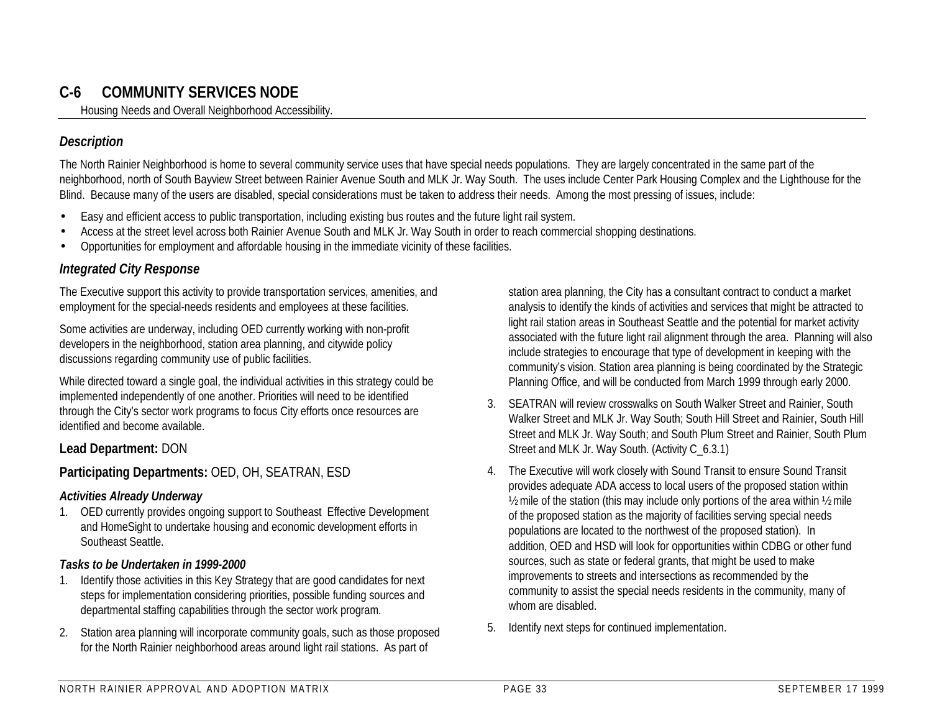## **C-6 COMMUNITY SERVICES NODE**

Housing Needs and Overall Neighborhood Accessibility.

#### *Description*

The North Rainier Neighborhood is home to several community service uses that have special needs populations. They are largely concentrated in the same part of the neighborhood, north of South Bayview Street between Rainier Avenue South and MLK Jr. Way South. The uses include Center Park Housing Complex and the Lighthouse for the Blind. Because many of the users are disabled, special considerations must be taken to address their needs. Among the most pressing of issues, include:

- Easy and efficient access to public transportation, including existing bus routes and the future light rail system.
- Access at the street level across both Rainier Avenue South and MLK Jr. Way South in order to reach commercial shopping destinations.
- Opportunities for employment and affordable housing in the immediate vicinity of these facilities.

#### *Integrated City Response*

The Executive support this activity to provide transportation services, amenities, and employment for the special-needs residents and employees at these facilities.

Some activities are underway, including OED currently working with non-profit developers in the neighborhood, station area planning, and citywide policy discussions regarding community use of public facilities.

While directed toward a single goal, the individual activities in this strategy could be implemented independently of one another. Priorities will need to be identified through the City's sector work programs to focus City efforts once resources are identified and become available.

#### **Lead Department:** DON

#### **Participating Departments:** OED, OH, SEATRAN, ESD

#### *Activities Already Underway*

1. OED currently provides ongoing support to Southeast Effective Development and HomeSight to undertake housing and economic development efforts in Southeast Seattle.

#### *Tasks to be Undertaken in 1999-2000*

- 1. Identify those activities in this Key Strategy that are good candidates for next steps for implementation considering priorities, possible funding sources and departmental staffing capabilities through the sector work program.
- 2. Station area planning will incorporate community goals, such as those proposed for the North Rainier neighborhood areas around light rail stations. As part of

station area planning, the City has a consultant contract to conduct a market analysis to identify the kinds of activities and services that might be attracted to light rail station areas in Southeast Seattle and the potential for market activity associated with the future light rail alignment through the area. Planning will also include strategies to encourage that type of development in keeping with the community's vision. Station area planning is being coordinated by the Strategic Planning Office, and will be conducted from March 1999 through early 2000.

- 3. SEATRAN will review crosswalks on South Walker Street and Rainier, South Walker Street and MLK Jr. Way South; South Hill Street and Rainier, South Hill Street and MLK Jr. Way South; and South Plum Street and Rainier, South Plum Street and MLK Jr. Way South. (Activity C\_6.3.1)
- 4. The Executive will work closely with Sound Transit to ensure Sound Transit provides adequate ADA access to local users of the proposed station within ½ mile of the station (this may include only portions of the area within ½ mile of the proposed station as the majority of facilities serving special needs populations are located to the northwest of the proposed station). In addition, OED and HSD will look for opportunities within CDBG or other fund sources, such as state or federal grants, that might be used to make improvements to streets and intersections as recommended by the community to assist the special needs residents in the community, many of whom are disabled.
- 5. Identify next steps for continued implementation.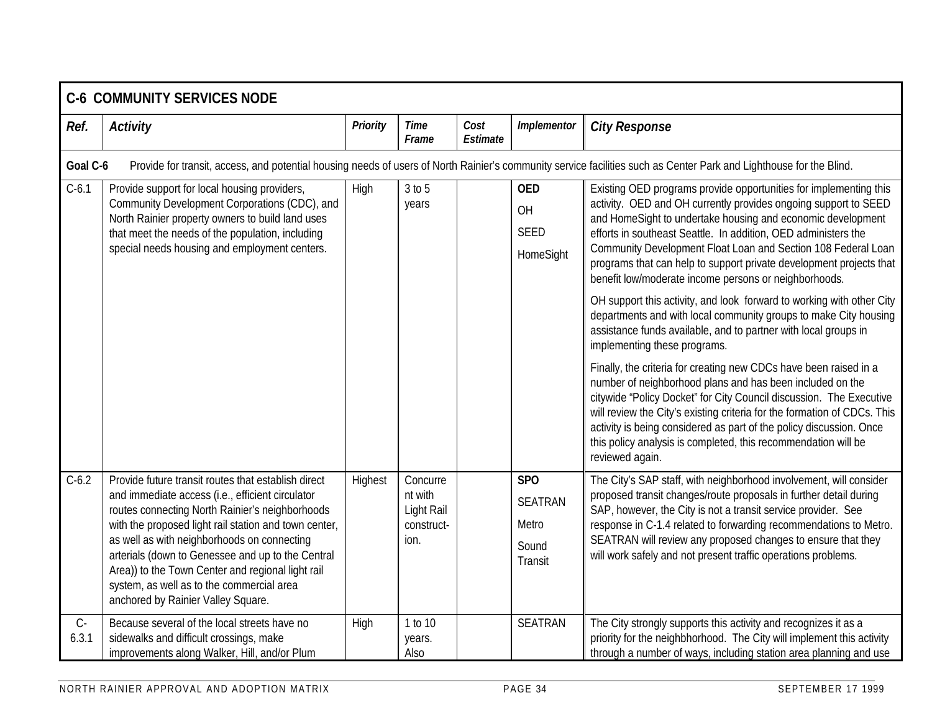|                | <b>C-6 COMMUNITY SERVICES NODE</b>                                                                                                                                                                                                                                                                                                                                                                                                                              |          |                                                         |                  |                                                           |                                                                                                                                                                                                                                                                                                                                                                                                                                                                                                                                                 |
|----------------|-----------------------------------------------------------------------------------------------------------------------------------------------------------------------------------------------------------------------------------------------------------------------------------------------------------------------------------------------------------------------------------------------------------------------------------------------------------------|----------|---------------------------------------------------------|------------------|-----------------------------------------------------------|-------------------------------------------------------------------------------------------------------------------------------------------------------------------------------------------------------------------------------------------------------------------------------------------------------------------------------------------------------------------------------------------------------------------------------------------------------------------------------------------------------------------------------------------------|
| Ref.           | <b>Activity</b>                                                                                                                                                                                                                                                                                                                                                                                                                                                 | Priority | <b>Time</b><br>Frame                                    | Cost<br>Estimate | Implementor                                               | <b>City Response</b>                                                                                                                                                                                                                                                                                                                                                                                                                                                                                                                            |
| Goal C-6       |                                                                                                                                                                                                                                                                                                                                                                                                                                                                 |          |                                                         |                  |                                                           | Provide for transit, access, and potential housing needs of users of North Rainier's community service facilities such as Center Park and Lighthouse for the Blind.                                                                                                                                                                                                                                                                                                                                                                             |
| $C-6.1$        | Provide support for local housing providers,<br>Community Development Corporations (CDC), and<br>North Rainier property owners to build land uses<br>that meet the needs of the population, including<br>special needs housing and employment centers.                                                                                                                                                                                                          | High     | $3$ to $5$<br>years                                     |                  | <b>OED</b><br>OH<br><b>SEED</b><br>HomeSight              | Existing OED programs provide opportunities for implementing this<br>activity. OED and OH currently provides ongoing support to SEED<br>and HomeSight to undertake housing and economic development<br>efforts in southeast Seattle. In addition, OED administers the<br>Community Development Float Loan and Section 108 Federal Loan<br>programs that can help to support private development projects that<br>benefit low/moderate income persons or neighborhoods.<br>OH support this activity, and look forward to working with other City |
|                |                                                                                                                                                                                                                                                                                                                                                                                                                                                                 |          |                                                         |                  |                                                           | departments and with local community groups to make City housing<br>assistance funds available, and to partner with local groups in<br>implementing these programs.                                                                                                                                                                                                                                                                                                                                                                             |
|                |                                                                                                                                                                                                                                                                                                                                                                                                                                                                 |          |                                                         |                  |                                                           | Finally, the criteria for creating new CDCs have been raised in a<br>number of neighborhood plans and has been included on the<br>citywide "Policy Docket" for City Council discussion. The Executive<br>will review the City's existing criteria for the formation of CDCs. This<br>activity is being considered as part of the policy discussion. Once<br>this policy analysis is completed, this recommendation will be<br>reviewed again.                                                                                                   |
| $C-6.2$        | Provide future transit routes that establish direct<br>and immediate access (i.e., efficient circulator<br>routes connecting North Rainier's neighborhoods<br>with the proposed light rail station and town center,<br>as well as with neighborhoods on connecting<br>arterials (down to Genessee and up to the Central<br>Area)) to the Town Center and regional light rail<br>system, as well as to the commercial area<br>anchored by Rainier Valley Square. | Highest  | Concurre<br>nt with<br>Light Rail<br>construct-<br>ion. |                  | <b>SPO</b><br><b>SEATRAN</b><br>Metro<br>Sound<br>Transit | The City's SAP staff, with neighborhood involvement, will consider<br>proposed transit changes/route proposals in further detail during<br>SAP, however, the City is not a transit service provider. See<br>response in C-1.4 related to forwarding recommendations to Metro.<br>SEATRAN will review any proposed changes to ensure that they<br>will work safely and not present traffic operations problems.                                                                                                                                  |
| $C -$<br>6.3.1 | Because several of the local streets have no<br>sidewalks and difficult crossings, make<br>improvements along Walker, Hill, and/or Plum                                                                                                                                                                                                                                                                                                                         | High     | 1 to 10<br>years.<br>Also                               |                  | <b>SEATRAN</b>                                            | The City strongly supports this activity and recognizes it as a<br>priority for the neighbhorhood. The City will implement this activity<br>through a number of ways, including station area planning and use                                                                                                                                                                                                                                                                                                                                   |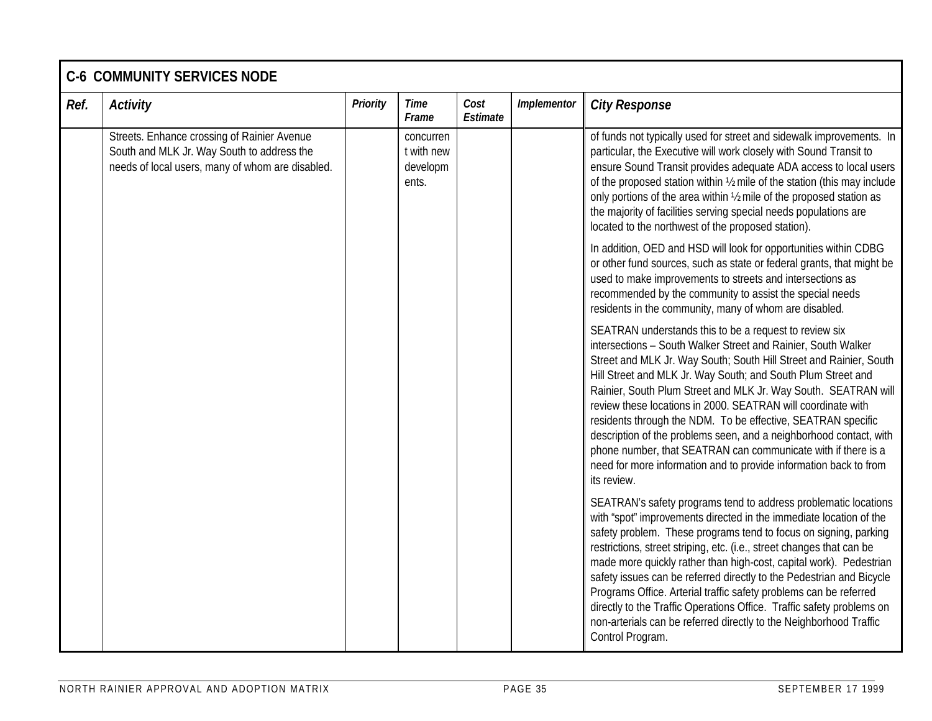|      | <b>C-6 COMMUNITY SERVICES NODE</b>                                                                                                            |          |                                              |                  |             |                                                                                                                                                                                                                                                                                                                                                                                                                                                                                                                                                                                                                                                                                            |  |  |  |  |  |
|------|-----------------------------------------------------------------------------------------------------------------------------------------------|----------|----------------------------------------------|------------------|-------------|--------------------------------------------------------------------------------------------------------------------------------------------------------------------------------------------------------------------------------------------------------------------------------------------------------------------------------------------------------------------------------------------------------------------------------------------------------------------------------------------------------------------------------------------------------------------------------------------------------------------------------------------------------------------------------------------|--|--|--|--|--|
| Ref. | <b>Activity</b>                                                                                                                               | Priority | <b>Time</b><br>Frame                         | Cost<br>Estimate | Implementor | <b>City Response</b>                                                                                                                                                                                                                                                                                                                                                                                                                                                                                                                                                                                                                                                                       |  |  |  |  |  |
|      | Streets. Enhance crossing of Rainier Avenue<br>South and MLK Jr. Way South to address the<br>needs of local users, many of whom are disabled. |          | concurren<br>t with new<br>developm<br>ents. |                  |             | of funds not typically used for street and sidewalk improvements. In<br>particular, the Executive will work closely with Sound Transit to<br>ensure Sound Transit provides adequate ADA access to local users<br>of the proposed station within 1/2 mile of the station (this may include<br>only portions of the area within 1/2 mile of the proposed station as<br>the majority of facilities serving special needs populations are<br>located to the northwest of the proposed station).                                                                                                                                                                                                |  |  |  |  |  |
|      |                                                                                                                                               |          |                                              |                  |             | In addition, OED and HSD will look for opportunities within CDBG<br>or other fund sources, such as state or federal grants, that might be<br>used to make improvements to streets and intersections as<br>recommended by the community to assist the special needs<br>residents in the community, many of whom are disabled.                                                                                                                                                                                                                                                                                                                                                               |  |  |  |  |  |
|      |                                                                                                                                               |          |                                              |                  |             | SEATRAN understands this to be a request to review six<br>intersections - South Walker Street and Rainier, South Walker<br>Street and MLK Jr. Way South; South Hill Street and Rainier, South<br>Hill Street and MLK Jr. Way South; and South Plum Street and<br>Rainier, South Plum Street and MLK Jr. Way South. SEATRAN will<br>review these locations in 2000. SEATRAN will coordinate with<br>residents through the NDM. To be effective, SEATRAN specific<br>description of the problems seen, and a neighborhood contact, with<br>phone number, that SEATRAN can communicate with if there is a<br>need for more information and to provide information back to from<br>its review. |  |  |  |  |  |
|      |                                                                                                                                               |          |                                              |                  |             | SEATRAN's safety programs tend to address problematic locations<br>with "spot" improvements directed in the immediate location of the<br>safety problem. These programs tend to focus on signing, parking<br>restrictions, street striping, etc. (i.e., street changes that can be<br>made more quickly rather than high-cost, capital work). Pedestrian<br>safety issues can be referred directly to the Pedestrian and Bicycle<br>Programs Office. Arterial traffic safety problems can be referred<br>directly to the Traffic Operations Office. Traffic safety problems on<br>non-arterials can be referred directly to the Neighborhood Traffic<br>Control Program.                   |  |  |  |  |  |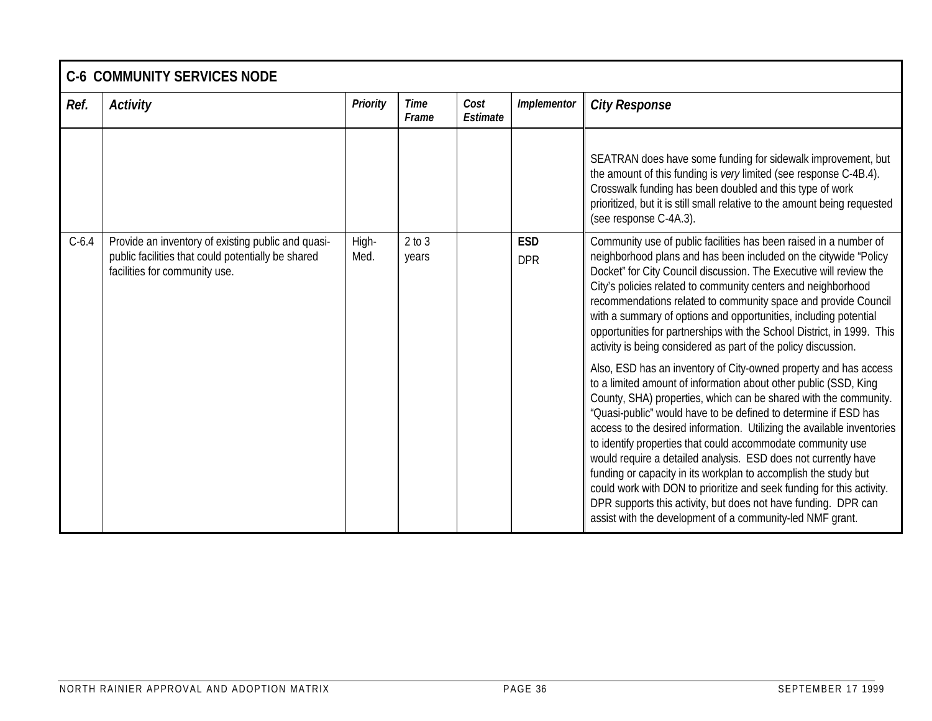|         | <b>C-6 COMMUNITY SERVICES NODE</b>                                                                                                        |                 |                     |                  |                          |                                                                                                                                                                                                                                                                                                                                                                                                                                                                                                                                                                                                                                                                                                                                                                   |  |  |  |  |  |  |
|---------|-------------------------------------------------------------------------------------------------------------------------------------------|-----------------|---------------------|------------------|--------------------------|-------------------------------------------------------------------------------------------------------------------------------------------------------------------------------------------------------------------------------------------------------------------------------------------------------------------------------------------------------------------------------------------------------------------------------------------------------------------------------------------------------------------------------------------------------------------------------------------------------------------------------------------------------------------------------------------------------------------------------------------------------------------|--|--|--|--|--|--|
| Ref.    | <b>Activity</b>                                                                                                                           | <b>Priority</b> | Time<br>Frame       | Cost<br>Estimate | Implementor              | <b>City Response</b>                                                                                                                                                                                                                                                                                                                                                                                                                                                                                                                                                                                                                                                                                                                                              |  |  |  |  |  |  |
|         |                                                                                                                                           |                 |                     |                  |                          | SEATRAN does have some funding for sidewalk improvement, but<br>the amount of this funding is very limited (see response C-4B.4).<br>Crosswalk funding has been doubled and this type of work<br>prioritized, but it is still small relative to the amount being requested<br>(see response C-4A.3).                                                                                                                                                                                                                                                                                                                                                                                                                                                              |  |  |  |  |  |  |
| $C-6.4$ | Provide an inventory of existing public and quasi-<br>public facilities that could potentially be shared<br>facilities for community use. | High-<br>Med.   | $2$ to $3$<br>years |                  | <b>ESD</b><br><b>DPR</b> | Community use of public facilities has been raised in a number of<br>neighborhood plans and has been included on the citywide "Policy<br>Docket" for City Council discussion. The Executive will review the<br>City's policies related to community centers and neighborhood<br>recommendations related to community space and provide Council<br>with a summary of options and opportunities, including potential<br>opportunities for partnerships with the School District, in 1999. This<br>activity is being considered as part of the policy discussion.                                                                                                                                                                                                    |  |  |  |  |  |  |
|         |                                                                                                                                           |                 |                     |                  |                          | Also, ESD has an inventory of City-owned property and has access<br>to a limited amount of information about other public (SSD, King<br>County, SHA) properties, which can be shared with the community.<br>"Quasi-public" would have to be defined to determine if ESD has<br>access to the desired information. Utilizing the available inventories<br>to identify properties that could accommodate community use<br>would require a detailed analysis. ESD does not currently have<br>funding or capacity in its workplan to accomplish the study but<br>could work with DON to prioritize and seek funding for this activity.<br>DPR supports this activity, but does not have funding. DPR can<br>assist with the development of a community-led NMF grant. |  |  |  |  |  |  |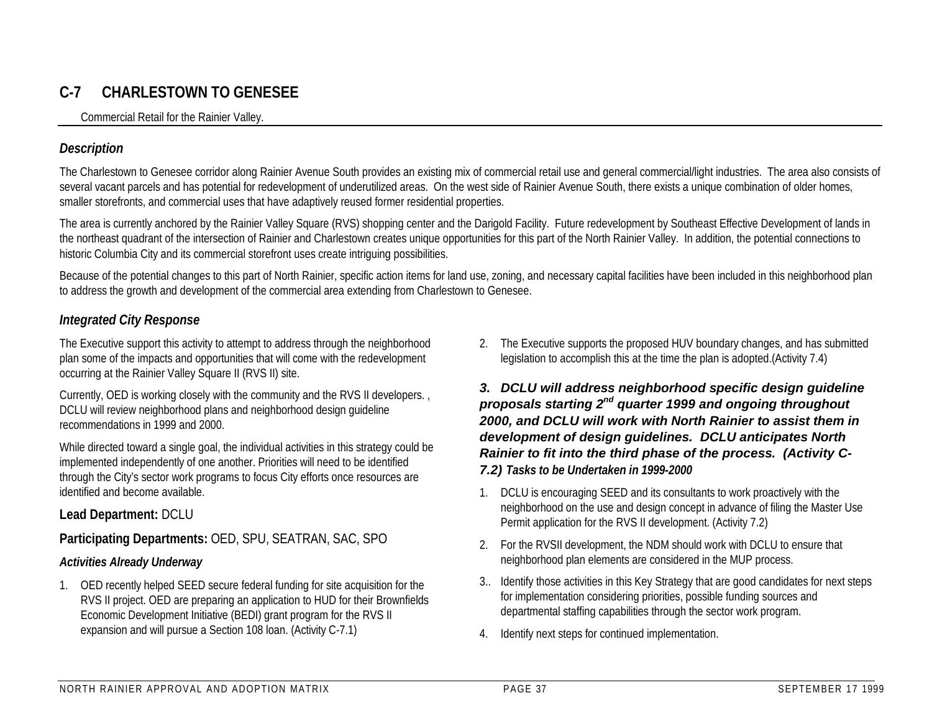## **C-7 CHARLESTOWN TO GENESEE**

Commercial Retail for the Rainier Valley.

#### *Description*

The Charlestown to Genesee corridor along Rainier Avenue South provides an existing mix of commercial retail use and general commercial/light industries. The area also consists of several vacant parcels and has potential for redevelopment of underutilized areas. On the west side of Rainier Avenue South, there exists a unique combination of older homes, smaller storefronts, and commercial uses that have adaptively reused former residential properties.

The area is currently anchored by the Rainier Valley Square (RVS) shopping center and the Darigold Facility. Future redevelopment by Southeast Effective Development of lands in the northeast quadrant of the intersection of Rainier and Charlestown creates unique opportunities for this part of the North Rainier Valley. In addition, the potential connections to historic Columbia City and its commercial storefront uses create intriguing possibilities.

Because of the potential changes to this part of North Rainier, specific action items for land use, zoning, and necessary capital facilities have been included in this neighborhood plan to address the growth and development of the commercial area extending from Charlestown to Genesee.

#### *Integrated City Response*

The Executive support this activity to attempt to address through the neighborhood plan some of the impacts and opportunities that will come with the redevelopment occurring at the Rainier Valley Square II (RVS II) site.

Currently, OED is working closely with the community and the RVS II developers. , DCLU will review neighborhood plans and neighborhood design guideline recommendations in 1999 and 2000.

While directed toward a single goal, the individual activities in this strategy could be implemented independently of one another. Priorities will need to be identified through the City's sector work programs to focus City efforts once resources are identified and become available.

#### **Lead Department:** DCLU

#### **Participating Departments:** OED, SPU, SEATRAN, SAC, SPO

#### *Activities Already Underway*

1. OED recently helped SEED secure federal funding for site acquisition for the RVS II project. OED are preparing an application to HUD for their Brownfields Economic Development Initiative (BEDI) grant program for the RVS II expansion and will pursue a Section 108 loan. (Activity C-7.1)

2. The Executive supports the proposed HUV boundary changes, and has submitted legislation to accomplish this at the time the plan is adopted.(Activity 7.4)

*3. DCLU will address neighborhood specific design guideline proposals starting 2nd quarter 1999 and ongoing throughout 2000, and DCLU will work with North Rainier to assist them in development of design guidelines. DCLU anticipates North Rainier to fit into the third phase of the process. (Activity C-7.2) Tasks to be Undertaken in 1999-2000*

- 1. DCLU is encouraging SEED and its consultants to work proactively with the neighborhood on the use and design concept in advance of filing the Master Use Permit application for the RVS II development. (Activity 7.2)
- 2. For the RVSII development, the NDM should work with DCLU to ensure that neighborhood plan elements are considered in the MUP process.
- 3.. Identify those activities in this Key Strategy that are good candidates for next steps for implementation considering priorities, possible funding sources and departmental staffing capabilities through the sector work program.
- 4. Identify next steps for continued implementation.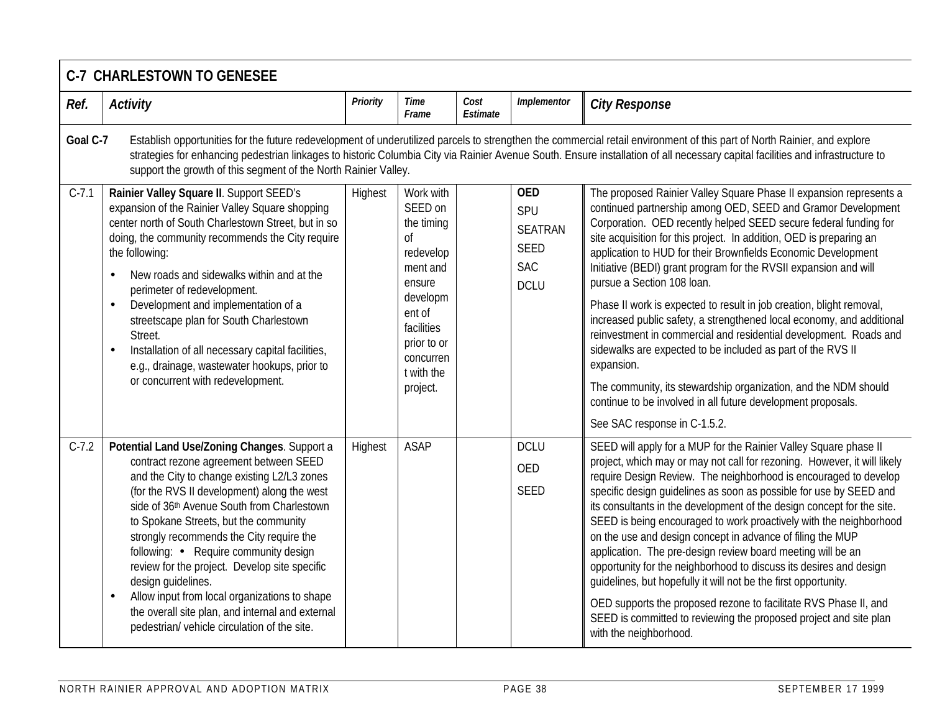|          | <b>C-7 CHARLESTOWN TO GENESEE</b>                                                                                                                                                                                                                                                                                                                                                                                                                                                                                                                                                                         |                 |                                                                                                                                                                       |                  |                                                                                 |                                                                                                                                                                                                                                                                                                                                                                                                                                                                                                                                                                                                                                                                                                                                                                                                                                                                                                                        |  |  |  |  |  |  |
|----------|-----------------------------------------------------------------------------------------------------------------------------------------------------------------------------------------------------------------------------------------------------------------------------------------------------------------------------------------------------------------------------------------------------------------------------------------------------------------------------------------------------------------------------------------------------------------------------------------------------------|-----------------|-----------------------------------------------------------------------------------------------------------------------------------------------------------------------|------------------|---------------------------------------------------------------------------------|------------------------------------------------------------------------------------------------------------------------------------------------------------------------------------------------------------------------------------------------------------------------------------------------------------------------------------------------------------------------------------------------------------------------------------------------------------------------------------------------------------------------------------------------------------------------------------------------------------------------------------------------------------------------------------------------------------------------------------------------------------------------------------------------------------------------------------------------------------------------------------------------------------------------|--|--|--|--|--|--|
| Ref.     | <b>Activity</b>                                                                                                                                                                                                                                                                                                                                                                                                                                                                                                                                                                                           | <b>Priority</b> | <b>Time</b><br>Frame                                                                                                                                                  | Cost<br>Estimate | Implementor                                                                     | <b>City Response</b>                                                                                                                                                                                                                                                                                                                                                                                                                                                                                                                                                                                                                                                                                                                                                                                                                                                                                                   |  |  |  |  |  |  |
| Goal C-7 | support the growth of this segment of the North Rainier Valley.                                                                                                                                                                                                                                                                                                                                                                                                                                                                                                                                           |                 |                                                                                                                                                                       |                  |                                                                                 | Establish opportunities for the future redevelopment of underutilized parcels to strengthen the commercial retail environment of this part of North Rainier, and explore<br>strategies for enhancing pedestrian linkages to historic Columbia City via Rainier Avenue South. Ensure installation of all necessary capital facilities and infrastructure to                                                                                                                                                                                                                                                                                                                                                                                                                                                                                                                                                             |  |  |  |  |  |  |
| $C-7.1$  | Rainier Valley Square II. Support SEED's<br>expansion of the Rainier Valley Square shopping<br>center north of South Charlestown Street, but in so<br>doing, the community recommends the City require<br>the following:<br>New roads and sidewalks within and at the<br>perimeter of redevelopment.<br>Development and implementation of a<br>$\bullet$<br>streetscape plan for South Charlestown<br>Street.<br>Installation of all necessary capital facilities,<br>$\bullet$<br>e.g., drainage, wastewater hookups, prior to<br>or concurrent with redevelopment.                                      | Highest         | Work with<br>SEED on<br>the timing<br>Οf<br>redevelop<br>ment and<br>ensure<br>developm<br>ent of<br>facilities<br>prior to or<br>concurren<br>t with the<br>project. |                  | <b>OED</b><br>SPU<br><b>SEATRAN</b><br><b>SEED</b><br><b>SAC</b><br><b>DCLU</b> | The proposed Rainier Valley Square Phase II expansion represents a<br>continued partnership among OED, SEED and Gramor Development<br>Corporation. OED recently helped SEED secure federal funding for<br>site acquisition for this project. In addition, OED is preparing an<br>application to HUD for their Brownfields Economic Development<br>Initiative (BEDI) grant program for the RVSII expansion and will<br>pursue a Section 108 loan.<br>Phase II work is expected to result in job creation, blight removal,<br>increased public safety, a strengthened local economy, and additional<br>reinvestment in commercial and residential development. Roads and<br>sidewalks are expected to be included as part of the RVS II<br>expansion.<br>The community, its stewardship organization, and the NDM should<br>continue to be involved in all future development proposals.<br>See SAC response in C-1.5.2. |  |  |  |  |  |  |
| $C-7.2$  | Potential Land Use/Zoning Changes. Support a<br>contract rezone agreement between SEED<br>and the City to change existing L2/L3 zones<br>(for the RVS II development) along the west<br>side of 36th Avenue South from Charlestown<br>to Spokane Streets, but the community<br>strongly recommends the City require the<br>following: • Require community design<br>review for the project. Develop site specific<br>design quidelines.<br>Allow input from local organizations to shape<br>$\bullet$<br>the overall site plan, and internal and external<br>pedestrian/ vehicle circulation of the site. | Highest         | <b>ASAP</b>                                                                                                                                                           |                  | <b>DCLU</b><br><b>OED</b><br><b>SEED</b>                                        | SEED will apply for a MUP for the Rainier Valley Square phase II<br>project, which may or may not call for rezoning. However, it will likely<br>require Design Review. The neighborhood is encouraged to develop<br>specific design guidelines as soon as possible for use by SEED and<br>its consultants in the development of the design concept for the site.<br>SEED is being encouraged to work proactively with the neighborhood<br>on the use and design concept in advance of filing the MUP<br>application. The pre-design review board meeting will be an<br>opportunity for the neighborhood to discuss its desires and design<br>quidelines, but hopefully it will not be the first opportunity.<br>OED supports the proposed rezone to facilitate RVS Phase II, and<br>SEED is committed to reviewing the proposed project and site plan<br>with the neighborhood.                                        |  |  |  |  |  |  |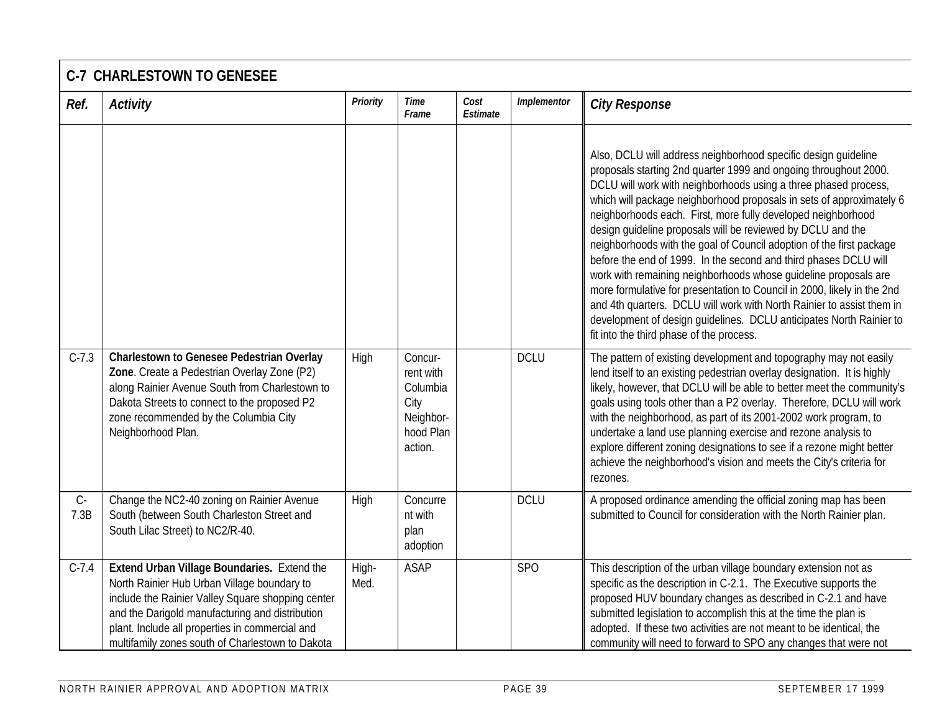# **C-7 CHARLESTOWN TO GENESEE**

| Ref.          | <b>Activity</b>                                                                                                                                                                                                                                                                                           | <b>Priority</b> | Time<br>Frame                                                                 | Cost<br>Estimate | Implementor     | <b>City Response</b>                                                                                                                                                                                                                                                                                                                                                                                                                                                                                                                                                                                                                                                                                                                                                                                                                                                                               |
|---------------|-----------------------------------------------------------------------------------------------------------------------------------------------------------------------------------------------------------------------------------------------------------------------------------------------------------|-----------------|-------------------------------------------------------------------------------|------------------|-----------------|----------------------------------------------------------------------------------------------------------------------------------------------------------------------------------------------------------------------------------------------------------------------------------------------------------------------------------------------------------------------------------------------------------------------------------------------------------------------------------------------------------------------------------------------------------------------------------------------------------------------------------------------------------------------------------------------------------------------------------------------------------------------------------------------------------------------------------------------------------------------------------------------------|
|               |                                                                                                                                                                                                                                                                                                           |                 |                                                                               |                  |                 | Also, DCLU will address neighborhood specific design guideline<br>proposals starting 2nd quarter 1999 and ongoing throughout 2000.<br>DCLU will work with neighborhoods using a three phased process,<br>which will package neighborhood proposals in sets of approximately 6<br>neighborhoods each. First, more fully developed neighborhood<br>design quideline proposals will be reviewed by DCLU and the<br>neighborhoods with the goal of Council adoption of the first package<br>before the end of 1999. In the second and third phases DCLU will<br>work with remaining neighborhoods whose guideline proposals are<br>more formulative for presentation to Council in 2000, likely in the 2nd<br>and 4th quarters. DCLU will work with North Rainier to assist them in<br>development of design guidelines. DCLU anticipates North Rainier to<br>fit into the third phase of the process. |
| $C-7.3$       | <b>Charlestown to Genesee Pedestrian Overlay</b><br>Zone. Create a Pedestrian Overlay Zone (P2)<br>along Rainier Avenue South from Charlestown to<br>Dakota Streets to connect to the proposed P2<br>zone recommended by the Columbia City<br>Neighborhood Plan.                                          | High            | Concur-<br>rent with<br>Columbia<br>City<br>Neighbor-<br>hood Plan<br>action. |                  | <b>DCLU</b>     | The pattern of existing development and topography may not easily<br>lend itself to an existing pedestrian overlay designation. It is highly<br>likely, however, that DCLU will be able to better meet the community's<br>goals using tools other than a P2 overlay. Therefore, DCLU will work<br>with the neighborhood, as part of its 2001-2002 work program, to<br>undertake a land use planning exercise and rezone analysis to<br>explore different zoning designations to see if a rezone might better<br>achieve the neighborhood's vision and meets the City's criteria for<br>rezones.                                                                                                                                                                                                                                                                                                    |
| $C -$<br>7.3B | Change the NC2-40 zoning on Rainier Avenue<br>South (between South Charleston Street and<br>South Lilac Street) to NC2/R-40.                                                                                                                                                                              | High            | Concurre<br>nt with<br>plan<br>adoption                                       |                  | <b>DCLU</b>     | A proposed ordinance amending the official zoning map has been<br>submitted to Council for consideration with the North Rainier plan.                                                                                                                                                                                                                                                                                                                                                                                                                                                                                                                                                                                                                                                                                                                                                              |
| $C-7.4$       | Extend Urban Village Boundaries. Extend the<br>North Rainier Hub Urban Village boundary to<br>include the Rainier Valley Square shopping center<br>and the Darigold manufacturing and distribution<br>plant. Include all properties in commercial and<br>multifamily zones south of Charlestown to Dakota | High-<br>Med.   | <b>ASAP</b>                                                                   |                  | SP <sub>O</sub> | This description of the urban village boundary extension not as<br>specific as the description in C-2.1. The Executive supports the<br>proposed HUV boundary changes as described in C-2.1 and have<br>submitted legislation to accomplish this at the time the plan is<br>adopted. If these two activities are not meant to be identical, the<br>community will need to forward to SPO any changes that were not                                                                                                                                                                                                                                                                                                                                                                                                                                                                                  |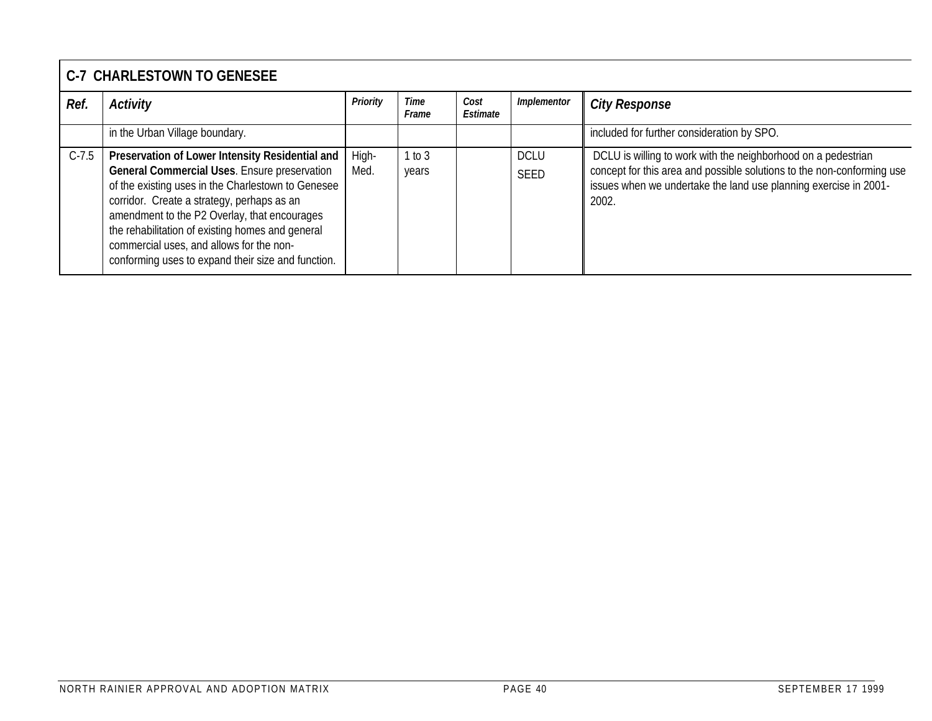# **C-7 CHARLESTOWN TO GENESEE**

| Ref.    | Activity                                                                                                                                                                                                                                                                                                                                                                                                  | Priority      | Time<br>Frame   | Cost<br>Estimate | Implementor                | <b>City Response</b>                                                                                                                                                                                                 |
|---------|-----------------------------------------------------------------------------------------------------------------------------------------------------------------------------------------------------------------------------------------------------------------------------------------------------------------------------------------------------------------------------------------------------------|---------------|-----------------|------------------|----------------------------|----------------------------------------------------------------------------------------------------------------------------------------------------------------------------------------------------------------------|
|         | in the Urban Village boundary.                                                                                                                                                                                                                                                                                                                                                                            |               |                 |                  |                            | included for further consideration by SPO.                                                                                                                                                                           |
| $C-7.5$ | Preservation of Lower Intensity Residential and<br>General Commercial Uses. Ensure preservation<br>of the existing uses in the Charlestown to Genesee<br>corridor. Create a strategy, perhaps as an<br>amendment to the P2 Overlay, that encourages<br>the rehabilitation of existing homes and general<br>commercial uses, and allows for the non-<br>conforming uses to expand their size and function. | High-<br>Med. | 1 to 3<br>years |                  | <b>DCLU</b><br><b>SEED</b> | DCLU is willing to work with the neighborhood on a pedestrian<br>concept for this area and possible solutions to the non-conforming use<br>issues when we undertake the land use planning exercise in 2001-<br>2002. |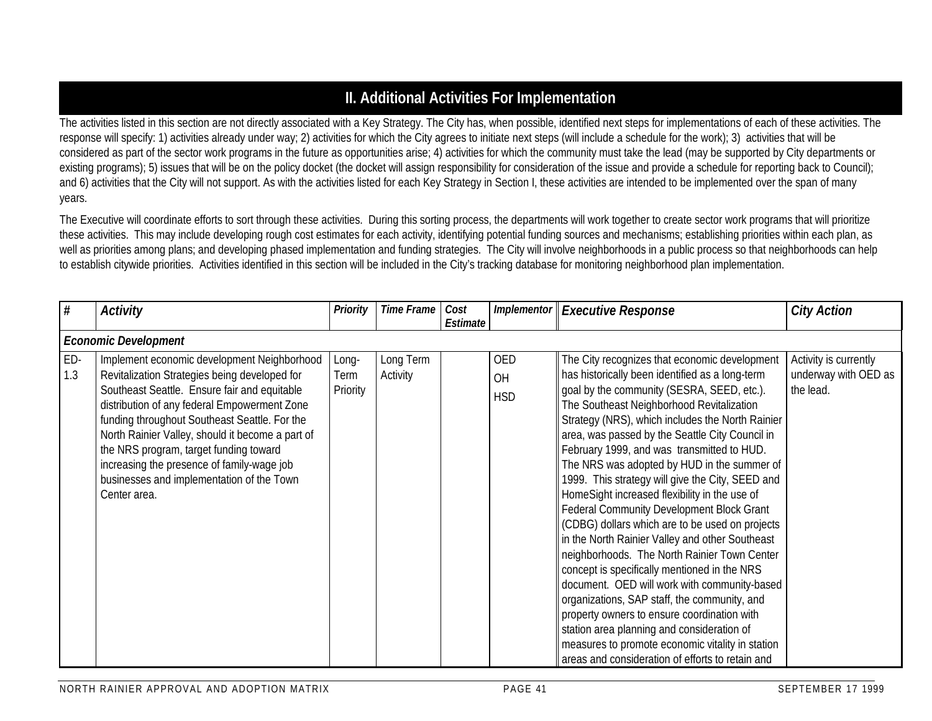## **II. Additional Activities For Implementation**

The activities listed in this section are not directly associated with a Key Strategy. The City has, when possible, identified next steps for implementations of each of these activities. The response will specify: 1) activities already under way; 2) activities for which the City agrees to initiate next steps (will include a schedule for the work); 3) activities that will be considered as part of the sector work programs in the future as opportunities arise; 4) activities for which the community must take the lead (may be supported by City departments or existing programs); 5) issues that will be on the policy docket (the docket will assign responsibility for consideration of the issue and provide a schedule for reporting back to Council); and 6) activities that the City will not support. As with the activities listed for each Key Strategy in Section I, these activities are intended to be implemented over the span of many years.

The Executive will coordinate efforts to sort through these activities. During this sorting process, the departments will work together to create sector work programs that will prioritize these activities. This may include developing rough cost estimates for each activity, identifying potential funding sources and mechanisms; establishing priorities within each plan, as well as priorities among plans; and developing phased implementation and funding strategies. The City will involve neighborhoods in a public process so that neighborhoods can help to establish citywide priorities. Activities identified in this section will be included in the City's tracking database for monitoring neighborhood plan implementation.

| #          | <b>Activity</b>                                                                                                                                                                                                                                                                                                                                                                                                                                        | Priority                  | <b>Time Frame</b>     | Cost<br>Estimate | <b>Implementor</b>      | <b>Executive Response</b>                                                                                                                                                                                                                                                                                                                                                                                                                                                                                                                                                                                                                                                                                                                                                                                                                                                                                                                                                                                                                                    | <b>City Action</b>                                         |
|------------|--------------------------------------------------------------------------------------------------------------------------------------------------------------------------------------------------------------------------------------------------------------------------------------------------------------------------------------------------------------------------------------------------------------------------------------------------------|---------------------------|-----------------------|------------------|-------------------------|--------------------------------------------------------------------------------------------------------------------------------------------------------------------------------------------------------------------------------------------------------------------------------------------------------------------------------------------------------------------------------------------------------------------------------------------------------------------------------------------------------------------------------------------------------------------------------------------------------------------------------------------------------------------------------------------------------------------------------------------------------------------------------------------------------------------------------------------------------------------------------------------------------------------------------------------------------------------------------------------------------------------------------------------------------------|------------------------------------------------------------|
|            | <b>Economic Development</b>                                                                                                                                                                                                                                                                                                                                                                                                                            |                           |                       |                  |                         |                                                                                                                                                                                                                                                                                                                                                                                                                                                                                                                                                                                                                                                                                                                                                                                                                                                                                                                                                                                                                                                              |                                                            |
| ED-<br>1.3 | Implement economic development Neighborhood<br>Revitalization Strategies being developed for<br>Southeast Seattle. Ensure fair and equitable<br>distribution of any federal Empowerment Zone<br>funding throughout Southeast Seattle. For the<br>North Rainier Valley, should it become a part of<br>the NRS program, target funding toward<br>increasing the presence of family-wage job<br>businesses and implementation of the Town<br>Center area. | Long-<br>Term<br>Priority | Long Term<br>Activity |                  | OED<br>OH<br><b>HSD</b> | The City recognizes that economic development<br>has historically been identified as a long-term<br>goal by the community (SESRA, SEED, etc.).<br>The Southeast Neighborhood Revitalization<br>Strategy (NRS), which includes the North Rainier<br>area, was passed by the Seattle City Council in<br>February 1999, and was transmitted to HUD.<br>The NRS was adopted by HUD in the summer of<br>1999. This strategy will give the City, SEED and<br>HomeSight increased flexibility in the use of<br>Federal Community Development Block Grant<br>(CDBG) dollars which are to be used on projects<br>in the North Rainier Valley and other Southeast<br>neighborhoods. The North Rainier Town Center<br>concept is specifically mentioned in the NRS<br>document. OED will work with community-based<br>organizations, SAP staff, the community, and<br>property owners to ensure coordination with<br>station area planning and consideration of<br>measures to promote economic vitality in station<br>areas and consideration of efforts to retain and | Activity is currently<br>underway with OED as<br>the lead. |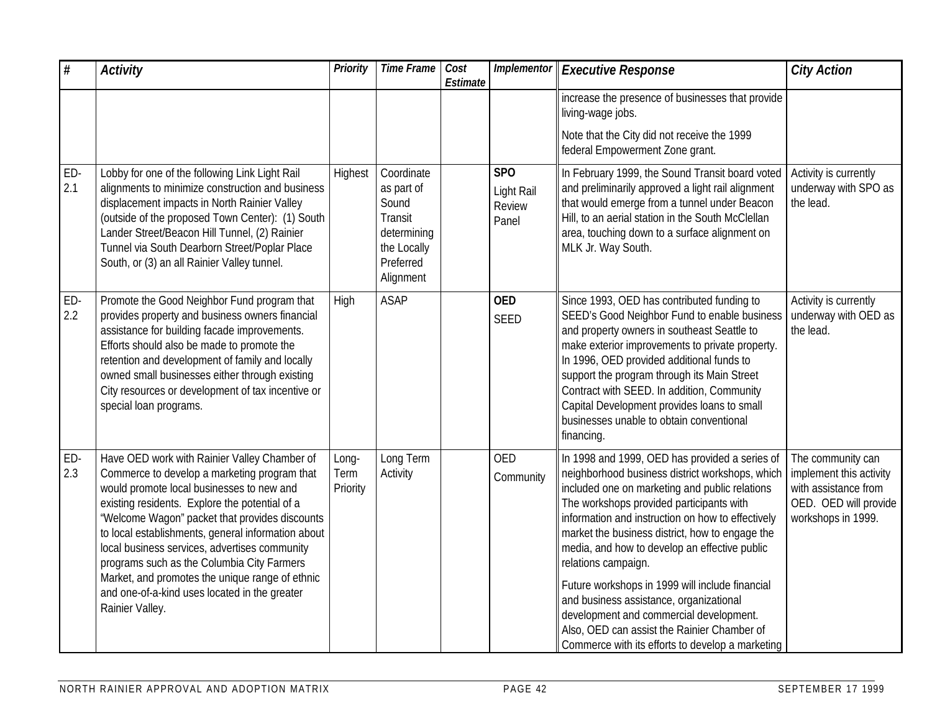| $\#$       | <b>Activity</b>                                                                                                                                                                                                                                                                                                                                                                                                                                                                                                           | <b>Priority</b>           | <b>Time Frame</b>                                                                                           | Cost<br>Estimate | Implementor                                      | <b>Executive Response</b>                                                                                                                                                                                                                                                                                                                                                                                                                                                                                                                                                                                                   | <b>City Action</b>                                                                                                  |
|------------|---------------------------------------------------------------------------------------------------------------------------------------------------------------------------------------------------------------------------------------------------------------------------------------------------------------------------------------------------------------------------------------------------------------------------------------------------------------------------------------------------------------------------|---------------------------|-------------------------------------------------------------------------------------------------------------|------------------|--------------------------------------------------|-----------------------------------------------------------------------------------------------------------------------------------------------------------------------------------------------------------------------------------------------------------------------------------------------------------------------------------------------------------------------------------------------------------------------------------------------------------------------------------------------------------------------------------------------------------------------------------------------------------------------------|---------------------------------------------------------------------------------------------------------------------|
|            |                                                                                                                                                                                                                                                                                                                                                                                                                                                                                                                           |                           |                                                                                                             |                  |                                                  | increase the presence of businesses that provide<br>living-wage jobs.                                                                                                                                                                                                                                                                                                                                                                                                                                                                                                                                                       |                                                                                                                     |
|            |                                                                                                                                                                                                                                                                                                                                                                                                                                                                                                                           |                           |                                                                                                             |                  |                                                  | Note that the City did not receive the 1999<br>federal Empowerment Zone grant.                                                                                                                                                                                                                                                                                                                                                                                                                                                                                                                                              |                                                                                                                     |
| ED-<br>2.1 | Lobby for one of the following Link Light Rail<br>alignments to minimize construction and business<br>displacement impacts in North Rainier Valley<br>(outside of the proposed Town Center): (1) South<br>Lander Street/Beacon Hill Tunnel, (2) Rainier<br>Tunnel via South Dearborn Street/Poplar Place<br>South, or (3) an all Rainier Valley tunnel.                                                                                                                                                                   | Highest                   | Coordinate<br>as part of<br>Sound<br><b>Transit</b><br>determining<br>the Locally<br>Preferred<br>Alignment |                  | SP <sub>O</sub><br>Light Rail<br>Review<br>Panel | In February 1999, the Sound Transit board voted<br>and preliminarily approved a light rail alignment<br>that would emerge from a tunnel under Beacon<br>Hill, to an aerial station in the South McClellan<br>area, touching down to a surface alignment on<br>MLK Jr. Way South.                                                                                                                                                                                                                                                                                                                                            | Activity is currently<br>underway with SPO as<br>the lead.                                                          |
| ED-<br>2.2 | Promote the Good Neighbor Fund program that<br>provides property and business owners financial<br>assistance for building facade improvements.<br>Efforts should also be made to promote the<br>retention and development of family and locally<br>owned small businesses either through existing<br>City resources or development of tax incentive or<br>special loan programs.                                                                                                                                          | High                      | <b>ASAP</b>                                                                                                 |                  | <b>OED</b><br><b>SEED</b>                        | Since 1993, OED has contributed funding to<br>SEED's Good Neighbor Fund to enable business<br>and property owners in southeast Seattle to<br>make exterior improvements to private property.<br>In 1996, OED provided additional funds to<br>support the program through its Main Street<br>Contract with SEED. In addition, Community<br>Capital Development provides loans to small<br>businesses unable to obtain conventional<br>financing.                                                                                                                                                                             | Activity is currently<br>underway with OED as<br>the lead.                                                          |
| ED-<br>2.3 | Have OED work with Rainier Valley Chamber of<br>Commerce to develop a marketing program that<br>would promote local businesses to new and<br>existing residents. Explore the potential of a<br>'Welcome Wagon" packet that provides discounts<br>to local establishments, general information about<br>local business services, advertises community<br>programs such as the Columbia City Farmers<br>Market, and promotes the unique range of ethnic<br>and one-of-a-kind uses located in the greater<br>Rainier Valley. | Long-<br>Term<br>Priority | Long Term<br>Activity                                                                                       |                  | <b>OED</b><br>Community                          | In 1998 and 1999, OED has provided a series of<br>neighborhood business district workshops, which<br>included one on marketing and public relations<br>The workshops provided participants with<br>information and instruction on how to effectively<br>market the business district, how to engage the<br>media, and how to develop an effective public<br>relations campaign.<br>Future workshops in 1999 will include financial<br>and business assistance, organizational<br>development and commercial development.<br>Also, OED can assist the Rainier Chamber of<br>Commerce with its efforts to develop a marketing | The community can<br>implement this activity<br>with assistance from<br>OED. OED will provide<br>workshops in 1999. |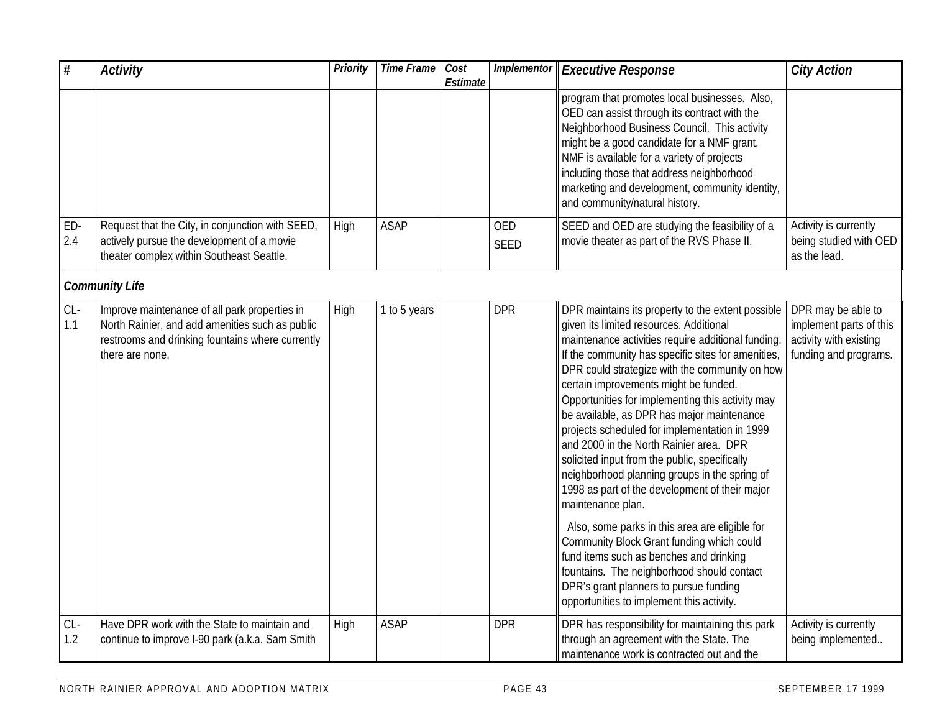| $\#$         | <b>Activity</b>                                                                                                                                                         | Priority | Time Frame   | Cost<br>Estimate | Implementor        | <b>Executive Response</b>                                                                                                                                                                                                                                                                                                                                                                                                                                                                                                                                                                                                                                                                                                                                                                                                                                                                                                                                 | <b>City Action</b>                                                                               |
|--------------|-------------------------------------------------------------------------------------------------------------------------------------------------------------------------|----------|--------------|------------------|--------------------|-----------------------------------------------------------------------------------------------------------------------------------------------------------------------------------------------------------------------------------------------------------------------------------------------------------------------------------------------------------------------------------------------------------------------------------------------------------------------------------------------------------------------------------------------------------------------------------------------------------------------------------------------------------------------------------------------------------------------------------------------------------------------------------------------------------------------------------------------------------------------------------------------------------------------------------------------------------|--------------------------------------------------------------------------------------------------|
|              |                                                                                                                                                                         |          |              |                  |                    | program that promotes local businesses. Also,<br>OED can assist through its contract with the<br>Neighborhood Business Council. This activity<br>might be a good candidate for a NMF grant.<br>NMF is available for a variety of projects<br>including those that address neighborhood<br>marketing and development, community identity,<br>and community/natural history.                                                                                                                                                                                                                                                                                                                                                                                                                                                                                                                                                                                |                                                                                                  |
| ED-<br>2.4   | Request that the City, in conjunction with SEED,<br>actively pursue the development of a movie<br>theater complex within Southeast Seattle.                             | High     | <b>ASAP</b>  |                  | <b>OED</b><br>SEED | SEED and OED are studying the feasibility of a<br>movie theater as part of the RVS Phase II.                                                                                                                                                                                                                                                                                                                                                                                                                                                                                                                                                                                                                                                                                                                                                                                                                                                              | Activity is currently<br>being studied with OED<br>as the lead.                                  |
|              | <b>Community Life</b>                                                                                                                                                   |          |              |                  |                    |                                                                                                                                                                                                                                                                                                                                                                                                                                                                                                                                                                                                                                                                                                                                                                                                                                                                                                                                                           |                                                                                                  |
| $CL-$<br>1.1 | Improve maintenance of all park properties in<br>North Rainier, and add amenities such as public<br>restrooms and drinking fountains where currently<br>there are none. | High     | 1 to 5 years |                  | <b>DPR</b>         | DPR maintains its property to the extent possible<br>given its limited resources. Additional<br>maintenance activities require additional funding.<br>If the community has specific sites for amenities,<br>DPR could strategize with the community on how<br>certain improvements might be funded.<br>Opportunities for implementing this activity may<br>be available, as DPR has major maintenance<br>projects scheduled for implementation in 1999<br>and 2000 in the North Rainier area. DPR<br>solicited input from the public, specifically<br>neighborhood planning groups in the spring of<br>1998 as part of the development of their major<br>maintenance plan.<br>Also, some parks in this area are eligible for<br>Community Block Grant funding which could<br>fund items such as benches and drinking<br>fountains. The neighborhood should contact<br>DPR's grant planners to pursue funding<br>opportunities to implement this activity. | DPR may be able to<br>implement parts of this<br>activity with existing<br>funding and programs. |
| $CL-$<br>1.2 | Have DPR work with the State to maintain and<br>continue to improve I-90 park (a.k.a. Sam Smith                                                                         | High     | <b>ASAP</b>  |                  | <b>DPR</b>         | DPR has responsibility for maintaining this park<br>through an agreement with the State. The<br>maintenance work is contracted out and the                                                                                                                                                                                                                                                                                                                                                                                                                                                                                                                                                                                                                                                                                                                                                                                                                | Activity is currently<br>being implemented                                                       |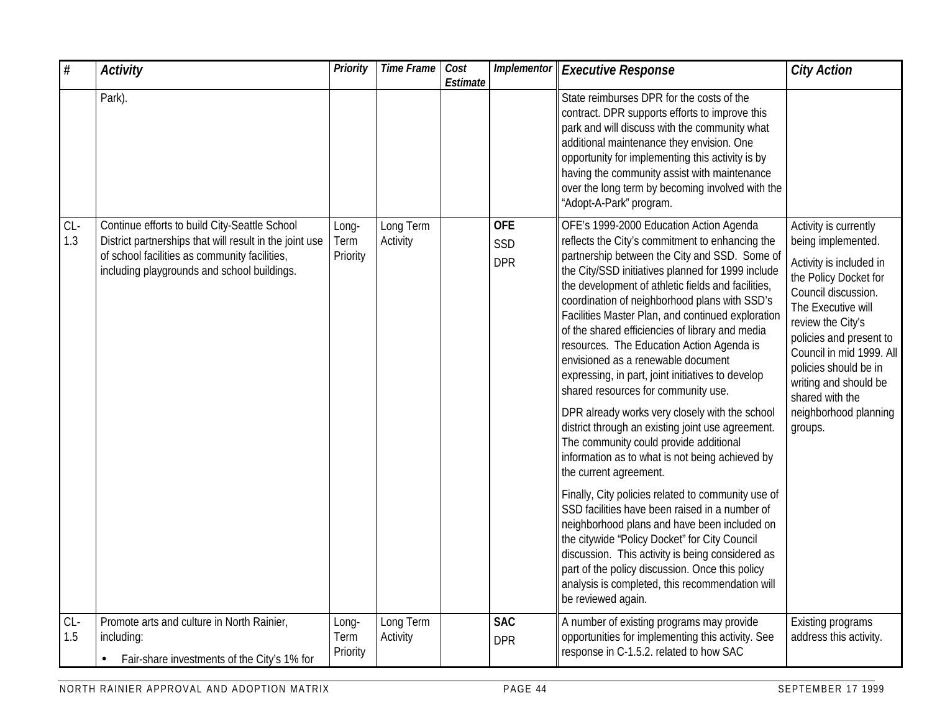| $\#$         | <b>Activity</b>                                                                                                                                                                                          | <b>Priority</b>           | <b>Time Frame</b>     | Cost<br>Estimate | Implementor                     | <b>Executive Response</b>                                                                                                                                                                                                                                                                                                                                                                                                                                                                                                                                                                                                                                                                                                                                                                                                                                                                                                                                                                                                                                                                                                                                                                                             | <b>City Action</b>                                                                                                                                                                                                                                                                                                                |
|--------------|----------------------------------------------------------------------------------------------------------------------------------------------------------------------------------------------------------|---------------------------|-----------------------|------------------|---------------------------------|-----------------------------------------------------------------------------------------------------------------------------------------------------------------------------------------------------------------------------------------------------------------------------------------------------------------------------------------------------------------------------------------------------------------------------------------------------------------------------------------------------------------------------------------------------------------------------------------------------------------------------------------------------------------------------------------------------------------------------------------------------------------------------------------------------------------------------------------------------------------------------------------------------------------------------------------------------------------------------------------------------------------------------------------------------------------------------------------------------------------------------------------------------------------------------------------------------------------------|-----------------------------------------------------------------------------------------------------------------------------------------------------------------------------------------------------------------------------------------------------------------------------------------------------------------------------------|
|              | Park).                                                                                                                                                                                                   |                           |                       |                  |                                 | State reimburses DPR for the costs of the<br>contract. DPR supports efforts to improve this<br>park and will discuss with the community what<br>additional maintenance they envision. One<br>opportunity for implementing this activity is by<br>having the community assist with maintenance<br>over the long term by becoming involved with the<br>"Adopt-A-Park" program.                                                                                                                                                                                                                                                                                                                                                                                                                                                                                                                                                                                                                                                                                                                                                                                                                                          |                                                                                                                                                                                                                                                                                                                                   |
| $CL-$<br>1.3 | Continue efforts to build City-Seattle School<br>District partnerships that will result in the joint use<br>of school facilities as community facilities,<br>including playgrounds and school buildings. | Long-<br>Term<br>Priority | Long Term<br>Activity |                  | <b>OFE</b><br>SSD<br><b>DPR</b> | OFE's 1999-2000 Education Action Agenda<br>reflects the City's commitment to enhancing the<br>partnership between the City and SSD. Some of<br>the City/SSD initiatives planned for 1999 include<br>the development of athletic fields and facilities,<br>coordination of neighborhood plans with SSD's<br>Facilities Master Plan, and continued exploration<br>of the shared efficiencies of library and media<br>resources. The Education Action Agenda is<br>envisioned as a renewable document<br>expressing, in part, joint initiatives to develop<br>shared resources for community use.<br>DPR already works very closely with the school<br>district through an existing joint use agreement.<br>The community could provide additional<br>information as to what is not being achieved by<br>the current agreement.<br>Finally, City policies related to community use of<br>SSD facilities have been raised in a number of<br>neighborhood plans and have been included on<br>the citywide 'Policy Docket" for City Council<br>discussion. This activity is being considered as<br>part of the policy discussion. Once this policy<br>analysis is completed, this recommendation will<br>be reviewed again. | Activity is currently<br>being implemented.<br>Activity is included in<br>the Policy Docket for<br>Council discussion.<br>The Executive will<br>review the City's<br>policies and present to<br>Council in mid 1999. All<br>policies should be in<br>writing and should be<br>shared with the<br>neighborhood planning<br>groups. |
| $CL-$<br>1.5 | Promote arts and culture in North Rainier,<br>including:<br>Fair-share investments of the City's 1% for                                                                                                  | Long-<br>Term<br>Priority | Long Term<br>Activity |                  | <b>SAC</b><br><b>DPR</b>        | A number of existing programs may provide<br>opportunities for implementing this activity. See<br>response in C-1.5.2. related to how SAC                                                                                                                                                                                                                                                                                                                                                                                                                                                                                                                                                                                                                                                                                                                                                                                                                                                                                                                                                                                                                                                                             | Existing programs<br>address this activity.                                                                                                                                                                                                                                                                                       |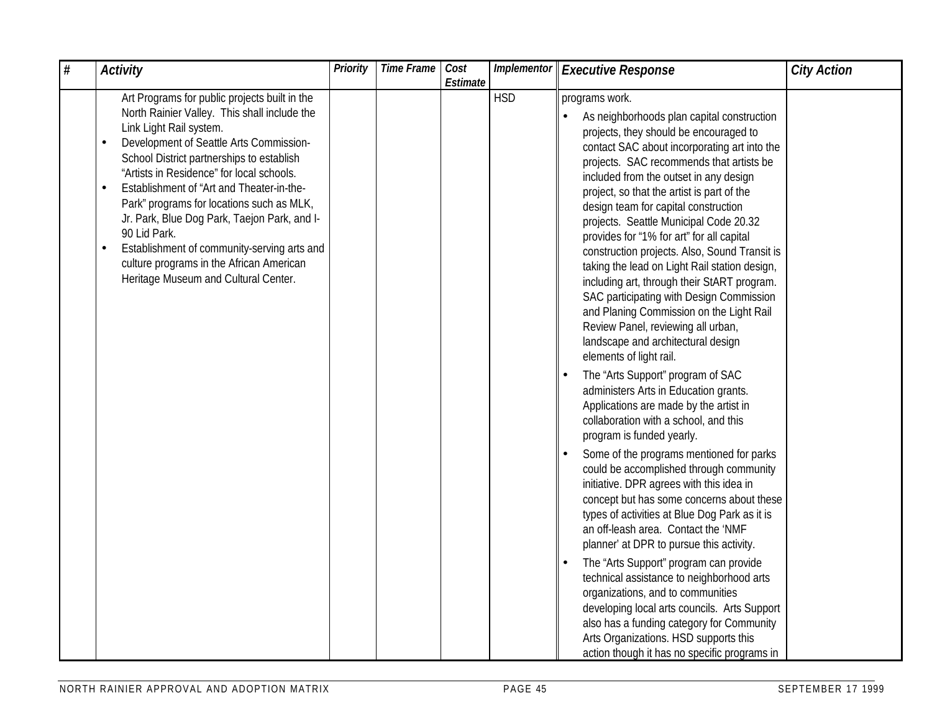| $\#$ | <b>Activity</b>                                                                                                                                                                                                                                                                                                                                                                                                                                                                                                                                                                      | Priority | <b>Time Frame</b> | Cost<br>Estimate |            | Implementor   Executive Response                                                                                                                                                                                                                                                                                                                                                                                                                                                                                                                                                                                                                                                                                                                                                                                                                                                                                                                                                                                                                                                                                                                                                                                                                                                                                                                                                                                                                                                                                                                                                                              | <b>City Action</b> |
|------|--------------------------------------------------------------------------------------------------------------------------------------------------------------------------------------------------------------------------------------------------------------------------------------------------------------------------------------------------------------------------------------------------------------------------------------------------------------------------------------------------------------------------------------------------------------------------------------|----------|-------------------|------------------|------------|---------------------------------------------------------------------------------------------------------------------------------------------------------------------------------------------------------------------------------------------------------------------------------------------------------------------------------------------------------------------------------------------------------------------------------------------------------------------------------------------------------------------------------------------------------------------------------------------------------------------------------------------------------------------------------------------------------------------------------------------------------------------------------------------------------------------------------------------------------------------------------------------------------------------------------------------------------------------------------------------------------------------------------------------------------------------------------------------------------------------------------------------------------------------------------------------------------------------------------------------------------------------------------------------------------------------------------------------------------------------------------------------------------------------------------------------------------------------------------------------------------------------------------------------------------------------------------------------------------------|--------------------|
|      | Art Programs for public projects built in the<br>North Rainier Valley. This shall include the<br>Link Light Rail system.<br>Development of Seattle Arts Commission-<br>School District partnerships to establish<br>"Artists in Residence" for local schools.<br>Establishment of "Art and Theater-in-the-<br>$\bullet$<br>Park" programs for locations such as MLK,<br>Jr. Park, Blue Dog Park, Taejon Park, and I-<br>90 Lid Park.<br>Establishment of community-serving arts and<br>$\bullet$<br>culture programs in the African American<br>Heritage Museum and Cultural Center. |          |                   |                  | <b>HSD</b> | programs work.<br>As neighborhoods plan capital construction<br>projects, they should be encouraged to<br>contact SAC about incorporating art into the<br>projects. SAC recommends that artists be<br>included from the outset in any design<br>project, so that the artist is part of the<br>design team for capital construction<br>projects. Seattle Municipal Code 20.32<br>provides for "1% for art" for all capital<br>construction projects. Also, Sound Transit is<br>taking the lead on Light Rail station design,<br>including art, through their StART program.<br>SAC participating with Design Commission<br>and Planing Commission on the Light Rail<br>Review Panel, reviewing all urban,<br>landscape and architectural design<br>elements of light rail.<br>The "Arts Support" program of SAC<br>administers Arts in Education grants.<br>Applications are made by the artist in<br>collaboration with a school, and this<br>program is funded yearly.<br>Some of the programs mentioned for parks<br>could be accomplished through community<br>initiative. DPR agrees with this idea in<br>concept but has some concerns about these<br>types of activities at Blue Dog Park as it is<br>an off-leash area. Contact the 'NMF<br>planner' at DPR to pursue this activity.<br>The "Arts Support" program can provide<br>technical assistance to neighborhood arts<br>organizations, and to communities<br>developing local arts councils. Arts Support<br>also has a funding category for Community<br>Arts Organizations. HSD supports this<br>action though it has no specific programs in |                    |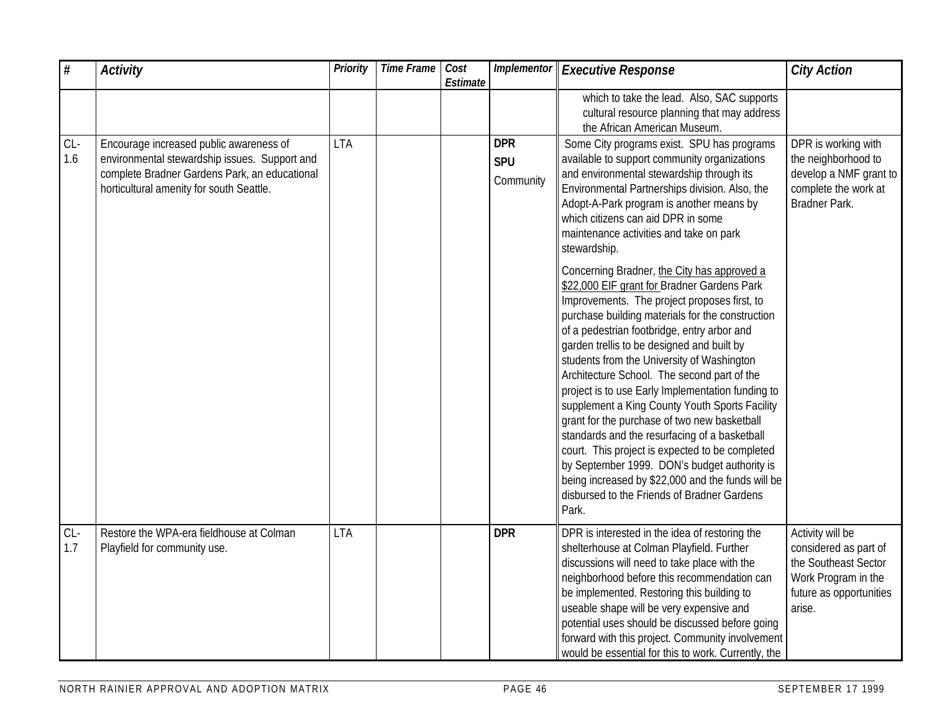| $\#$         | <b>Activity</b>                                                                                                                                                                       | Priority   | <b>Time Frame</b> | Cost<br>Estimate | Implementor                           | <b>Executive Response</b>                                                                                                                                                                                                                                                                                                                                                                                                                                                                                                                                                                                                                                                                                                                                         | <b>City Action</b>                                                                                                            |
|--------------|---------------------------------------------------------------------------------------------------------------------------------------------------------------------------------------|------------|-------------------|------------------|---------------------------------------|-------------------------------------------------------------------------------------------------------------------------------------------------------------------------------------------------------------------------------------------------------------------------------------------------------------------------------------------------------------------------------------------------------------------------------------------------------------------------------------------------------------------------------------------------------------------------------------------------------------------------------------------------------------------------------------------------------------------------------------------------------------------|-------------------------------------------------------------------------------------------------------------------------------|
|              |                                                                                                                                                                                       |            |                   |                  |                                       | which to take the lead. Also, SAC supports<br>cultural resource planning that may address<br>the African American Museum.                                                                                                                                                                                                                                                                                                                                                                                                                                                                                                                                                                                                                                         |                                                                                                                               |
| $CL-$<br>1.6 | Encourage increased public awareness of<br>environmental stewardship issues. Support and<br>complete Bradner Gardens Park, an educational<br>horticultural amenity for south Seattle. | <b>LTA</b> |                   |                  | <b>DPR</b><br><b>SPU</b><br>Community | Some City programs exist. SPU has programs<br>available to support community organizations<br>and environmental stewardship through its<br>Environmental Partnerships division. Also, the<br>Adopt-A-Park program is another means by<br>which citizens can aid DPR in some<br>maintenance activities and take on park<br>stewardship.<br>Concerning Bradner, the City has approved a                                                                                                                                                                                                                                                                                                                                                                             | DPR is working with<br>the neighborhood to<br>develop a NMF grant to<br>complete the work at<br>Bradner Park.                 |
|              |                                                                                                                                                                                       |            |                   |                  |                                       | \$22,000 EIF grant for Bradner Gardens Park<br>Improvements. The project proposes first, to<br>purchase building materials for the construction<br>of a pedestrian footbridge, entry arbor and<br>garden trellis to be designed and built by<br>students from the University of Washington<br>Architecture School. The second part of the<br>project is to use Early Implementation funding to<br>supplement a King County Youth Sports Facility<br>grant for the purchase of two new basketball<br>standards and the resurfacing of a basketball<br>court. This project is expected to be completed<br>by September 1999. DON's budget authority is<br>being increased by \$22,000 and the funds will be<br>disbursed to the Friends of Bradner Gardens<br>Park. |                                                                                                                               |
| $CL-$<br>1.7 | Restore the WPA-era fieldhouse at Colman<br>Playfield for community use.                                                                                                              | <b>LTA</b> |                   |                  | <b>DPR</b>                            | DPR is interested in the idea of restoring the<br>shelterhouse at Colman Playfield. Further<br>discussions will need to take place with the<br>neighborhood before this recommendation can<br>be implemented. Restoring this building to<br>useable shape will be very expensive and<br>potential uses should be discussed before going<br>forward with this project. Community involvement<br>would be essential for this to work. Currently, the                                                                                                                                                                                                                                                                                                                | Activity will be<br>considered as part of<br>the Southeast Sector<br>Work Program in the<br>future as opportunities<br>arise. |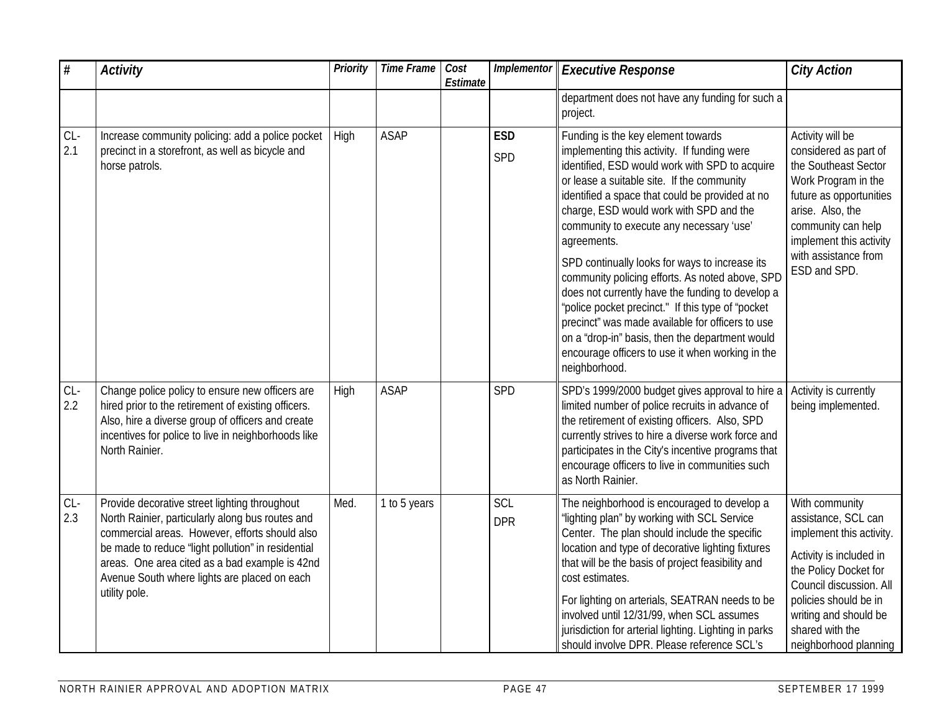| $\#$         | <b>Activity</b>                                                                                                                                                                                                                                                                                                              | <b>Priority</b> | <b>Time Frame</b> | Cost<br>Estimate | Implementor       | <b>Executive Response</b>                                                                                                                                                                                                                                                                                                                                                                                                                                                                                                                                                                                                                                                                                                            | <b>City Action</b>                                                                                                                                                                                                                             |
|--------------|------------------------------------------------------------------------------------------------------------------------------------------------------------------------------------------------------------------------------------------------------------------------------------------------------------------------------|-----------------|-------------------|------------------|-------------------|--------------------------------------------------------------------------------------------------------------------------------------------------------------------------------------------------------------------------------------------------------------------------------------------------------------------------------------------------------------------------------------------------------------------------------------------------------------------------------------------------------------------------------------------------------------------------------------------------------------------------------------------------------------------------------------------------------------------------------------|------------------------------------------------------------------------------------------------------------------------------------------------------------------------------------------------------------------------------------------------|
|              |                                                                                                                                                                                                                                                                                                                              |                 |                   |                  |                   | department does not have any funding for such a<br>project.                                                                                                                                                                                                                                                                                                                                                                                                                                                                                                                                                                                                                                                                          |                                                                                                                                                                                                                                                |
| $CL-$<br>2.1 | Increase community policing: add a police pocket<br>precinct in a storefront, as well as bicycle and<br>horse patrols.                                                                                                                                                                                                       | High            | <b>ASAP</b>       |                  | <b>ESD</b><br>SPD | Funding is the key element towards<br>implementing this activity. If funding were<br>identified, ESD would work with SPD to acquire<br>or lease a suitable site. If the community<br>identified a space that could be provided at no<br>charge, ESD would work with SPD and the<br>community to execute any necessary 'use'<br>agreements.<br>SPD continually looks for ways to increase its<br>community policing efforts. As noted above, SPD<br>does not currently have the funding to develop a<br>"police pocket precinct." If this type of "pocket<br>precinct" was made available for officers to use<br>on a "drop-in" basis, then the department would<br>encourage officers to use it when working in the<br>neighborhood. | Activity will be<br>considered as part of<br>the Southeast Sector<br>Work Program in the<br>future as opportunities<br>arise. Also, the<br>community can help<br>implement this activity<br>with assistance from<br>ESD and SPD.               |
| $CL-$<br>2.2 | Change police policy to ensure new officers are<br>hired prior to the retirement of existing officers.<br>Also, hire a diverse group of officers and create<br>incentives for police to live in neighborhoods like<br>North Rainier.                                                                                         | High            | <b>ASAP</b>       |                  | SPD               | SPD's 1999/2000 budget gives approval to hire a<br>limited number of police recruits in advance of<br>the retirement of existing officers. Also, SPD<br>currently strives to hire a diverse work force and<br>participates in the City's incentive programs that<br>encourage officers to live in communities such<br>as North Rainier.                                                                                                                                                                                                                                                                                                                                                                                              | Activity is currently<br>being implemented.                                                                                                                                                                                                    |
| $CL-$<br>2.3 | Provide decorative street lighting throughout<br>North Rainier, particularly along bus routes and<br>commercial areas. However, efforts should also<br>be made to reduce 'light pollution" in residential<br>areas. One area cited as a bad example is 42nd<br>Avenue South where lights are placed on each<br>utility pole. | Med.            | 1 to 5 years      |                  | SCL<br><b>DPR</b> | The neighborhood is encouraged to develop a<br>'lighting plan" by working with SCL Service<br>Center. The plan should include the specific<br>location and type of decorative lighting fixtures<br>that will be the basis of project feasibility and<br>cost estimates.<br>For lighting on arterials, SEATRAN needs to be<br>involved until 12/31/99, when SCL assumes<br>jurisdiction for arterial lighting. Lighting in parks<br>should involve DPR. Please reference SCL's                                                                                                                                                                                                                                                        | With community<br>assistance, SCL can<br>implement this activity.<br>Activity is included in<br>the Policy Docket for<br>Council discussion. All<br>policies should be in<br>writing and should be<br>shared with the<br>neighborhood planning |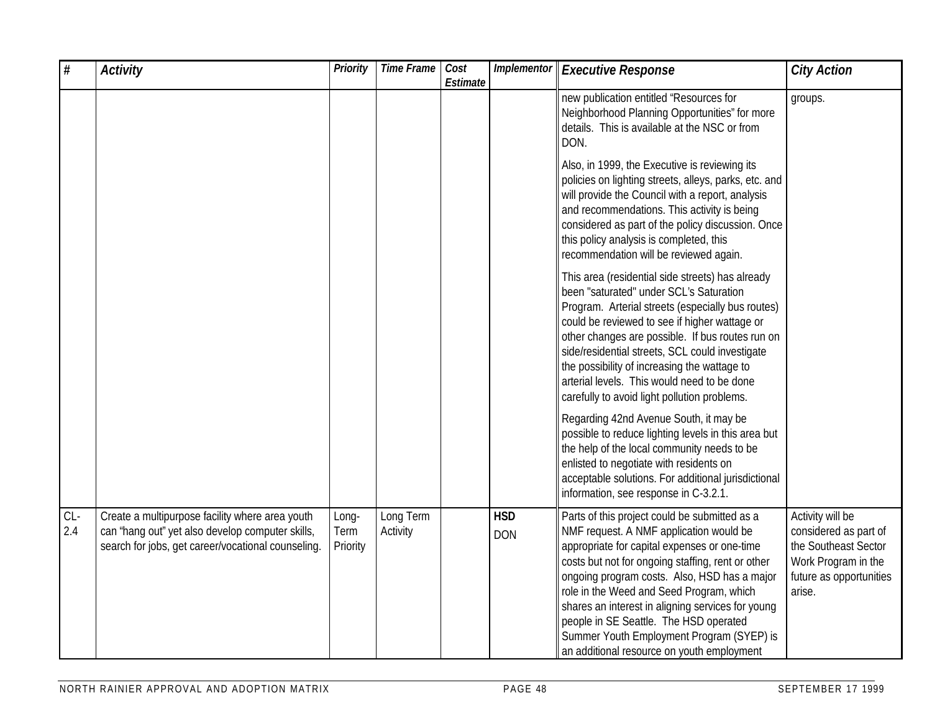| $\#$         | <b>Activity</b>                                                                                                                                           | <b>Priority</b>           | <b>Time Frame</b>     | Cost<br>Estimate | Implementor              | <b>Executive Response</b>                                                                                                                                                                                                                                                                                                                                                                                                                                                           | <b>City Action</b>                                                                                                            |
|--------------|-----------------------------------------------------------------------------------------------------------------------------------------------------------|---------------------------|-----------------------|------------------|--------------------------|-------------------------------------------------------------------------------------------------------------------------------------------------------------------------------------------------------------------------------------------------------------------------------------------------------------------------------------------------------------------------------------------------------------------------------------------------------------------------------------|-------------------------------------------------------------------------------------------------------------------------------|
|              |                                                                                                                                                           |                           |                       |                  |                          | new publication entitled "Resources for<br>Neighborhood Planning Opportunities" for more<br>details. This is available at the NSC or from<br>DON.                                                                                                                                                                                                                                                                                                                                   | groups.                                                                                                                       |
|              |                                                                                                                                                           |                           |                       |                  |                          | Also, in 1999, the Executive is reviewing its<br>policies on lighting streets, alleys, parks, etc. and<br>will provide the Council with a report, analysis<br>and recommendations. This activity is being<br>considered as part of the policy discussion. Once<br>this policy analysis is completed, this<br>recommendation will be reviewed again.                                                                                                                                 |                                                                                                                               |
|              |                                                                                                                                                           |                           |                       |                  |                          | This area (residential side streets) has already<br>been "saturated" under SCL's Saturation<br>Program. Arterial streets (especially bus routes)<br>could be reviewed to see if higher wattage or<br>other changes are possible. If bus routes run on<br>side/residential streets, SCL could investigate<br>the possibility of increasing the wattage to<br>arterial levels. This would need to be done<br>carefully to avoid light pollution problems.                             |                                                                                                                               |
|              |                                                                                                                                                           |                           |                       |                  |                          | Regarding 42nd Avenue South, it may be<br>possible to reduce lighting levels in this area but<br>the help of the local community needs to be<br>enlisted to negotiate with residents on<br>acceptable solutions. For additional jurisdictional<br>information, see response in C-3.2.1.                                                                                                                                                                                             |                                                                                                                               |
| $CL-$<br>2.4 | Create a multipurpose facility where area youth<br>can 'hang out" yet also develop computer skills,<br>search for jobs, get career/vocational counseling. | Long-<br>Term<br>Priority | Long Term<br>Activity |                  | <b>HSD</b><br><b>DON</b> | Parts of this project could be submitted as a<br>NMF request. A NMF application would be<br>appropriate for capital expenses or one-time<br>costs but not for ongoing staffing, rent or other<br>ongoing program costs. Also, HSD has a major<br>role in the Weed and Seed Program, which<br>shares an interest in aligning services for young<br>people in SE Seattle. The HSD operated<br>Summer Youth Employment Program (SYEP) is<br>an additional resource on youth employment | Activity will be<br>considered as part of<br>the Southeast Sector<br>Work Program in the<br>future as opportunities<br>arise. |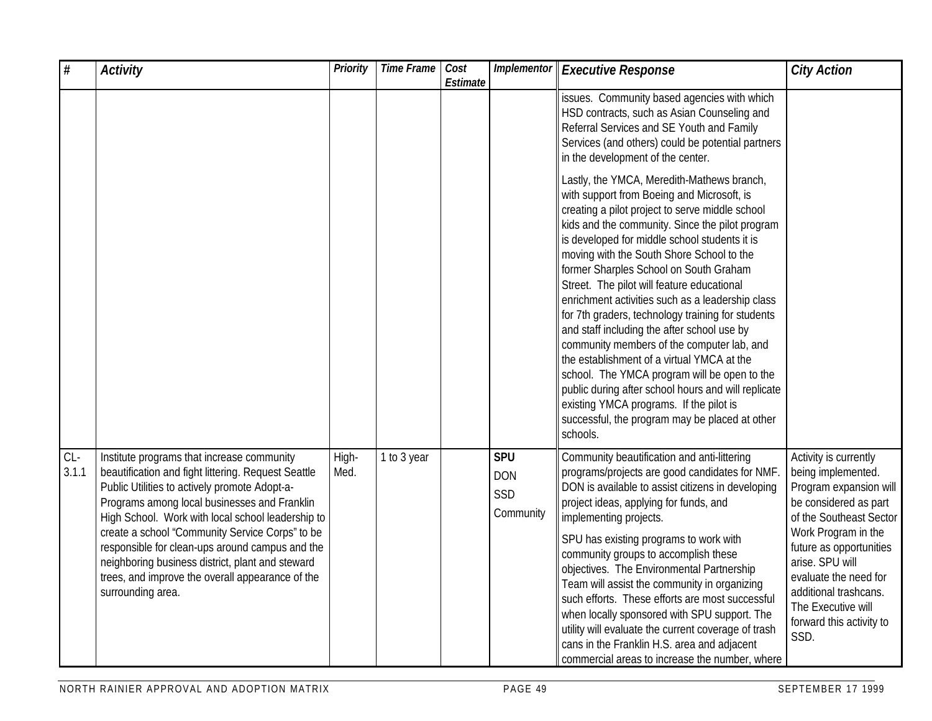| $\overline{\overline{t}}$ | <b>Activity</b>                                                                                                                                                                                                                                                                                                                                                                                                                                                                            | <b>Priority</b> | <b>Time Frame</b> | Cost<br>Estimate |                                              | <b>Implementor Executive Response</b>                                                                                                                                                                                                                                                                                                                                                                                                                                                                                                                                                                                                                                                                                                                                                                                                                    | <b>City Action</b>                                                                                                                                                                                                                                                                                         |
|---------------------------|--------------------------------------------------------------------------------------------------------------------------------------------------------------------------------------------------------------------------------------------------------------------------------------------------------------------------------------------------------------------------------------------------------------------------------------------------------------------------------------------|-----------------|-------------------|------------------|----------------------------------------------|----------------------------------------------------------------------------------------------------------------------------------------------------------------------------------------------------------------------------------------------------------------------------------------------------------------------------------------------------------------------------------------------------------------------------------------------------------------------------------------------------------------------------------------------------------------------------------------------------------------------------------------------------------------------------------------------------------------------------------------------------------------------------------------------------------------------------------------------------------|------------------------------------------------------------------------------------------------------------------------------------------------------------------------------------------------------------------------------------------------------------------------------------------------------------|
|                           |                                                                                                                                                                                                                                                                                                                                                                                                                                                                                            |                 |                   |                  |                                              | issues. Community based agencies with which<br>HSD contracts, such as Asian Counseling and<br>Referral Services and SE Youth and Family<br>Services (and others) could be potential partners<br>in the development of the center.                                                                                                                                                                                                                                                                                                                                                                                                                                                                                                                                                                                                                        |                                                                                                                                                                                                                                                                                                            |
|                           |                                                                                                                                                                                                                                                                                                                                                                                                                                                                                            |                 |                   |                  |                                              | Lastly, the YMCA, Meredith-Mathews branch,<br>with support from Boeing and Microsoft, is<br>creating a pilot project to serve middle school<br>kids and the community. Since the pilot program<br>is developed for middle school students it is<br>moving with the South Shore School to the<br>former Sharples School on South Graham<br>Street. The pilot will feature educational<br>enrichment activities such as a leadership class<br>for 7th graders, technology training for students<br>and staff including the after school use by<br>community members of the computer lab, and<br>the establishment of a virtual YMCA at the<br>school. The YMCA program will be open to the<br>public during after school hours and will replicate<br>existing YMCA programs. If the pilot is<br>successful, the program may be placed at other<br>schools. |                                                                                                                                                                                                                                                                                                            |
| $CL-$<br>3.1.1            | Institute programs that increase community<br>beautification and fight littering. Request Seattle<br>Public Utilities to actively promote Adopt-a-<br>Programs among local businesses and Franklin<br>High School. Work with local school leadership to<br>create a school "Community Service Corps" to be<br>responsible for clean-ups around campus and the<br>neighboring business district, plant and steward<br>trees, and improve the overall appearance of the<br>surrounding area. | High-<br>Med.   | 1 to 3 year       |                  | <b>SPU</b><br><b>DON</b><br>SSD<br>Community | Community beautification and anti-littering<br>programs/projects are good candidates for NMF<br>DON is available to assist citizens in developing<br>project ideas, applying for funds, and<br>implementing projects.<br>SPU has existing programs to work with<br>community groups to accomplish these<br>objectives. The Environmental Partnership<br>Team will assist the community in organizing<br>such efforts. These efforts are most successful<br>when locally sponsored with SPU support. The<br>utility will evaluate the current coverage of trash<br>cans in the Franklin H.S. area and adjacent<br>commercial areas to increase the number, where                                                                                                                                                                                          | Activity is currently<br>being implemented.<br>Program expansion will<br>be considered as part<br>of the Southeast Sector<br>Work Program in the<br>future as opportunities<br>arise. SPU will<br>evaluate the need for<br>additional trashcans.<br>The Executive will<br>forward this activity to<br>SSD. |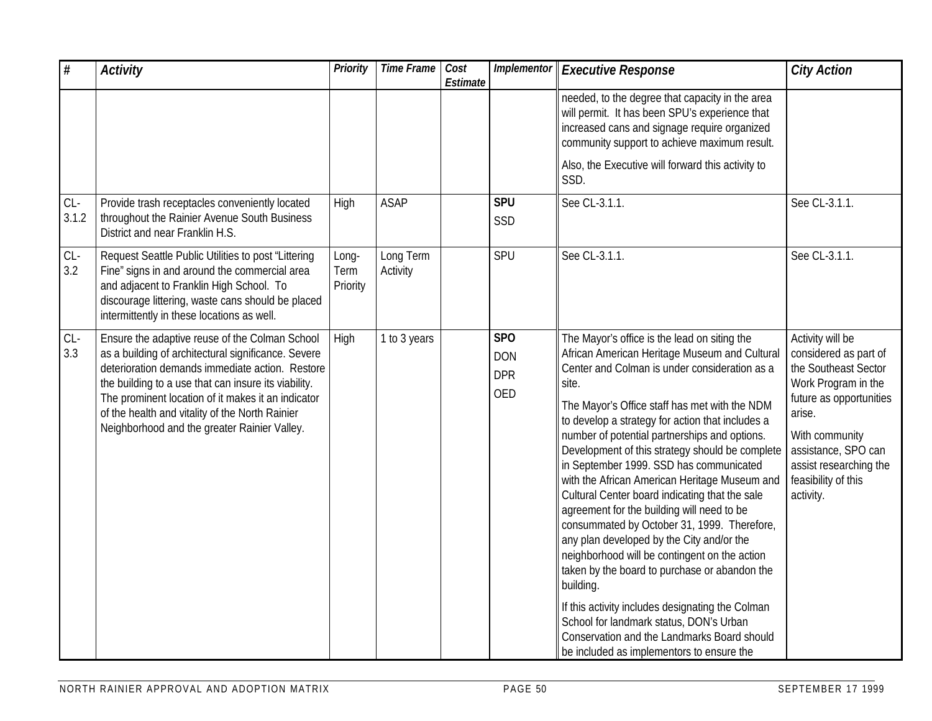| $\#$           | <b>Activity</b>                                                                                                                                                                                                                                                                                                                                                           | Priority                  | <b>Time Frame</b>     | Cost<br>Estimate | <b>Implementor</b>                                        | <b>Executive Response</b>                                                                                                                                                                                                                                                                                                                                                                                                                                                                                                                                                                                                                                                                                                                                                                                                                                                                                                                                          | <b>City Action</b>                                                                                                                                                                                                                   |
|----------------|---------------------------------------------------------------------------------------------------------------------------------------------------------------------------------------------------------------------------------------------------------------------------------------------------------------------------------------------------------------------------|---------------------------|-----------------------|------------------|-----------------------------------------------------------|--------------------------------------------------------------------------------------------------------------------------------------------------------------------------------------------------------------------------------------------------------------------------------------------------------------------------------------------------------------------------------------------------------------------------------------------------------------------------------------------------------------------------------------------------------------------------------------------------------------------------------------------------------------------------------------------------------------------------------------------------------------------------------------------------------------------------------------------------------------------------------------------------------------------------------------------------------------------|--------------------------------------------------------------------------------------------------------------------------------------------------------------------------------------------------------------------------------------|
|                |                                                                                                                                                                                                                                                                                                                                                                           |                           |                       |                  |                                                           | needed, to the degree that capacity in the area<br>will permit. It has been SPU's experience that<br>increased cans and signage require organized<br>community support to achieve maximum result.<br>Also, the Executive will forward this activity to<br>SSD.                                                                                                                                                                                                                                                                                                                                                                                                                                                                                                                                                                                                                                                                                                     |                                                                                                                                                                                                                                      |
| $CL-$<br>3.1.2 | Provide trash receptacles conveniently located<br>throughout the Rainier Avenue South Business<br>District and near Franklin H.S.                                                                                                                                                                                                                                         | High                      | <b>ASAP</b>           |                  | <b>SPU</b><br>SSD                                         | See CL-3.1.1.                                                                                                                                                                                                                                                                                                                                                                                                                                                                                                                                                                                                                                                                                                                                                                                                                                                                                                                                                      | See CL-3.1.1.                                                                                                                                                                                                                        |
| $CL-$<br>3.2   | Request Seattle Public Utilities to post "Littering<br>Fine" signs in and around the commercial area<br>and adjacent to Franklin High School. To<br>discourage littering, waste cans should be placed<br>intermittently in these locations as well.                                                                                                                       | Long-<br>Term<br>Priority | Long Term<br>Activity |                  | SPU                                                       | See CL-3.1.1.                                                                                                                                                                                                                                                                                                                                                                                                                                                                                                                                                                                                                                                                                                                                                                                                                                                                                                                                                      | See CL-3.1.1.                                                                                                                                                                                                                        |
| $CL-$<br>3.3   | Ensure the adaptive reuse of the Colman School<br>as a building of architectural significance. Severe<br>deterioration demands immediate action. Restore<br>the building to a use that can insure its viability.<br>The prominent location of it makes it an indicator<br>of the health and vitality of the North Rainier<br>Neighborhood and the greater Rainier Valley. | High                      | 1 to 3 years          |                  | SP <sub>O</sub><br><b>DON</b><br><b>DPR</b><br><b>OED</b> | The Mayor's office is the lead on siting the<br>African American Heritage Museum and Cultural<br>Center and Colman is under consideration as a<br>site.<br>The Mayor's Office staff has met with the NDM<br>to develop a strategy for action that includes a<br>number of potential partnerships and options.<br>Development of this strategy should be complete<br>in September 1999. SSD has communicated<br>with the African American Heritage Museum and<br>Cultural Center board indicating that the sale<br>agreement for the building will need to be<br>consummated by October 31, 1999. Therefore,<br>any plan developed by the City and/or the<br>neighborhood will be contingent on the action<br>taken by the board to purchase or abandon the<br>building.<br>If this activity includes designating the Colman<br>School for landmark status, DON's Urban<br>Conservation and the Landmarks Board should<br>be included as implementors to ensure the | Activity will be<br>considered as part of<br>the Southeast Sector<br>Work Program in the<br>future as opportunities<br>arise.<br>With community<br>assistance, SPO can<br>assist researching the<br>feasibility of this<br>activity. |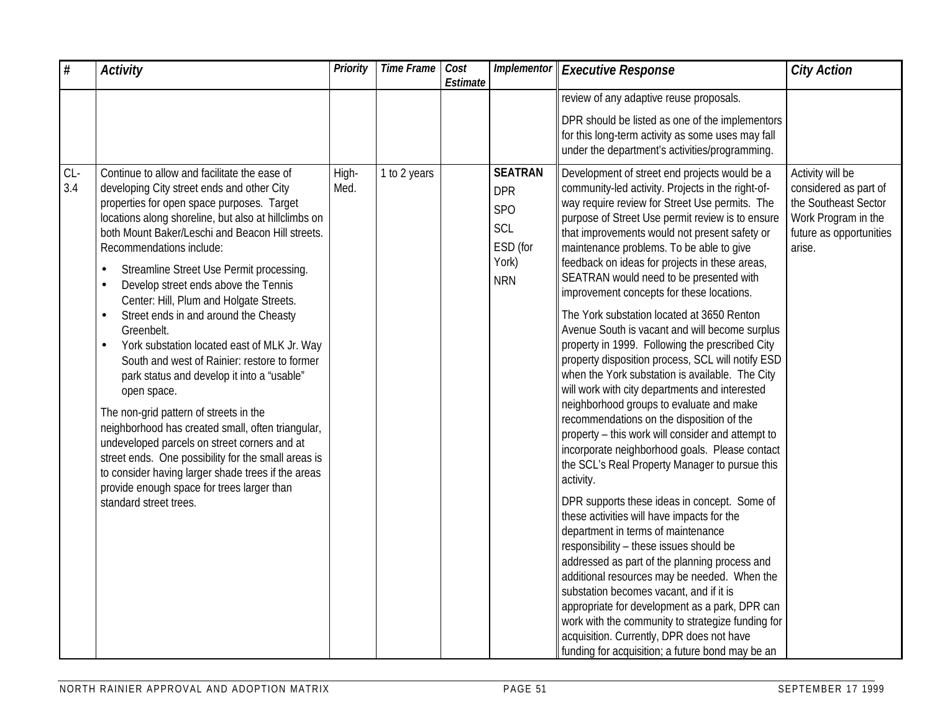| $\#$         | <b>Activity</b>                                                                                                                                                                                                                                                                                                                                                                                                                                                                                                                                                                                                                                                                                                                                                                                                                                                                                                                                                                                               | <b>Priority</b> | Time Frame   | Cost<br>Estimate | Implementor                                                                          | <b>Executive Response</b>                                                                                                                                                                                                                                                                                                                                                                                                                                                                                                                                                                                                                                                                                                                                                                                                                                                                                                                                                                                                                                                                                                                                                                                                                                                                                                                                                                                                                                                                                                                                      | <b>City Action</b>                                                                                                            |
|--------------|---------------------------------------------------------------------------------------------------------------------------------------------------------------------------------------------------------------------------------------------------------------------------------------------------------------------------------------------------------------------------------------------------------------------------------------------------------------------------------------------------------------------------------------------------------------------------------------------------------------------------------------------------------------------------------------------------------------------------------------------------------------------------------------------------------------------------------------------------------------------------------------------------------------------------------------------------------------------------------------------------------------|-----------------|--------------|------------------|--------------------------------------------------------------------------------------|----------------------------------------------------------------------------------------------------------------------------------------------------------------------------------------------------------------------------------------------------------------------------------------------------------------------------------------------------------------------------------------------------------------------------------------------------------------------------------------------------------------------------------------------------------------------------------------------------------------------------------------------------------------------------------------------------------------------------------------------------------------------------------------------------------------------------------------------------------------------------------------------------------------------------------------------------------------------------------------------------------------------------------------------------------------------------------------------------------------------------------------------------------------------------------------------------------------------------------------------------------------------------------------------------------------------------------------------------------------------------------------------------------------------------------------------------------------------------------------------------------------------------------------------------------------|-------------------------------------------------------------------------------------------------------------------------------|
|              |                                                                                                                                                                                                                                                                                                                                                                                                                                                                                                                                                                                                                                                                                                                                                                                                                                                                                                                                                                                                               |                 |              |                  |                                                                                      | review of any adaptive reuse proposals.                                                                                                                                                                                                                                                                                                                                                                                                                                                                                                                                                                                                                                                                                                                                                                                                                                                                                                                                                                                                                                                                                                                                                                                                                                                                                                                                                                                                                                                                                                                        |                                                                                                                               |
|              |                                                                                                                                                                                                                                                                                                                                                                                                                                                                                                                                                                                                                                                                                                                                                                                                                                                                                                                                                                                                               |                 |              |                  |                                                                                      | DPR should be listed as one of the implementors<br>for this long-term activity as some uses may fall<br>under the department's activities/programming.                                                                                                                                                                                                                                                                                                                                                                                                                                                                                                                                                                                                                                                                                                                                                                                                                                                                                                                                                                                                                                                                                                                                                                                                                                                                                                                                                                                                         |                                                                                                                               |
| $CL-$<br>3.4 | Continue to allow and facilitate the ease of<br>developing City street ends and other City<br>properties for open space purposes. Target<br>locations along shoreline, but also at hillclimbs on<br>both Mount Baker/Leschi and Beacon Hill streets.<br>Recommendations include:<br>Streamline Street Use Permit processing.<br>$\bullet$<br>Develop street ends above the Tennis<br>$\bullet$<br>Center: Hill, Plum and Holgate Streets.<br>Street ends in and around the Cheasty<br>Greenbelt.<br>York substation located east of MLK Jr. Way<br>$\bullet$<br>South and west of Rainier: restore to former<br>park status and develop it into a "usable"<br>open space.<br>The non-grid pattern of streets in the<br>neighborhood has created small, often triangular,<br>undeveloped parcels on street corners and at<br>street ends. One possibility for the small areas is<br>to consider having larger shade trees if the areas<br>provide enough space for trees larger than<br>standard street trees. | High-<br>Med.   | 1 to 2 years |                  | <b>SEATRAN</b><br><b>DPR</b><br><b>SPO</b><br>SCL<br>ESD (for<br>York)<br><b>NRN</b> | Development of street end projects would be a<br>community-led activity. Projects in the right-of-<br>way require review for Street Use permits. The<br>purpose of Street Use permit review is to ensure<br>that improvements would not present safety or<br>maintenance problems. To be able to give<br>feedback on ideas for projects in these areas,<br>SEATRAN would need to be presented with<br>improvement concepts for these locations.<br>The York substation located at 3650 Renton<br>Avenue South is vacant and will become surplus<br>property in 1999. Following the prescribed City<br>property disposition process, SCL will notify ESD<br>when the York substation is available. The City<br>will work with city departments and interested<br>neighborhood groups to evaluate and make<br>recommendations on the disposition of the<br>property - this work will consider and attempt to<br>incorporate neighborhood goals. Please contact<br>the SCL's Real Property Manager to pursue this<br>activity.<br>DPR supports these ideas in concept. Some of<br>these activities will have impacts for the<br>department in terms of maintenance<br>responsibility - these issues should be<br>addressed as part of the planning process and<br>additional resources may be needed. When the<br>substation becomes vacant, and if it is<br>appropriate for development as a park, DPR can<br>work with the community to strategize funding for<br>acquisition. Currently, DPR does not have<br>funding for acquisition; a future bond may be an | Activity will be<br>considered as part of<br>the Southeast Sector<br>Work Program in the<br>future as opportunities<br>arise. |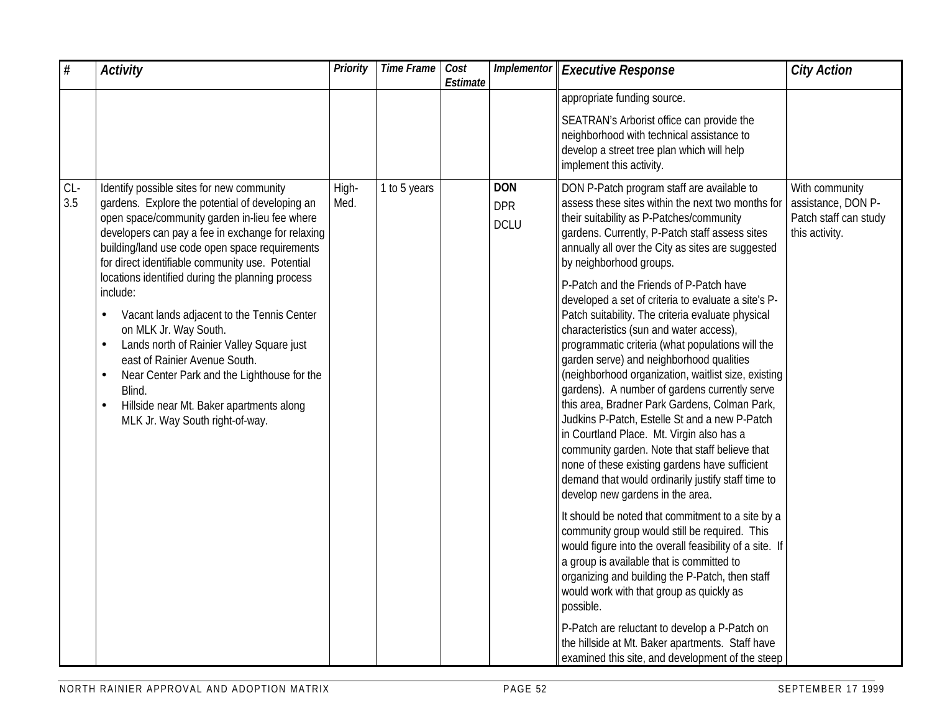| #            | <b>Activity</b>                                                                                                                                                                                                                                                                                                                                                                                                                                                                                                                                                                                                                                                                    | Priority      | Time Frame Cost | Estimate | <b>Implementor</b>                      | <b>Executive Response</b>                                                                                                                                                                                                                                                                                                                                                                                                                                                                                                                                                                                                                                                                                                                                                                                                                                                                                                                                                                                                                                                                 | <b>City Action</b>                                                              |
|--------------|------------------------------------------------------------------------------------------------------------------------------------------------------------------------------------------------------------------------------------------------------------------------------------------------------------------------------------------------------------------------------------------------------------------------------------------------------------------------------------------------------------------------------------------------------------------------------------------------------------------------------------------------------------------------------------|---------------|-----------------|----------|-----------------------------------------|-------------------------------------------------------------------------------------------------------------------------------------------------------------------------------------------------------------------------------------------------------------------------------------------------------------------------------------------------------------------------------------------------------------------------------------------------------------------------------------------------------------------------------------------------------------------------------------------------------------------------------------------------------------------------------------------------------------------------------------------------------------------------------------------------------------------------------------------------------------------------------------------------------------------------------------------------------------------------------------------------------------------------------------------------------------------------------------------|---------------------------------------------------------------------------------|
|              |                                                                                                                                                                                                                                                                                                                                                                                                                                                                                                                                                                                                                                                                                    |               |                 |          |                                         | appropriate funding source.                                                                                                                                                                                                                                                                                                                                                                                                                                                                                                                                                                                                                                                                                                                                                                                                                                                                                                                                                                                                                                                               |                                                                                 |
|              |                                                                                                                                                                                                                                                                                                                                                                                                                                                                                                                                                                                                                                                                                    |               |                 |          |                                         | SEATRAN's Arborist office can provide the<br>neighborhood with technical assistance to<br>develop a street tree plan which will help<br>implement this activity.                                                                                                                                                                                                                                                                                                                                                                                                                                                                                                                                                                                                                                                                                                                                                                                                                                                                                                                          |                                                                                 |
| $CL-$<br>3.5 | Identify possible sites for new community<br>gardens. Explore the potential of developing an<br>open space/community garden in-lieu fee where<br>developers can pay a fee in exchange for relaxing<br>building/land use code open space requirements<br>for direct identifiable community use. Potential<br>locations identified during the planning process<br>include:<br>Vacant lands adjacent to the Tennis Center<br>on MLK Jr. Way South.<br>Lands north of Rainier Valley Square just<br>$\bullet$<br>east of Rainier Avenue South.<br>Near Center Park and the Lighthouse for the<br>Blind.<br>Hillside near Mt. Baker apartments along<br>MLK Jr. Way South right-of-way. | High-<br>Med. | 1 to 5 years    |          | <b>DON</b><br><b>DPR</b><br><b>DCLU</b> | DON P-Patch program staff are available to<br>assess these sites within the next two months for<br>their suitability as P-Patches/community<br>gardens. Currently, P-Patch staff assess sites<br>annually all over the City as sites are suggested<br>by neighborhood groups.<br>P-Patch and the Friends of P-Patch have<br>developed a set of criteria to evaluate a site's P-<br>Patch suitability. The criteria evaluate physical<br>characteristics (sun and water access),<br>programmatic criteria (what populations will the<br>garden serve) and neighborhood qualities<br>(neighborhood organization, waitlist size, existing<br>gardens). A number of gardens currently serve<br>this area, Bradner Park Gardens, Colman Park,<br>Judkins P-Patch, Estelle St and a new P-Patch<br>in Courtland Place. Mt. Virgin also has a<br>community garden. Note that staff believe that<br>none of these existing gardens have sufficient<br>demand that would ordinarily justify staff time to<br>develop new gardens in the area.<br>It should be noted that commitment to a site by a | With community<br>assistance, DON P-<br>Patch staff can study<br>this activity. |
|              |                                                                                                                                                                                                                                                                                                                                                                                                                                                                                                                                                                                                                                                                                    |               |                 |          |                                         | community group would still be required. This<br>would figure into the overall feasibility of a site. If<br>a group is available that is committed to<br>organizing and building the P-Patch, then staff<br>would work with that group as quickly as<br>possible.                                                                                                                                                                                                                                                                                                                                                                                                                                                                                                                                                                                                                                                                                                                                                                                                                         |                                                                                 |
|              |                                                                                                                                                                                                                                                                                                                                                                                                                                                                                                                                                                                                                                                                                    |               |                 |          |                                         | P-Patch are reluctant to develop a P-Patch on<br>the hillside at Mt. Baker apartments. Staff have<br>examined this site, and development of the steep                                                                                                                                                                                                                                                                                                                                                                                                                                                                                                                                                                                                                                                                                                                                                                                                                                                                                                                                     |                                                                                 |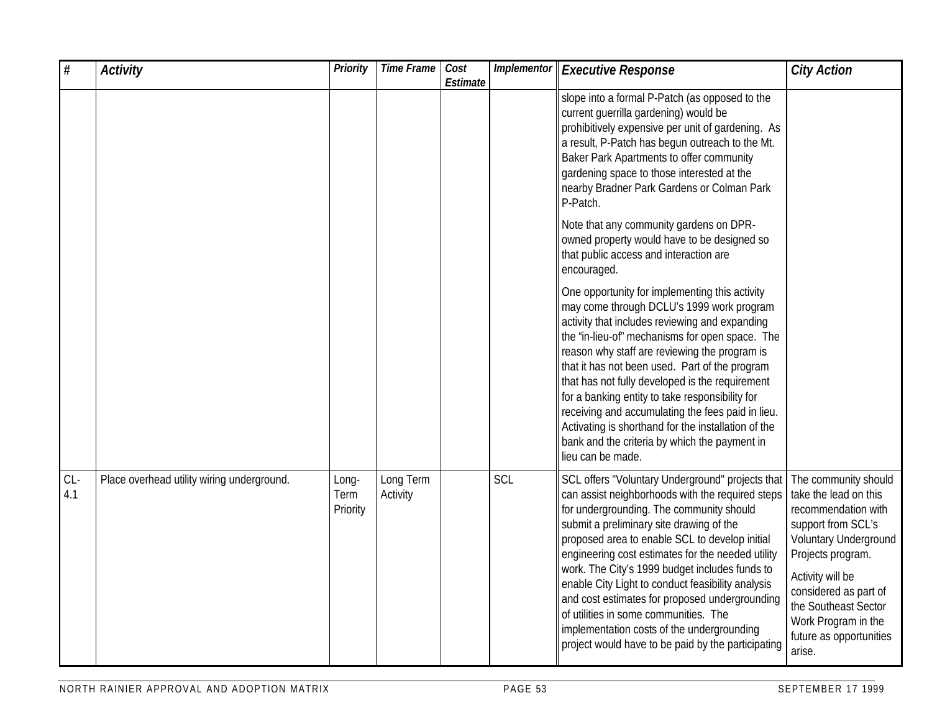| $\#$         | <b>Activity</b>                            | Priority                  | <b>Time Frame</b>     | Cost<br>Estimate | Implementor | <b>Executive Response</b>                                                                                                                                                                                                                                                                                                                                                                                                                                                                                                                                                                                 | <b>City Action</b>                                                                                                                                                                                                                                                        |
|--------------|--------------------------------------------|---------------------------|-----------------------|------------------|-------------|-----------------------------------------------------------------------------------------------------------------------------------------------------------------------------------------------------------------------------------------------------------------------------------------------------------------------------------------------------------------------------------------------------------------------------------------------------------------------------------------------------------------------------------------------------------------------------------------------------------|---------------------------------------------------------------------------------------------------------------------------------------------------------------------------------------------------------------------------------------------------------------------------|
|              |                                            |                           |                       |                  |             | slope into a formal P-Patch (as opposed to the<br>current guerrilla gardening) would be<br>prohibitively expensive per unit of gardening. As<br>a result, P-Patch has begun outreach to the Mt.<br>Baker Park Apartments to offer community<br>gardening space to those interested at the<br>nearby Bradner Park Gardens or Colman Park<br>P-Patch.                                                                                                                                                                                                                                                       |                                                                                                                                                                                                                                                                           |
|              |                                            |                           |                       |                  |             | Note that any community gardens on DPR-<br>owned property would have to be designed so<br>that public access and interaction are<br>encouraged.                                                                                                                                                                                                                                                                                                                                                                                                                                                           |                                                                                                                                                                                                                                                                           |
|              |                                            |                           |                       |                  |             | One opportunity for implementing this activity<br>may come through DCLU's 1999 work program<br>activity that includes reviewing and expanding<br>the 'in-lieu-of" mechanisms for open space. The<br>reason why staff are reviewing the program is<br>that it has not been used. Part of the program<br>that has not fully developed is the requirement<br>for a banking entity to take responsibility for<br>receiving and accumulating the fees paid in lieu.<br>Activating is shorthand for the installation of the<br>bank and the criteria by which the payment in<br>lieu can be made.               |                                                                                                                                                                                                                                                                           |
| $CL-$<br>4.1 | Place overhead utility wiring underground. | Long-<br>Term<br>Priority | Long Term<br>Activity |                  | SCL         | SCL offers "Voluntary Underground" projects that<br>can assist neighborhoods with the required steps<br>for undergrounding. The community should<br>submit a preliminary site drawing of the<br>proposed area to enable SCL to develop initial<br>engineering cost estimates for the needed utility<br>work. The City's 1999 budget includes funds to<br>enable City Light to conduct feasibility analysis<br>and cost estimates for proposed undergrounding<br>of utilities in some communities. The<br>implementation costs of the undergrounding<br>project would have to be paid by the participating | The community should<br>take the lead on this<br>recommendation with<br>support from SCL's<br>Voluntary Underground<br>Projects program.<br>Activity will be<br>considered as part of<br>the Southeast Sector<br>Work Program in the<br>future as opportunities<br>arise. |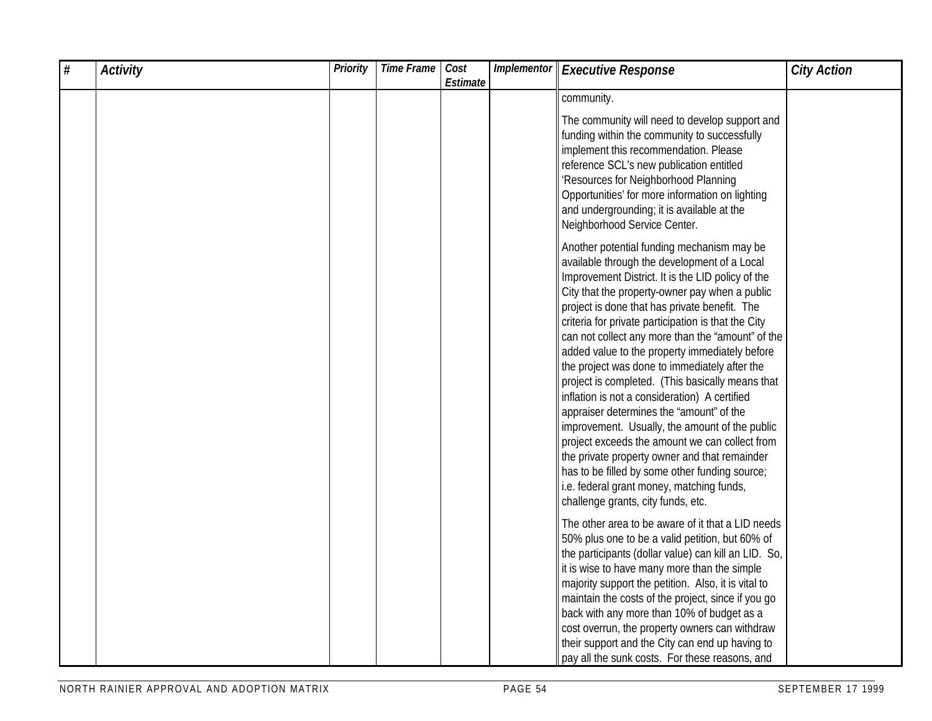| # | <b>Activity</b> | <b>Priority</b> | Time Frame | Cost<br>Estimate | Implementor | <b>Executive Response</b>                                                                                                                                                                                                                                                                                                                                                                                                                                                                                                                                                                                                                                                                                                                                                                                                                                                                                    | <b>City Action</b> |
|---|-----------------|-----------------|------------|------------------|-------------|--------------------------------------------------------------------------------------------------------------------------------------------------------------------------------------------------------------------------------------------------------------------------------------------------------------------------------------------------------------------------------------------------------------------------------------------------------------------------------------------------------------------------------------------------------------------------------------------------------------------------------------------------------------------------------------------------------------------------------------------------------------------------------------------------------------------------------------------------------------------------------------------------------------|--------------------|
|   |                 |                 |            |                  |             | community.                                                                                                                                                                                                                                                                                                                                                                                                                                                                                                                                                                                                                                                                                                                                                                                                                                                                                                   |                    |
|   |                 |                 |            |                  |             | The community will need to develop support and<br>funding within the community to successfully<br>implement this recommendation. Please<br>reference SCL's new publication entitled<br>'Resources for Neighborhood Planning<br>Opportunities' for more information on lighting<br>and undergrounding; it is available at the<br>Neighborhood Service Center.                                                                                                                                                                                                                                                                                                                                                                                                                                                                                                                                                 |                    |
|   |                 |                 |            |                  |             | Another potential funding mechanism may be<br>available through the development of a Local<br>Improvement District. It is the LID policy of the<br>City that the property-owner pay when a public<br>project is done that has private benefit. The<br>criteria for private participation is that the City<br>can not collect any more than the "amount" of the<br>added value to the property immediately before<br>the project was done to immediately after the<br>project is completed. (This basically means that<br>inflation is not a consideration) A certified<br>appraiser determines the "amount" of the<br>improvement. Usually, the amount of the public<br>project exceeds the amount we can collect from<br>the private property owner and that remainder<br>has to be filled by some other funding source;<br>i.e. federal grant money, matching funds,<br>challenge grants, city funds, etc. |                    |
|   |                 |                 |            |                  |             | The other area to be aware of it that a LID needs<br>50% plus one to be a valid petition, but 60% of<br>the participants (dollar value) can kill an LID. So,<br>it is wise to have many more than the simple<br>majority support the petition. Also, it is vital to<br>maintain the costs of the project, since if you go<br>back with any more than 10% of budget as a<br>cost overrun, the property owners can withdraw<br>their support and the City can end up having to<br>pay all the sunk costs. For these reasons, and                                                                                                                                                                                                                                                                                                                                                                               |                    |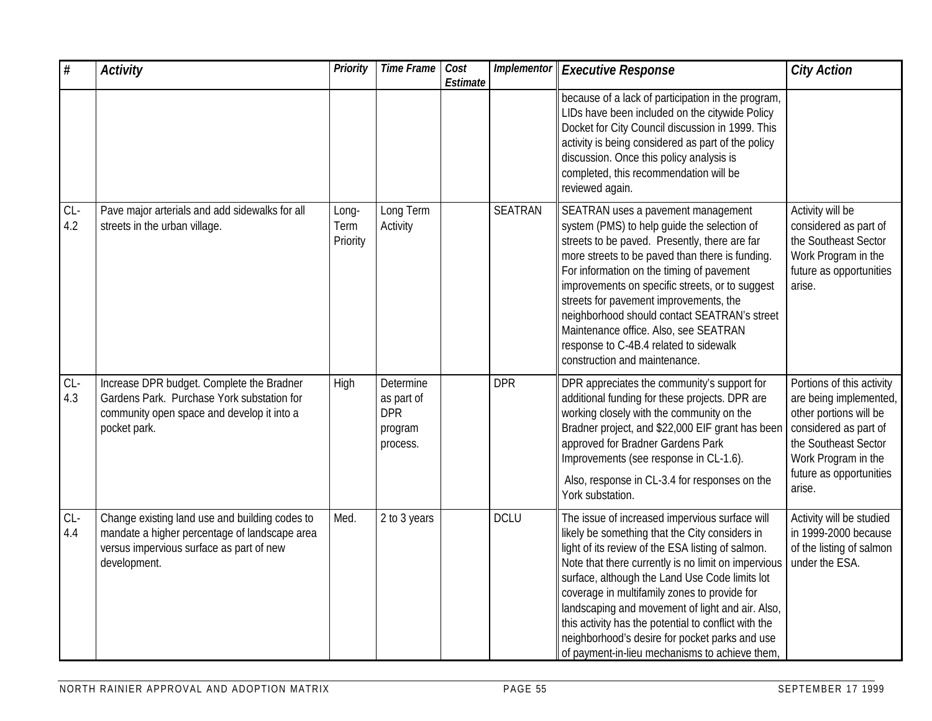| $\#$         | <b>Activity</b>                                                                                                                                             | <b>Priority</b>           | <b>Time Frame</b>                                            | Cost<br>Estimate | Implementor    | <b>Executive Response</b>                                                                                                                                                                                                                                                                                                                                                                                                                                                                                                      | <b>City Action</b>                                                                                                                                                                         |
|--------------|-------------------------------------------------------------------------------------------------------------------------------------------------------------|---------------------------|--------------------------------------------------------------|------------------|----------------|--------------------------------------------------------------------------------------------------------------------------------------------------------------------------------------------------------------------------------------------------------------------------------------------------------------------------------------------------------------------------------------------------------------------------------------------------------------------------------------------------------------------------------|--------------------------------------------------------------------------------------------------------------------------------------------------------------------------------------------|
|              |                                                                                                                                                             |                           |                                                              |                  |                | because of a lack of participation in the program,<br>LIDs have been included on the citywide Policy<br>Docket for City Council discussion in 1999. This<br>activity is being considered as part of the policy<br>discussion. Once this policy analysis is<br>completed, this recommendation will be<br>reviewed again.                                                                                                                                                                                                        |                                                                                                                                                                                            |
| $CL-$<br>4.2 | Pave major arterials and add sidewalks for all<br>streets in the urban village.                                                                             | Long-<br>Term<br>Priority | Long Term<br>Activity                                        |                  | <b>SEATRAN</b> | SEATRAN uses a pavement management<br>system (PMS) to help guide the selection of<br>streets to be paved. Presently, there are far<br>more streets to be paved than there is funding.<br>For information on the timing of pavement<br>improvements on specific streets, or to suggest<br>streets for pavement improvements, the<br>neighborhood should contact SEATRAN's street<br>Maintenance office. Also, see SEATRAN<br>response to C-4B.4 related to sidewalk<br>construction and maintenance.                            | Activity will be<br>considered as part of<br>the Southeast Sector<br>Work Program in the<br>future as opportunities<br>arise.                                                              |
| $CL-$<br>4.3 | Increase DPR budget. Complete the Bradner<br>Gardens Park. Purchase York substation for<br>community open space and develop it into a<br>pocket park.       | High                      | Determine<br>as part of<br><b>DPR</b><br>program<br>process. |                  | <b>DPR</b>     | DPR appreciates the community's support for<br>additional funding for these projects. DPR are<br>working closely with the community on the<br>Bradner project, and \$22,000 EIF grant has been<br>approved for Bradner Gardens Park<br>Improvements (see response in CL-1.6).<br>Also, response in CL-3.4 for responses on the<br>York substation.                                                                                                                                                                             | Portions of this activity<br>are being implemented,<br>other portions will be<br>considered as part of<br>the Southeast Sector<br>Work Program in the<br>future as opportunities<br>arise. |
| $CL-$<br>4.4 | Change existing land use and building codes to<br>mandate a higher percentage of landscape area<br>versus impervious surface as part of new<br>development. | Med.                      | 2 to 3 years                                                 |                  | <b>DCLU</b>    | The issue of increased impervious surface will<br>likely be something that the City considers in<br>light of its review of the ESA listing of salmon.<br>Note that there currently is no limit on impervious<br>surface, although the Land Use Code limits lot<br>coverage in multifamily zones to provide for<br>landscaping and movement of light and air. Also,<br>this activity has the potential to conflict with the<br>neighborhood's desire for pocket parks and use<br>of payment-in-lieu mechanisms to achieve them, | Activity will be studied<br>in 1999-2000 because<br>of the listing of salmon<br>under the ESA.                                                                                             |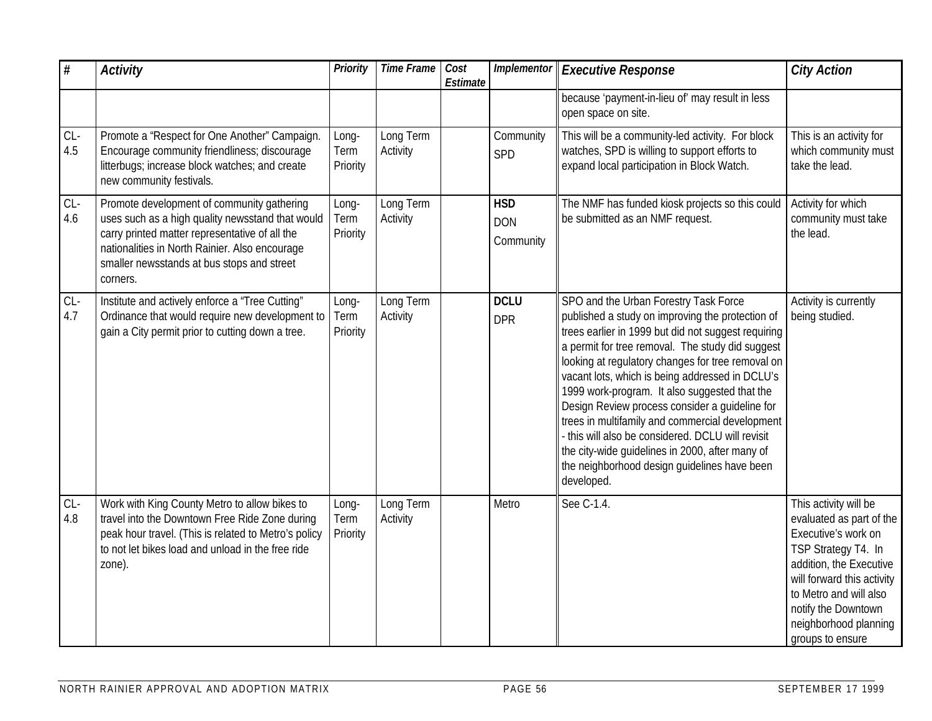| $\overline{\#}$ | <b>Activity</b>                                                                                                                                                                                                                                              | <b>Priority</b>           | <b>Time Frame</b>     | Cost<br>Estimate | Implementor                           | <b>Executive Response</b>                                                                                                                                                                                                                                                                                                                                                                                                                                                                                                                                                                                                              | <b>City Action</b>                                                                                                                                                                                                                                     |
|-----------------|--------------------------------------------------------------------------------------------------------------------------------------------------------------------------------------------------------------------------------------------------------------|---------------------------|-----------------------|------------------|---------------------------------------|----------------------------------------------------------------------------------------------------------------------------------------------------------------------------------------------------------------------------------------------------------------------------------------------------------------------------------------------------------------------------------------------------------------------------------------------------------------------------------------------------------------------------------------------------------------------------------------------------------------------------------------|--------------------------------------------------------------------------------------------------------------------------------------------------------------------------------------------------------------------------------------------------------|
|                 |                                                                                                                                                                                                                                                              |                           |                       |                  |                                       | because 'payment-in-lieu of' may result in less<br>open space on site.                                                                                                                                                                                                                                                                                                                                                                                                                                                                                                                                                                 |                                                                                                                                                                                                                                                        |
| $CL-$<br>4.5    | Promote a "Respect for One Another" Campaign.<br>Encourage community friendliness; discourage<br>litterbugs; increase block watches; and create<br>new community festivals.                                                                                  | Long-<br>Term<br>Priority | Long Term<br>Activity |                  | Community<br>SPD                      | This will be a community-led activity. For block<br>watches, SPD is willing to support efforts to<br>expand local participation in Block Watch.                                                                                                                                                                                                                                                                                                                                                                                                                                                                                        | This is an activity for<br>which community must<br>take the lead.                                                                                                                                                                                      |
| $CL-$<br>4.6    | Promote development of community gathering<br>uses such as a high quality newsstand that would<br>carry printed matter representative of all the<br>nationalities in North Rainier. Also encourage<br>smaller newsstands at bus stops and street<br>corners. | Long-<br>Term<br>Priority | Long Term<br>Activity |                  | <b>HSD</b><br><b>DON</b><br>Community | The NMF has funded kiosk projects so this could<br>be submitted as an NMF request.                                                                                                                                                                                                                                                                                                                                                                                                                                                                                                                                                     | Activity for which<br>community must take<br>the lead.                                                                                                                                                                                                 |
| $CL-$<br>4.7    | Institute and actively enforce a "Tree Cutting"<br>Ordinance that would require new development to<br>gain a City permit prior to cutting down a tree.                                                                                                       | Long-<br>Term<br>Priority | Long Term<br>Activity |                  | <b>DCLU</b><br><b>DPR</b>             | SPO and the Urban Forestry Task Force<br>published a study on improving the protection of<br>trees earlier in 1999 but did not suggest requiring<br>a permit for tree removal. The study did suggest<br>looking at regulatory changes for tree removal on<br>vacant lots, which is being addressed in DCLU's<br>1999 work-program. It also suggested that the<br>Design Review process consider a guideline for<br>trees in multifamily and commercial development<br>this will also be considered. DCLU will revisit<br>the city-wide guidelines in 2000, after many of<br>the neighborhood design guidelines have been<br>developed. | Activity is currently<br>being studied.                                                                                                                                                                                                                |
| $CL-$<br>4.8    | Work with King County Metro to allow bikes to<br>travel into the Downtown Free Ride Zone during<br>peak hour travel. (This is related to Metro's policy<br>to not let bikes load and unload in the free ride<br>zone).                                       | Long-<br>Term<br>Priority | Long Term<br>Activity |                  | Metro                                 | See C-1.4.                                                                                                                                                                                                                                                                                                                                                                                                                                                                                                                                                                                                                             | This activity will be<br>evaluated as part of the<br>Executive's work on<br>TSP Strategy T4. In<br>addition, the Executive<br>will forward this activity<br>to Metro and will also<br>notify the Downtown<br>neighborhood planning<br>groups to ensure |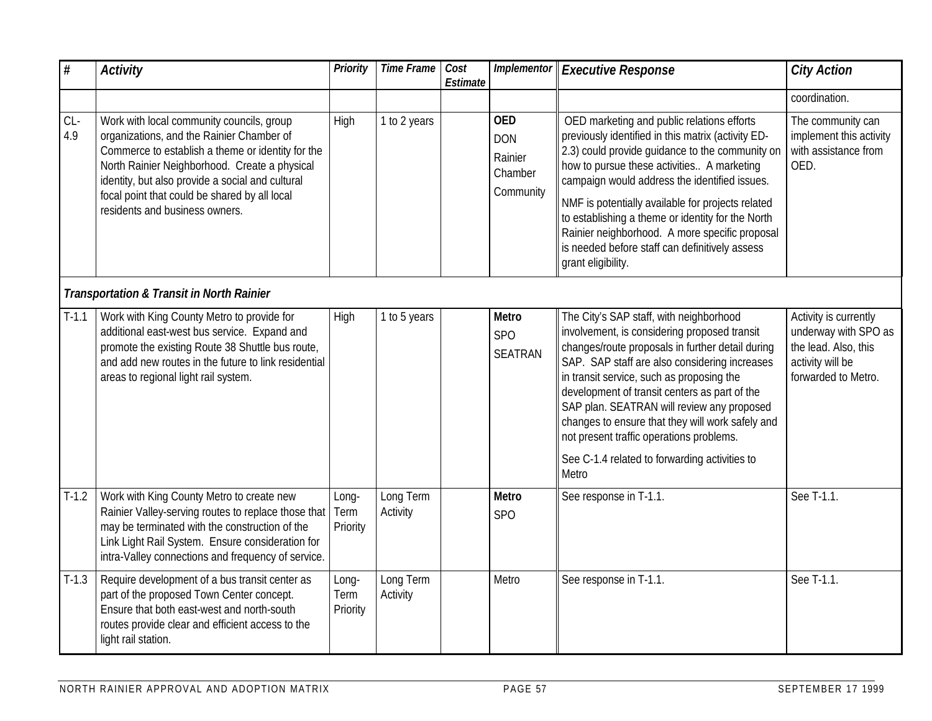| $\#$         | <b>Activity</b>                                                                                                                                                                                                                                                                                                                     | Priority                  | <b>Time Frame</b>     | Cost<br>Estimate | Implementor                                                 | <b>Executive Response</b>                                                                                                                                                                                                                                                                                                                                                                                                                                                                          | <b>City Action</b>                                                                                               |  |  |  |
|--------------|-------------------------------------------------------------------------------------------------------------------------------------------------------------------------------------------------------------------------------------------------------------------------------------------------------------------------------------|---------------------------|-----------------------|------------------|-------------------------------------------------------------|----------------------------------------------------------------------------------------------------------------------------------------------------------------------------------------------------------------------------------------------------------------------------------------------------------------------------------------------------------------------------------------------------------------------------------------------------------------------------------------------------|------------------------------------------------------------------------------------------------------------------|--|--|--|
|              |                                                                                                                                                                                                                                                                                                                                     |                           |                       |                  |                                                             |                                                                                                                                                                                                                                                                                                                                                                                                                                                                                                    | coordination.                                                                                                    |  |  |  |
| $CL-$<br>4.9 | Work with local community councils, group<br>organizations, and the Rainier Chamber of<br>Commerce to establish a theme or identity for the<br>North Rainier Neighborhood. Create a physical<br>identity, but also provide a social and cultural<br>focal point that could be shared by all local<br>residents and business owners. | High                      | 1 to 2 years          |                  | <b>OED</b><br><b>DON</b><br>Rainier<br>Chamber<br>Community | OED marketing and public relations efforts<br>previously identified in this matrix (activity ED-<br>2.3) could provide guidance to the community on<br>how to pursue these activities A marketing<br>campaign would address the identified issues.<br>NMF is potentially available for projects related<br>to establishing a theme or identity for the North<br>Rainier neighborhood. A more specific proposal<br>is needed before staff can definitively assess<br>grant eligibility.             | The community can<br>implement this activity<br>with assistance from<br>OED.                                     |  |  |  |
|              | <b>Transportation &amp; Transit in North Rainier</b>                                                                                                                                                                                                                                                                                |                           |                       |                  |                                                             |                                                                                                                                                                                                                                                                                                                                                                                                                                                                                                    |                                                                                                                  |  |  |  |
| $T-1.1$      | Work with King County Metro to provide for<br>additional east-west bus service. Expand and<br>promote the existing Route 38 Shuttle bus route,<br>and add new routes in the future to link residential<br>areas to regional light rail system.                                                                                      | High                      | 1 to 5 years          |                  | Metro<br><b>SPO</b><br><b>SEATRAN</b>                       | The City's SAP staff, with neighborhood<br>involvement, is considering proposed transit<br>changes/route proposals in further detail during<br>SAP. SAP staff are also considering increases<br>in transit service, such as proposing the<br>development of transit centers as part of the<br>SAP plan. SEATRAN will review any proposed<br>changes to ensure that they will work safely and<br>not present traffic operations problems.<br>See C-1.4 related to forwarding activities to<br>Metro | Activity is currently<br>underway with SPO as<br>the lead. Also, this<br>activity will be<br>forwarded to Metro. |  |  |  |
| $T-1.2$      | Work with King County Metro to create new<br>Rainier Valley-serving routes to replace those that<br>may be terminated with the construction of the<br>Link Light Rail System. Ensure consideration for<br>intra-Valley connections and frequency of service.                                                                        | Long-<br>Term<br>Priority | Long Term<br>Activity |                  | <b>Metro</b><br><b>SPO</b>                                  | See response in T-1.1.                                                                                                                                                                                                                                                                                                                                                                                                                                                                             | See T-1.1.                                                                                                       |  |  |  |
| $T-1.3$      | Require development of a bus transit center as<br>part of the proposed Town Center concept.<br>Ensure that both east-west and north-south<br>routes provide clear and efficient access to the<br>light rail station.                                                                                                                | Long-<br>Term<br>Priority | Long Term<br>Activity |                  | Metro                                                       | See response in T-1.1.                                                                                                                                                                                                                                                                                                                                                                                                                                                                             | See T-1.1.                                                                                                       |  |  |  |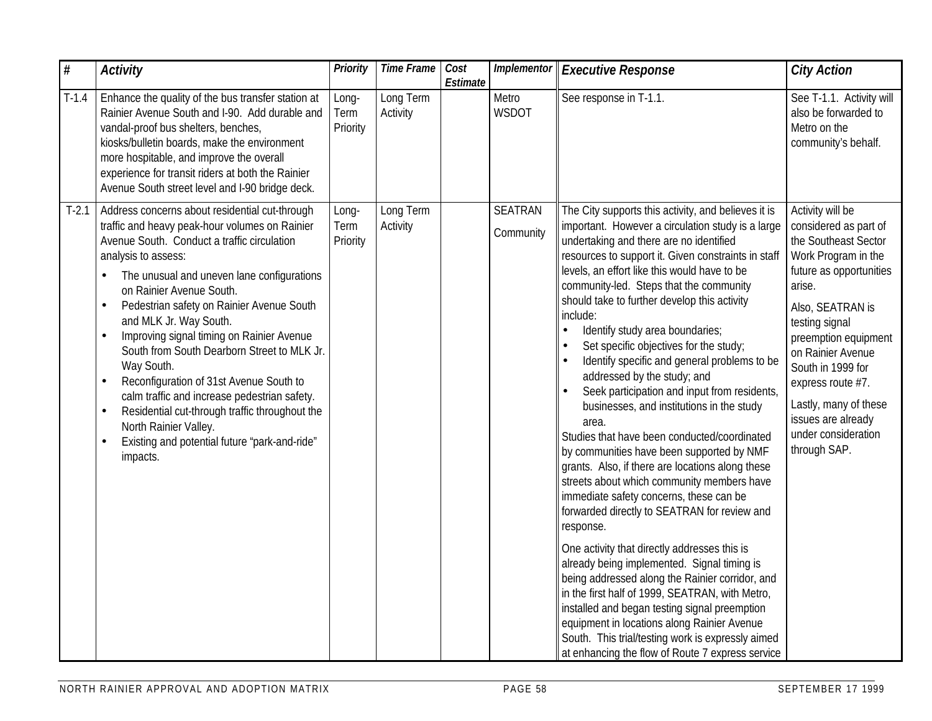| #       | <b>Activity</b>                                                                                                                                                                                                                                                                                                                                                                                                                                                                                                                                                                                                                                                                                             | Priority                  | <b>Time Frame</b>     | Cost<br>Estimate | Implementor                 | <b>Executive Response</b>                                                                                                                                                                                                                                                                                                                                                                                                                                                                                                                                                                                                                                                                                                                                                                                                                                                                                                                                                                                                                                                                                                                                                                                                                                                                                                                                | <b>City Action</b>                                                                                                                                                                                                                                                                                                                               |
|---------|-------------------------------------------------------------------------------------------------------------------------------------------------------------------------------------------------------------------------------------------------------------------------------------------------------------------------------------------------------------------------------------------------------------------------------------------------------------------------------------------------------------------------------------------------------------------------------------------------------------------------------------------------------------------------------------------------------------|---------------------------|-----------------------|------------------|-----------------------------|----------------------------------------------------------------------------------------------------------------------------------------------------------------------------------------------------------------------------------------------------------------------------------------------------------------------------------------------------------------------------------------------------------------------------------------------------------------------------------------------------------------------------------------------------------------------------------------------------------------------------------------------------------------------------------------------------------------------------------------------------------------------------------------------------------------------------------------------------------------------------------------------------------------------------------------------------------------------------------------------------------------------------------------------------------------------------------------------------------------------------------------------------------------------------------------------------------------------------------------------------------------------------------------------------------------------------------------------------------|--------------------------------------------------------------------------------------------------------------------------------------------------------------------------------------------------------------------------------------------------------------------------------------------------------------------------------------------------|
| $T-1.4$ | Enhance the quality of the bus transfer station at<br>Rainier Avenue South and I-90. Add durable and<br>vandal-proof bus shelters, benches,<br>kiosks/bulletin boards, make the environment<br>more hospitable, and improve the overall<br>experience for transit riders at both the Rainier<br>Avenue South street level and I-90 bridge deck.                                                                                                                                                                                                                                                                                                                                                             | Long-<br>Term<br>Priority | Long Term<br>Activity |                  | Metro<br><b>WSDOT</b>       | See response in T-1.1.                                                                                                                                                                                                                                                                                                                                                                                                                                                                                                                                                                                                                                                                                                                                                                                                                                                                                                                                                                                                                                                                                                                                                                                                                                                                                                                                   | See T-1.1. Activity will<br>also be forwarded to<br>Metro on the<br>community's behalf.                                                                                                                                                                                                                                                          |
| $T-2.1$ | Address concerns about residential cut-through<br>traffic and heavy peak-hour volumes on Rainier<br>Avenue South. Conduct a traffic circulation<br>analysis to assess:<br>The unusual and uneven lane configurations<br>on Rainier Avenue South.<br>Pedestrian safety on Rainier Avenue South<br>and MLK Jr. Way South.<br>Improving signal timing on Rainier Avenue<br>$\bullet$<br>South from South Dearborn Street to MLK Jr.<br>Way South.<br>Reconfiguration of 31st Avenue South to<br>$\bullet$<br>calm traffic and increase pedestrian safety.<br>Residential cut-through traffic throughout the<br>North Rainier Valley.<br>Existing and potential future 'park-and-ride"<br>$\bullet$<br>impacts. | Long-<br>Term<br>Priority | Long Term<br>Activity |                  | <b>SEATRAN</b><br>Community | The City supports this activity, and believes it is<br>important. However a circulation study is a large<br>undertaking and there are no identified<br>resources to support it. Given constraints in staff<br>levels, an effort like this would have to be<br>community-led. Steps that the community<br>should take to further develop this activity<br>include:<br>Identify study area boundaries;<br>Set specific objectives for the study;<br>Identify specific and general problems to be<br>addressed by the study; and<br>Seek participation and input from residents,<br>businesses, and institutions in the study<br>area.<br>Studies that have been conducted/coordinated<br>by communities have been supported by NMF<br>grants. Also, if there are locations along these<br>streets about which community members have<br>immediate safety concerns, these can be<br>forwarded directly to SEATRAN for review and<br>response.<br>One activity that directly addresses this is<br>already being implemented. Signal timing is<br>being addressed along the Rainier corridor, and<br>in the first half of 1999, SEATRAN, with Metro,<br>installed and began testing signal preemption<br>equipment in locations along Rainier Avenue<br>South. This trial/testing work is expressly aimed<br>at enhancing the flow of Route 7 express service | Activity will be<br>considered as part of<br>the Southeast Sector<br>Work Program in the<br>future as opportunities<br>arise.<br>Also, SEATRAN is<br>testing signal<br>preemption equipment<br>on Rainier Avenue<br>South in 1999 for<br>express route #7.<br>Lastly, many of these<br>issues are already<br>under consideration<br>through SAP. |